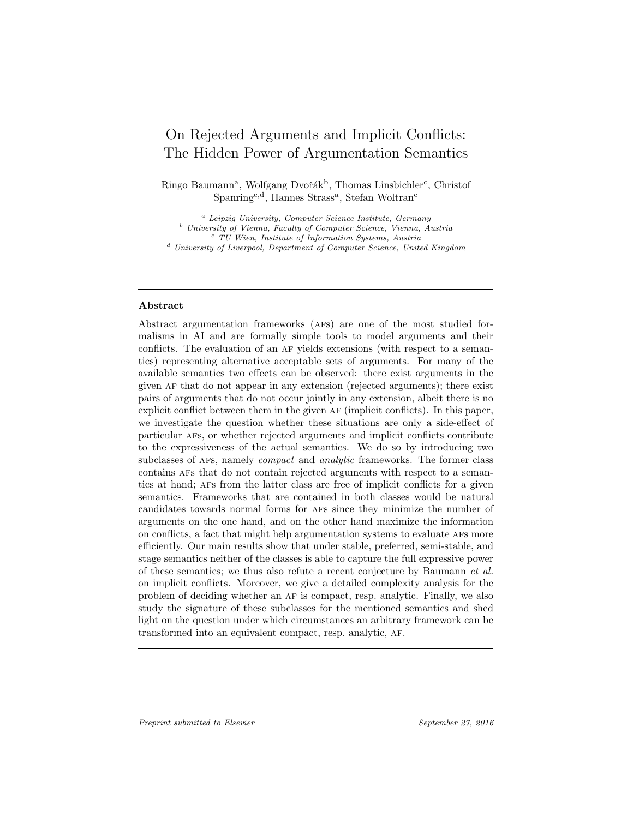# On Rejected Arguments and Implicit Conflicts: The Hidden Power of Argumentation Semantics

Ringo Baumann<sup>a</sup>, Wolfgang Dvořák<sup>b</sup>, Thomas Linsbichler<sup>c</sup>, Christof Spanring<sup>c,d</sup>, Hannes Strass<sup>a</sup>, Stefan Woltran<sup>c</sup>

<sup>a</sup> Leipzig University, Computer Science Institute, Germany <sup>b</sup> University of Vienna, Faculty of Computer Science, Vienna, Austria <sup>c</sup> TU Wien, Institute of Information Systems, Austria <sup>d</sup> University of Liverpool, Department of Computer Science, United Kingdom

# Abstract

Abstract argumentation frameworks (afs) are one of the most studied formalisms in AI and are formally simple tools to model arguments and their conflicts. The evaluation of an af yields extensions (with respect to a semantics) representing alternative acceptable sets of arguments. For many of the available semantics two effects can be observed: there exist arguments in the given af that do not appear in any extension (rejected arguments); there exist pairs of arguments that do not occur jointly in any extension, albeit there is no explicit conflict between them in the given af (implicit conflicts). In this paper, we investigate the question whether these situations are only a side-effect of particular afs, or whether rejected arguments and implicit conflicts contribute to the expressiveness of the actual semantics. We do so by introducing two subclasses of AFs, namely *compact* and *analytic* frameworks. The former class contains afs that do not contain rejected arguments with respect to a semantics at hand; afs from the latter class are free of implicit conflicts for a given semantics. Frameworks that are contained in both classes would be natural candidates towards normal forms for afs since they minimize the number of arguments on the one hand, and on the other hand maximize the information on conflicts, a fact that might help argumentation systems to evaluate afs more efficiently. Our main results show that under stable, preferred, semi-stable, and stage semantics neither of the classes is able to capture the full expressive power of these semantics; we thus also refute a recent conjecture by Baumann et al. on implicit conflicts. Moreover, we give a detailed complexity analysis for the problem of deciding whether an af is compact, resp. analytic. Finally, we also study the signature of these subclasses for the mentioned semantics and shed light on the question under which circumstances an arbitrary framework can be transformed into an equivalent compact, resp. analytic, af.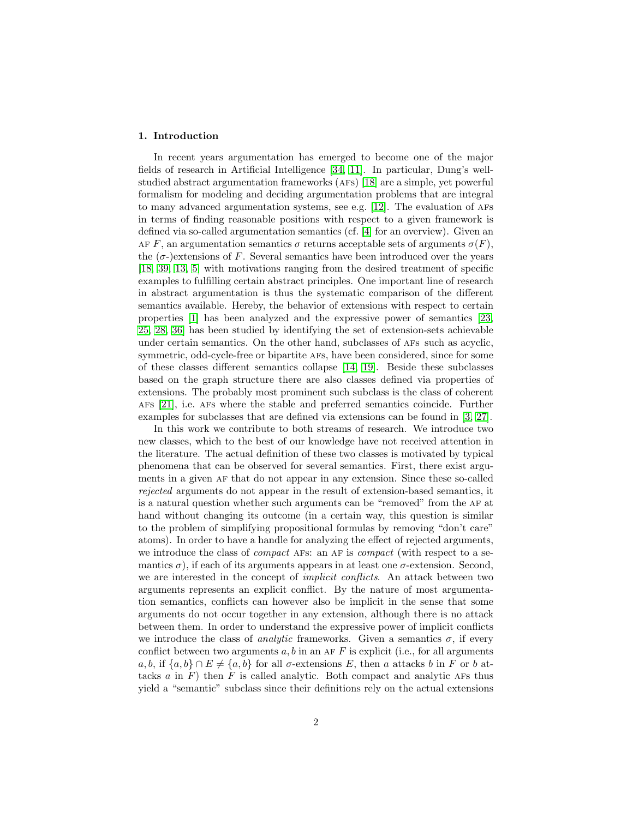## 1. Introduction

In recent years argumentation has emerged to become one of the major fields of research in Artificial Intelligence [\[34,](#page-61-0) [11\]](#page-59-0). In particular, Dung's wellstudied abstract argumentation frameworks (afs) [\[18\]](#page-59-1) are a simple, yet powerful formalism for modeling and deciding argumentation problems that are integral to many advanced argumentation systems, see e.g. [\[12\]](#page-59-2). The evaluation of afs in terms of finding reasonable positions with respect to a given framework is defined via so-called argumentation semantics (cf. [\[4\]](#page-58-0) for an overview). Given an AF F, an argumentation semantics  $\sigma$  returns acceptable sets of arguments  $\sigma(F)$ , the  $(\sigma$ -)extensions of F. Several semantics have been introduced over the years [\[18,](#page-59-1) [39,](#page-61-1) [13,](#page-59-3) [5\]](#page-58-1) with motivations ranging from the desired treatment of specific examples to fulfilling certain abstract principles. One important line of research in abstract argumentation is thus the systematic comparison of the different semantics available. Hereby, the behavior of extensions with respect to certain properties [\[1\]](#page-58-2) has been analyzed and the expressive power of semantics [\[23,](#page-60-0) [25,](#page-60-1) [28,](#page-60-2) [36\]](#page-61-2) has been studied by identifying the set of extension-sets achievable under certain semantics. On the other hand, subclasses of afs such as acyclic, symmetric, odd-cycle-free or bipartite afs, have been considered, since for some of these classes different semantics collapse [\[14,](#page-59-4) [19\]](#page-60-3). Beside these subclasses based on the graph structure there are also classes defined via properties of extensions. The probably most prominent such subclass is the class of coherent afs [\[21\]](#page-60-4), i.e. afs where the stable and preferred semantics coincide. Further examples for subclasses that are defined via extensions can be found in [\[3,](#page-58-3) [27\]](#page-60-5).

In this work we contribute to both streams of research. We introduce two new classes, which to the best of our knowledge have not received attention in the literature. The actual definition of these two classes is motivated by typical phenomena that can be observed for several semantics. First, there exist arguments in a given af that do not appear in any extension. Since these so-called rejected arguments do not appear in the result of extension-based semantics, it is a natural question whether such arguments can be "removed" from the af at hand without changing its outcome (in a certain way, this question is similar to the problem of simplifying propositional formulas by removing "don't care" atoms). In order to have a handle for analyzing the effect of rejected arguments, we introduce the class of *compact* AFS: an AF is *compact* (with respect to a semantics  $\sigma$ ), if each of its arguments appears in at least one  $\sigma$ -extension. Second, we are interested in the concept of *implicit conflicts*. An attack between two arguments represents an explicit conflict. By the nature of most argumentation semantics, conflicts can however also be implicit in the sense that some arguments do not occur together in any extension, although there is no attack between them. In order to understand the expressive power of implicit conflicts we introduce the class of *analytic* frameworks. Given a semantics  $\sigma$ , if every conflict between two arguments a, b in an AF  $F$  is explicit (i.e., for all arguments a, b, if  $\{a, b\} \cap E \neq \{a, b\}$  for all  $\sigma$ -extensions E, then a attacks b in F or b attacks a in  $F$ ) then  $F$  is called analytic. Both compact and analytic AFs thus yield a "semantic" subclass since their definitions rely on the actual extensions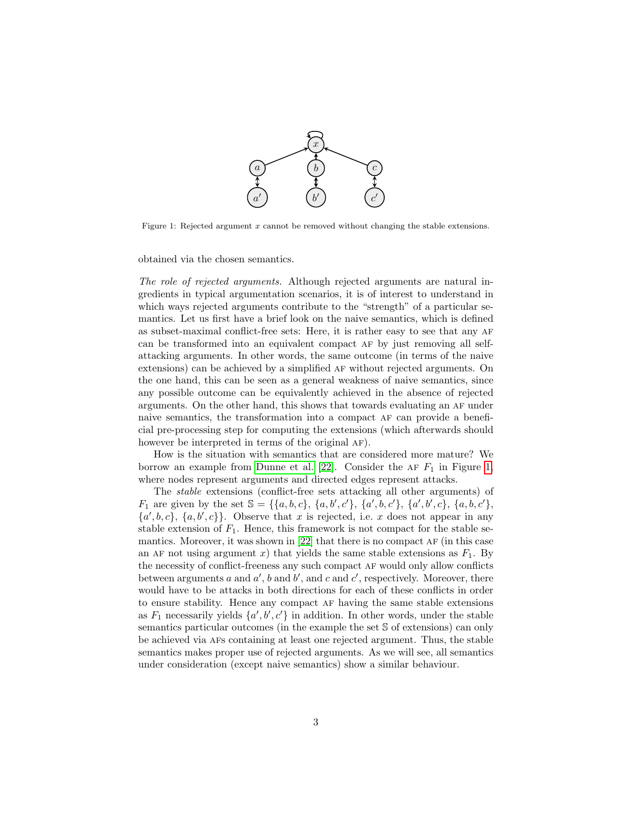

<span id="page-2-0"></span>Figure 1: Rejected argument x cannot be removed without changing the stable extensions.

obtained via the chosen semantics.

The role of rejected arguments. Although rejected arguments are natural ingredients in typical argumentation scenarios, it is of interest to understand in which ways rejected arguments contribute to the "strength" of a particular semantics. Let us first have a brief look on the naive semantics, which is defined as subset-maximal conflict-free sets: Here, it is rather easy to see that any af can be transformed into an equivalent compact af by just removing all selfattacking arguments. In other words, the same outcome (in terms of the naive extensions) can be achieved by a simplified af without rejected arguments. On the one hand, this can be seen as a general weakness of naive semantics, since any possible outcome can be equivalently achieved in the absence of rejected arguments. On the other hand, this shows that towards evaluating an af under naive semantics, the transformation into a compact af can provide a beneficial pre-processing step for computing the extensions (which afterwards should however be interpreted in terms of the original AF).

How is the situation with semantics that are considered more mature? We borrow an example from [Dunne et al.](#page-60-6) [\[22\]](#page-60-6). Consider the AF  $F_1$  in Figure [1,](#page-2-0) where nodes represent arguments and directed edges represent attacks.

The stable extensions (conflict-free sets attacking all other arguments) of  $F_1$  are given by the set  $\mathbb{S} = \{\{a, b, c\}, \{a, b', c'\}, \{a', b, c'\}, \{a', b', c\}, \{a, b, c'\},\$  ${a', b, c}, \{a, b', c\}$ . Observe that x is rejected, i.e. x does not appear in any stable extension of  $F_1$ . Hence, this framework is not compact for the stable semantics. Moreover, it was shown in  $[22]$  that there is no compact AF (in this case an AF not using argument x) that yields the same stable extensions as  $F_1$ . By the necessity of conflict-freeness any such compact af would only allow conflicts between arguments  $a$  and  $a'$ ,  $b$  and  $b'$ , and  $c$  and  $c'$ , respectively. Moreover, there would have to be attacks in both directions for each of these conflicts in order to ensure stability. Hence any compact af having the same stable extensions as  $F_1$  necessarily yields  $\{a', b', c'\}$  in addition. In other words, under the stable semantics particular outcomes (in the example the set S of extensions) can only be achieved via afs containing at least one rejected argument. Thus, the stable semantics makes proper use of rejected arguments. As we will see, all semantics under consideration (except naive semantics) show a similar behaviour.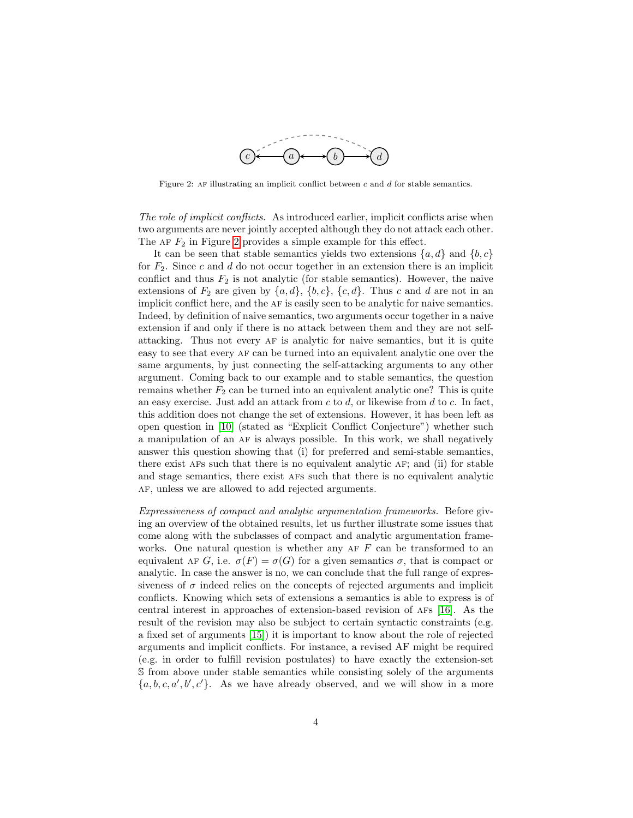

<span id="page-3-0"></span>Figure 2: AF illustrating an implicit conflict between  $c$  and  $d$  for stable semantics.

The role of implicit conflicts. As introduced earlier, implicit conflicts arise when two arguments are never jointly accepted although they do not attack each other. The AF  $F_2$  in Figure [2](#page-3-0) provides a simple example for this effect.

It can be seen that stable semantics yields two extensions  $\{a, d\}$  and  $\{b, c\}$ for  $F_2$ . Since c and d do not occur together in an extension there is an implicit conflict and thus  $F_2$  is not analytic (for stable semantics). However, the naive extensions of  $F_2$  are given by  $\{a, d\}, \{b, c\}, \{c, d\}.$  Thus c and d are not in an implicit conflict here, and the AF is easily seen to be analytic for naive semantics. Indeed, by definition of naive semantics, two arguments occur together in a naive extension if and only if there is no attack between them and they are not selfattacking. Thus not every af is analytic for naive semantics, but it is quite easy to see that every AF can be turned into an equivalent analytic one over the same arguments, by just connecting the self-attacking arguments to any other argument. Coming back to our example and to stable semantics, the question remains whether  $F_2$  can be turned into an equivalent analytic one? This is quite an easy exercise. Just add an attack from  $c$  to  $d$ , or likewise from  $d$  to  $c$ . In fact, this addition does not change the set of extensions. However, it has been left as open question in [\[10\]](#page-59-5) (stated as "Explicit Conflict Conjecture") whether such a manipulation of an AF is always possible. In this work, we shall negatively answer this question showing that (i) for preferred and semi-stable semantics, there exist afs such that there is no equivalent analytic af; and (ii) for stable and stage semantics, there exist afs such that there is no equivalent analytic AF, unless we are allowed to add rejected arguments.

Expressiveness of compact and analytic argumentation frameworks. Before giving an overview of the obtained results, let us further illustrate some issues that come along with the subclasses of compact and analytic argumentation frameworks. One natural question is whether any AF  $F$  can be transformed to an equivalent AF G, i.e.  $\sigma(F) = \sigma(G)$  for a given semantics  $\sigma$ , that is compact or analytic. In case the answer is no, we can conclude that the full range of expressiveness of  $\sigma$  indeed relies on the concepts of rejected arguments and implicit conflicts. Knowing which sets of extensions a semantics is able to express is of central interest in approaches of extension-based revision of afs [\[16\]](#page-59-6). As the result of the revision may also be subject to certain syntactic constraints (e.g. a fixed set of arguments [\[15\]](#page-59-7)) it is important to know about the role of rejected arguments and implicit conflicts. For instance, a revised AF might be required (e.g. in order to fulfill revision postulates) to have exactly the extension-set S from above under stable semantics while consisting solely of the arguments  ${a, b, c, a', b', c'}$ . As we have already observed, and we will show in a more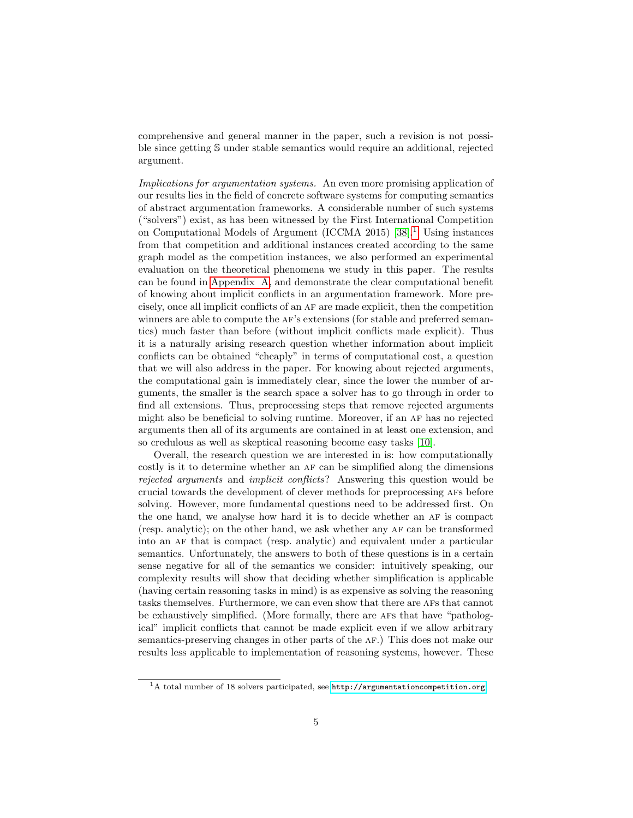comprehensive and general manner in the paper, such a revision is not possible since getting S under stable semantics would require an additional, rejected argument.

Implications for argumentation systems. An even more promising application of our results lies in the field of concrete software systems for computing semantics of abstract argumentation frameworks. A considerable number of such systems ("solvers") exist, as has been witnessed by the First International Competition on Computational Models of Argument (ICCMA 20[1](#page-4-0)5)  $[38]$ <sup>1</sup> Using instances from that competition and additional instances created according to the same graph model as the competition instances, we also performed an experimental evaluation on the theoretical phenomena we study in this paper. The results can be found in [Appendix A,](#page-62-0) and demonstrate the clear computational benefit of knowing about implicit conflicts in an argumentation framework. More precisely, once all implicit conflicts of an af are made explicit, then the competition winners are able to compute the af's extensions (for stable and preferred semantics) much faster than before (without implicit conflicts made explicit). Thus it is a naturally arising research question whether information about implicit conflicts can be obtained "cheaply" in terms of computational cost, a question that we will also address in the paper. For knowing about rejected arguments, the computational gain is immediately clear, since the lower the number of arguments, the smaller is the search space a solver has to go through in order to find all extensions. Thus, preprocessing steps that remove rejected arguments might also be beneficial to solving runtime. Moreover, if an af has no rejected arguments then all of its arguments are contained in at least one extension, and so credulous as well as skeptical reasoning become easy tasks [\[10\]](#page-59-5).

Overall, the research question we are interested in is: how computationally costly is it to determine whether an af can be simplified along the dimensions rejected arguments and implicit conflicts? Answering this question would be crucial towards the development of clever methods for preprocessing afs before solving. However, more fundamental questions need to be addressed first. On the one hand, we analyse how hard it is to decide whether an AF is compact (resp. analytic); on the other hand, we ask whether any af can be transformed into an af that is compact (resp. analytic) and equivalent under a particular semantics. Unfortunately, the answers to both of these questions is in a certain sense negative for all of the semantics we consider: intuitively speaking, our complexity results will show that deciding whether simplification is applicable (having certain reasoning tasks in mind) is as expensive as solving the reasoning tasks themselves. Furthermore, we can even show that there are afs that cannot be exhaustively simplified. (More formally, there are afs that have "pathological" implicit conflicts that cannot be made explicit even if we allow arbitrary semantics-preserving changes in other parts of the af.) This does not make our results less applicable to implementation of reasoning systems, however. These

<span id="page-4-0"></span> $1A$  total number of 18 solvers participated, see <http://argumentationcompetition.org>.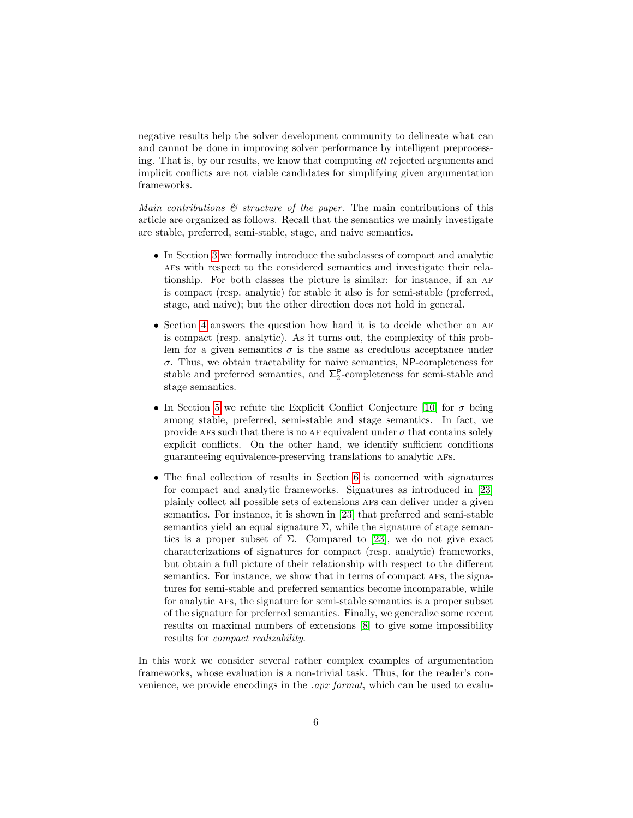negative results help the solver development community to delineate what can and cannot be done in improving solver performance by intelligent preprocessing. That is, by our results, we know that computing all rejected arguments and implicit conflicts are not viable candidates for simplifying given argumentation frameworks.

Main contributions  $\mathcal C$  structure of the paper. The main contributions of this article are organized as follows. Recall that the semantics we mainly investigate are stable, preferred, semi-stable, stage, and naive semantics.

- In Section [3](#page-9-0) we formally introduce the subclasses of compact and analytic afs with respect to the considered semantics and investigate their relationship. For both classes the picture is similar: for instance, if an af is compact (resp. analytic) for stable it also is for semi-stable (preferred, stage, and naive); but the other direction does not hold in general.
- Section [4](#page-17-0) answers the question how hard it is to decide whether an AF is compact (resp. analytic). As it turns out, the complexity of this problem for a given semantics  $\sigma$  is the same as credulous acceptance under  $\sigma$ . Thus, we obtain tractability for naive semantics, NP-completeness for stable and preferred semantics, and  $\Sigma_2^{\mathsf{P}}$ -completeness for semi-stable and stage semantics.
- In Section [5](#page-28-0) we refute the Explicit Conflict Conjecture [\[10\]](#page-59-5) for  $\sigma$  being among stable, preferred, semi-stable and stage semantics. In fact, we provide AFs such that there is no AF equivalent under  $\sigma$  that contains solely explicit conflicts. On the other hand, we identify sufficient conditions guaranteeing equivalence-preserving translations to analytic afs.
- The final collection of results in Section [6](#page-35-0) is concerned with signatures for compact and analytic frameworks. Signatures as introduced in [\[23\]](#page-60-0) plainly collect all possible sets of extensions afs can deliver under a given semantics. For instance, it is shown in [\[23\]](#page-60-0) that preferred and semi-stable semantics yield an equal signature  $\Sigma$ , while the signature of stage semantics is a proper subset of  $\Sigma$ . Compared to [\[23\]](#page-60-0), we do not give exact characterizations of signatures for compact (resp. analytic) frameworks, but obtain a full picture of their relationship with respect to the different semantics. For instance, we show that in terms of compact AFs, the signatures for semi-stable and preferred semantics become incomparable, while for analytic afs, the signature for semi-stable semantics is a proper subset of the signature for preferred semantics. Finally, we generalize some recent results on maximal numbers of extensions [\[8\]](#page-59-8) to give some impossibility results for compact realizability.

In this work we consider several rather complex examples of argumentation frameworks, whose evaluation is a non-trivial task. Thus, for the reader's convenience, we provide encodings in the *apx format*, which can be used to evalu-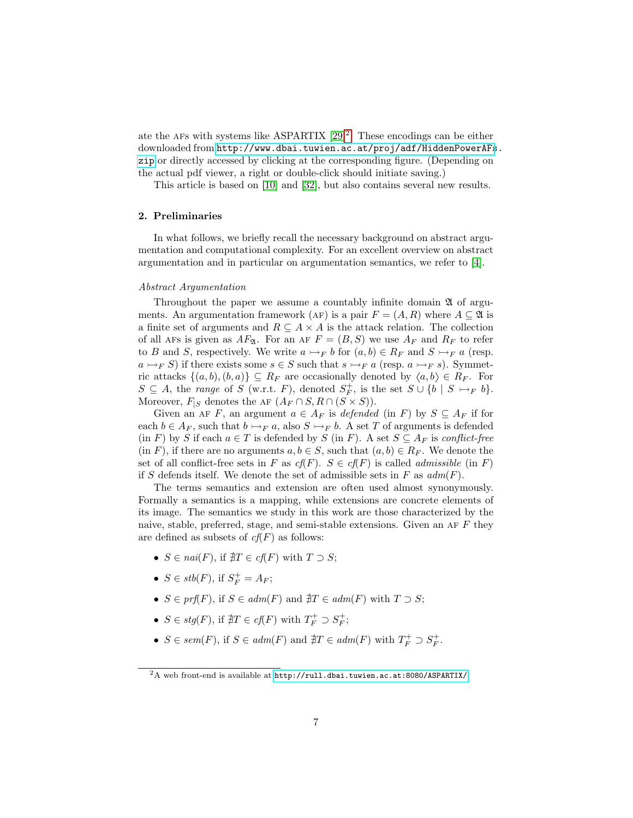ate the  $AFs$  with systems like ASPARTIX  $[29]^2$  $[29]^2$  $[29]^2$ . These encodings can be either downloaded from [http://www.dbai.tuwien.ac.at/proj/adf/HiddenPowerAFs](http://www.dbai.tuwien.ac.at/proj/adf/HiddenPowerAFs.zip). [zip](http://www.dbai.tuwien.ac.at/proj/adf/HiddenPowerAFs.zip) or directly accessed by clicking at the corresponding figure. (Depending on the actual pdf viewer, a right or double-click should initiate saving.)

This article is based on [\[10\]](#page-59-5) and [\[32\]](#page-61-4), but also contains several new results.

## 2. Preliminaries

In what follows, we briefly recall the necessary background on abstract argumentation and computational complexity. For an excellent overview on abstract argumentation and in particular on argumentation semantics, we refer to [\[4\]](#page-58-0).

#### Abstract Argumentation

Throughout the paper we assume a countably infinite domain  $\mathfrak A$  of arguments. An argumentation framework (AF) is a pair  $F = (A, R)$  where  $A \subseteq \mathfrak{A}$  is a finite set of arguments and  $R \subseteq A \times A$  is the attack relation. The collection of all AFs is given as  $AF_{\mathfrak{A}}$ . For an AF  $F = (B, S)$  we use  $A_F$  and  $R_F$  to refer to B and S, respectively. We write  $a \rightarrow_{F} b$  for  $(a, b) \in R_{F}$  and  $S \rightarrow_{F} a$  (resp.  $a \rightarrow_F S$ ) if there exists some  $s \in S$  such that  $s \rightarrow_F a$  (resp.  $a \rightarrow_F s$ ). Symmetric attacks  $\{(a, b), (b, a)\}\subseteq R_F$  are occasionally denoted by  $\langle a, b \rangle \in R_F$ . For  $S \subseteq A$ , the range of S (w.r.t. F), denoted  $S_F^+$ , is the set  $S \cup \{b \mid S \rightarrowtail_F b\}$ . Moreover,  $F_{|S}$  denotes the AF  $(A_F \cap S, R \cap (S \times S)).$ 

Given an AF F, an argument  $a \in A_F$  is defended (in F) by  $S \subseteq A_F$  if for each  $b \in A_F$ , such that  $b \rightarrow_F a$ , also  $S \rightarrow_F b$ . A set T of arguments is defended  $(\text{in } F)$  by S if each  $a \in T$  is defended by S  $(\text{in } F)$ . A set  $S \subseteq A_F$  is conflict-free  $(in F)$ , if there are no arguments  $a, b \in S$ , such that  $(a, b) \in R_F$ . We denote the set of all conflict-free sets in F as  $cf(F)$ .  $S \in cf(F)$  is called *admissible* (in F) if S defends itself. We denote the set of admissible sets in F as  $adm(F)$ .

The terms semantics and extension are often used almost synonymously. Formally a semantics is a mapping, while extensions are concrete elements of its image. The semantics we study in this work are those characterized by the naive, stable, preferred, stage, and semi-stable extensions. Given an  $AF$  they are defined as subsets of  $cf(F)$  as follows:

- $S \in \text{nai}(F)$ , if  $\sharp T \in \text{cf}(F)$  with  $T \supset S$ ;
- $S \in stb(F)$ , if  $S_F^+ = A_F$ ;
- $S \in prf(F)$ , if  $S \in adm(F)$  and  $\sharp T \in adm(F)$  with  $T \supset S$ ;
- $S \in stg(F)$ , if  $\sharp T \in cf(F)$  with  $T_F^+ \supset S_F^+$ ;
- $S \in sem(F)$ , if  $S \in adm(F)$  and  $\sharp T \in adm(F)$  with  $T_F^+ \supset S_F^+$ .

<span id="page-6-0"></span> ${}^{2}$ A web front-end is available at <http://rull.dbai.tuwien.ac.at:8080/ASPARTIX/>.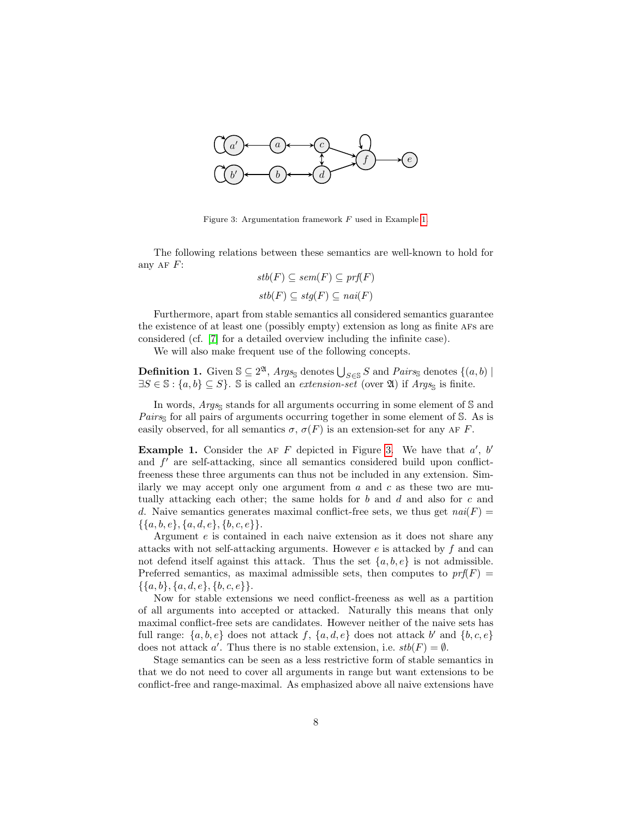<span id="page-7-1"></span>

Figure 3: Argumentation framework F used in Example [1.](#page-7-0)

The following relations between these semantics are well-known to hold for any AF  $F$ :

$$
stb(F) \subseteq sem(F) \subseteq prf(F)
$$

$$
stb(F) \subseteq stg(F) \subseteq nai(F)
$$

Furthermore, apart from stable semantics all considered semantics guarantee the existence of at least one (possibly empty) extension as long as finite afs are considered (cf. [\[7\]](#page-58-4) for a detailed overview including the infinite case).

We will also make frequent use of the following concepts.

<span id="page-7-2"></span>**Definition 1.** Given  $\mathbb{S} \subseteq 2^{\mathfrak{A}}$ , Args<sub>S</sub> denotes  $\bigcup_{S \in \mathbb{S}} S$  and Pairs<sub>S</sub> denotes  $\{(a, b) \mid$  $\exists S \in \mathbb{S} : \{a, b\} \subseteq S\}$ . S is called an *extension-set* (over  $\mathfrak{A}$ ) if  $\text{Arg}_{\mathbb{S}_S}$  is finite.

In words,  $A \textit{rgs}_{\mathbb{S}}$  stands for all arguments occurring in some element of S and Pairs<sub>S</sub> for all pairs of arguments occurring together in some element of  $S$ . As is easily observed, for all semantics  $\sigma$ ,  $\sigma(F)$  is an extension-set for any AF F.

<span id="page-7-0"></span>**Example 1.** Consider the AF  $F$  depicted in Figure [3.](#page-7-1) We have that  $a'$ ,  $b'$ and  $f'$  are self-attacking, since all semantics considered build upon conflictfreeness these three arguments can thus not be included in any extension. Similarly we may accept only one argument from  $a$  and  $c$  as these two are mutually attacking each other; the same holds for  $b$  and  $d$  and also for  $c$  and d. Naive semantics generates maximal conflict-free sets, we thus get  $nai(F)$  =  $\{\{a, b, e\}, \{a, d, e\}, \{b, c, e\}\}.$ 

Argument e is contained in each naive extension as it does not share any attacks with not self-attacking arguments. However  $e$  is attacked by  $f$  and can not defend itself against this attack. Thus the set  $\{a, b, e\}$  is not admissible. Preferred semantics, as maximal admissible sets, then computes to  $\text{prf}(F)$  =  $\{\{a, b\}, \{a, d, e\}, \{b, c, e\}\}.$ 

Now for stable extensions we need conflict-freeness as well as a partition of all arguments into accepted or attacked. Naturally this means that only maximal conflict-free sets are candidates. However neither of the naive sets has full range:  $\{a, b, e\}$  does not attack  $f, \{a, d, e\}$  does not attack b' and  $\{b, c, e\}$ does not attack a'. Thus there is no stable extension, i.e.  $stb(F) = \emptyset$ .

Stage semantics can be seen as a less restrictive form of stable semantics in that we do not need to cover all arguments in range but want extensions to be conflict-free and range-maximal. As emphasized above all naive extensions have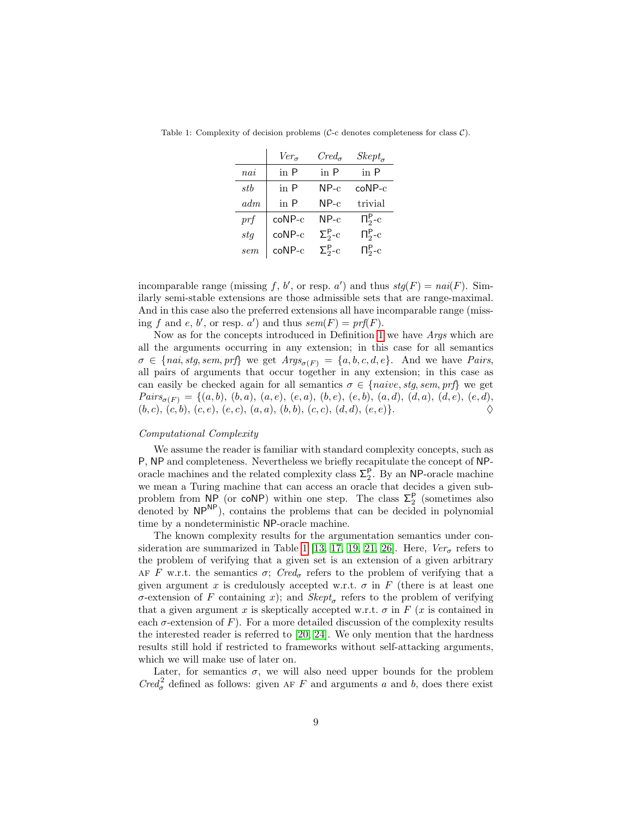|     | $Ver_{\sigma}$               | $Cred_{\sigma}$                       | $Skept_{\sigma}$             |
|-----|------------------------------|---------------------------------------|------------------------------|
| nai | in P                         | in P                                  | $\mathop{\rm in}\nolimits P$ |
| stb | in P                         | $NP-c$                                | $coNP-c$                     |
| adm | $\mathop{\rm in}\nolimits P$ | $NP-c$                                | trivial                      |
| prf | coNP-c                       | $NP-c$                                | $\Pi_{2}^{P}$ -c             |
| stg | $coNP-c$                     | $\Sigma^{\mathsf{P}}_{\mathsf{P}}$ -c | $\Pi_2^{\mathsf{P}}$ -c      |
| sem | $coNP-c$                     | $\Sigma_{2-C}^{P}$                    | $\Pi_2^{\mathsf{P}}$ -c      |

<span id="page-8-0"></span>Table 1: Complexity of decision problems ( $C$ -c denotes completeness for class  $C$ ).

incomparable range (missing f, b', or resp. a') and thus  $stg(F) = \text{na}i(F)$ . Similarly semi-stable extensions are those admissible sets that are range-maximal. And in this case also the preferred extensions all have incomparable range (missing f and e, b', or resp. a') and thus  $sem(F) = prf(F)$ .

Now as for the concepts introduced in Definition [1](#page-7-2) we have Args which are all the arguments occurring in any extension; in this case for all semantics  $\sigma \in \{nai, stg, sem, prf\}$  we get  $Arg_{\sigma(F)} = \{a, b, c, d, e\}$ . And we have *Pairs*, all pairs of arguments that occur together in any extension; in this case as can easily be checked again for all semantics  $\sigma \in \{naive, stg, sem, prf\}$  we get  $Pairs_{\sigma(F)} = \{(a, b), (b, a), (a, e), (e, a), (b, e), (e, b), (a, d), (d, a), (d, e), (e, d),\}$  $(b, c), (c, b), (c, e), (e, c), (a, a), (b, b), (c, c), (d, d), (e, e) \}.$ 

### Computational Complexity

We assume the reader is familiar with standard complexity concepts, such as P, NP and completeness. Nevertheless we briefly recapitulate the concept of NPoracle machines and the related complexity class  $\Sigma_2^P$ . By an NP-oracle machine we mean a Turing machine that can access an oracle that decides a given subproblem from NP (or coNP) within one step. The class  $\Sigma_2^{\text{P}}$  (sometimes also denoted by  $NP^{NP}$ ), contains the problems that can be decided in polynomial time by a nondeterministic NP-oracle machine.

The known complexity results for the argumentation semantics under con-sideration are summarized in Table [1](#page-8-0) [\[13,](#page-59-3) [17,](#page-59-9) [19,](#page-60-3) [21,](#page-60-4) [26\]](#page-60-8). Here,  $Ver_{\sigma}$  refers to the problem of verifying that a given set is an extension of a given arbitrary AF F w.r.t. the semantics  $\sigma$ ; Cred<sub> $\sigma$ </sub> refers to the problem of verifying that a given argument x is credulously accepted w.r.t.  $\sigma$  in F (there is at least one  $\sigma$ -extension of F containing x); and  $Skept_{\sigma}$  refers to the problem of verifying that a given argument x is skeptically accepted w.r.t.  $\sigma$  in F (x is contained in each  $\sigma$ -extension of F). For a more detailed discussion of the complexity results the interested reader is referred to [\[20,](#page-60-9) [24\]](#page-60-10). We only mention that the hardness results still hold if restricted to frameworks without self-attacking arguments, which we will make use of later on.

Later, for semantics  $\sigma$ , we will also need upper bounds for the problem  $Cred_{\sigma}^{2}$  defined as follows: given AF F and arguments a and b, does there exist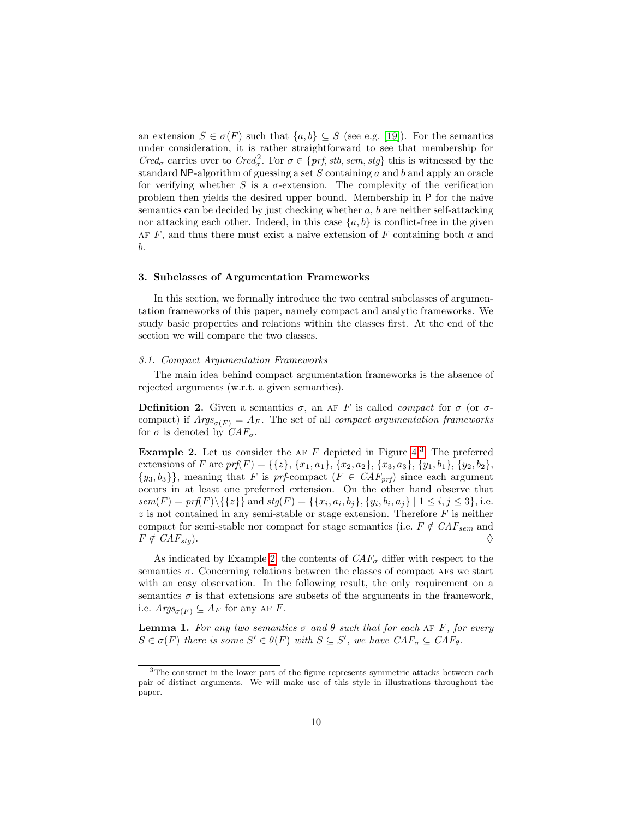an extension  $S \in \sigma(F)$  such that  $\{a, b\} \subseteq S$  (see e.g. [\[19\]](#page-60-3)). For the semantics under consideration, it is rather straightforward to see that membership for  $Cred_{\sigma}$  carries over to  $Cred_{\sigma}^2$ . For  $\sigma \in \{prf, stb, sem, stg\}$  this is witnessed by the standard NP-algorithm of guessing a set  $S$  containing  $a$  and  $b$  and apply an oracle for verifying whether S is a  $\sigma$ -extension. The complexity of the verification problem then yields the desired upper bound. Membership in P for the naive semantics can be decided by just checking whether  $a, b$  are neither self-attacking nor attacking each other. Indeed, in this case  $\{a, b\}$  is conflict-free in the given AF  $F$ , and thus there must exist a naive extension of  $F$  containing both  $a$  and b.

### <span id="page-9-0"></span>3. Subclasses of Argumentation Frameworks

In this section, we formally introduce the two central subclasses of argumentation frameworks of this paper, namely compact and analytic frameworks. We study basic properties and relations within the classes first. At the end of the section we will compare the two classes.

### 3.1. Compact Argumentation Frameworks

The main idea behind compact argumentation frameworks is the absence of rejected arguments (w.r.t. a given semantics).

**Definition 2.** Given a semantics  $\sigma$ , an AF F is called *compact* for  $\sigma$  (or  $\sigma$ compact) if  $Args_{\sigma(F)} = A_F$ . The set of all compact argumentation frameworks for  $\sigma$  is denoted by  $CAF_{\sigma}$ .

<span id="page-9-2"></span>**Example 2.** Let us consider the AF  $F$  depicted in Figure [4.](#page-10-0)<sup>[3](#page-9-1)</sup> The preferred extensions of F are  $prf(F) = \{\{z\}, \{x_1, a_1\}, \{x_2, a_2\}, \{x_3, a_3\}, \{y_1, b_1\}, \{y_2, b_2\},\$  $\{y_3, b_3\}$ , meaning that F is prf-compact  $(F \in \text{CAF}_{\text{prf}})$  since each argument occurs in at least one preferred extension. On the other hand observe that  $sem(F) = prf(F) \setminus \{\{z\}\}\$ and  $stg(F) = \{\{x_i, a_i, b_j\}, \{y_i, b_i, a_j\} \mid 1 \leq i, j \leq 3\}, \text{ i.e.}$  $z$  is not contained in any semi-stable or stage extension. Therefore  $F$  is neither compact for semi-stable nor compact for stage semantics (i.e.  $F \notin CAF_{sem}$  and  $F \notin CAF_{stg}$ ).  $\Diamond$ 

As indicated by Example [2,](#page-9-2) the contents of  $CAF_{\sigma}$  differ with respect to the semantics  $\sigma$ . Concerning relations between the classes of compact AFs we start with an easy observation. In the following result, the only requirement on a semantics  $\sigma$  is that extensions are subsets of the arguments in the framework, i.e.  $Args_{\sigma(F)} \subseteq A_F$  for any AF F.

<span id="page-9-3"></span>**Lemma 1.** For any two semantics  $\sigma$  and  $\theta$  such that for each AF F, for every  $S \in \sigma(F)$  there is some  $S' \in \theta(F)$  with  $S \subseteq S'$ , we have  $CAF_{\sigma} \subseteq CAR_{\theta}$ .

<span id="page-9-1"></span> $3$ The construct in the lower part of the figure represents symmetric attacks between each pair of distinct arguments. We will make use of this style in illustrations throughout the paper.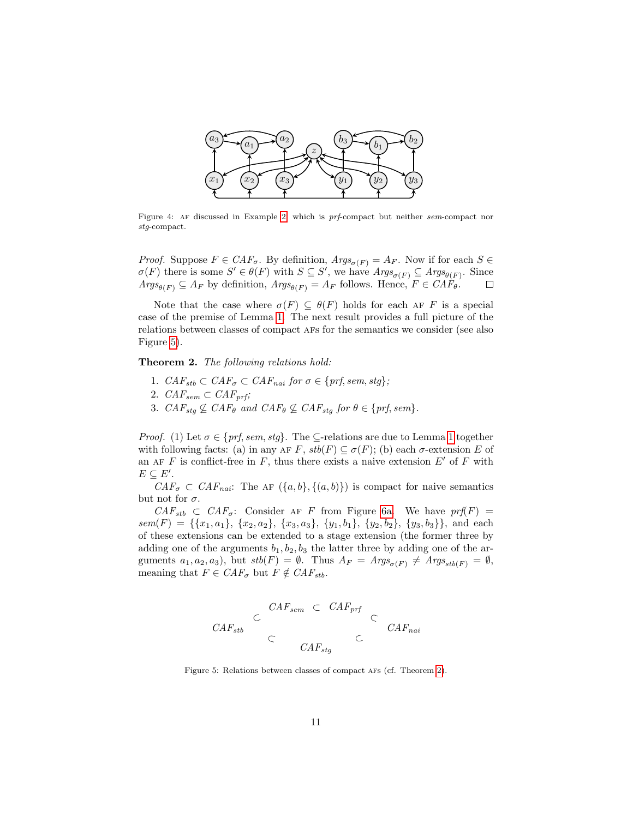<span id="page-10-0"></span>

Figure 4: af discussed in Example [2,](#page-9-2) which is prf-compact but neither sem-compact nor stg-compact.

*Proof.* Suppose  $F \in CAF_{\sigma}$ . By definition,  $Args_{\sigma(F)} = A_F$ . Now if for each  $S \in$  $\sigma(F)$  there is some  $S' \in \theta(F)$  with  $S \subseteq S'$ , we have  $Args_{\sigma(F)} \subseteq Args_{\theta(F)}$ . Since  $Args_{\theta(F)} \subseteq A_F$  by definition,  $Args_{\theta(F)} = A_F$  follows. Hence,  $F \in CAF_{\theta}$ .  $\Box$ 

Note that the case where  $\sigma(F) \subseteq \theta(F)$  holds for each AF F is a special case of the premise of Lemma [1.](#page-9-3) The next result provides a full picture of the relations between classes of compact afs for the semantics we consider (see also Figure [5\)](#page-10-1).

<span id="page-10-2"></span>Theorem 2. The following relations hold:

- 1.  $CAF_{stb} \subset CAT_{\sigma} \subset CAT_{nai}$  for  $\sigma \in \{prf, sem, stg\};$
- 2.  $CAF_{sem} \subset CAF_{prf}$ ;
- 3.  $CAF_{stq} \nsubseteq \text{CAF}_{\theta} \text{ and } \text{CAF}_{\theta} \nsubseteq \text{CAF}_{stq} \text{ for } \theta \in \{prf, sem\}.$

*Proof.* (1) Let  $\sigma \in \{prf, sem, stg\}$ . The ⊂-relations are due to Lemma [1](#page-9-3) together with following facts: (a) in any AF F,  $stb(F) \subseteq \sigma(F)$ ; (b) each  $\sigma$ -extension E of an AF  $F$  is conflict-free in  $F$ , thus there exists a naive extension  $E'$  of  $F$  with  $E \subseteq E'.$ 

 $CAF_{\sigma} \subset CAT_{nai}:$  The AF  $(\{a, b\}, \{(a, b\})$  is compact for naive semantics but not for  $\sigma$ .

 $CAF_{stb} \subset CAF_{\sigma}$ : Consider AF F from Figure [6a.](#page-11-0) We have  $prf(F) =$  $sem(F) = \{\{x_1, a_1\}, \{x_2, a_2\}, \{x_3, a_3\}, \{y_1, b_1\}, \{y_2, b_2\}, \{y_3, b_3\}\}\$ , and each of these extensions can be extended to a stage extension (the former three by adding one of the arguments  $b_1, b_2, b_3$  the latter three by adding one of the arguments  $a_1, a_2, a_3$ , but  $stb(F) = \emptyset$ . Thus  $A_F = \text{Args}_{\sigma(F)} \neq \text{Args}_{stb(F)} = \emptyset$ , meaning that  $F \in CAF_{\sigma}$  but  $F \notin CAF_{stb}$ .

<span id="page-10-1"></span>
$$
CAF_{\text{stb}} \quad \subset \quad \begin{array}{ccccc} \begin{array}{ccc} CAF_{\text{sem}} & \subset & CAF_{\text{prf}} & & \\ & \subset & & \subset & \\ & & \subset & & \\ & & CAF_{\text{stg}} & & \end{array} & & & \\ & & & CAF_{\text{stg}} & & \end{array}
$$

Figure 5: Relations between classes of compact afs (cf. Theorem [2\)](#page-10-2).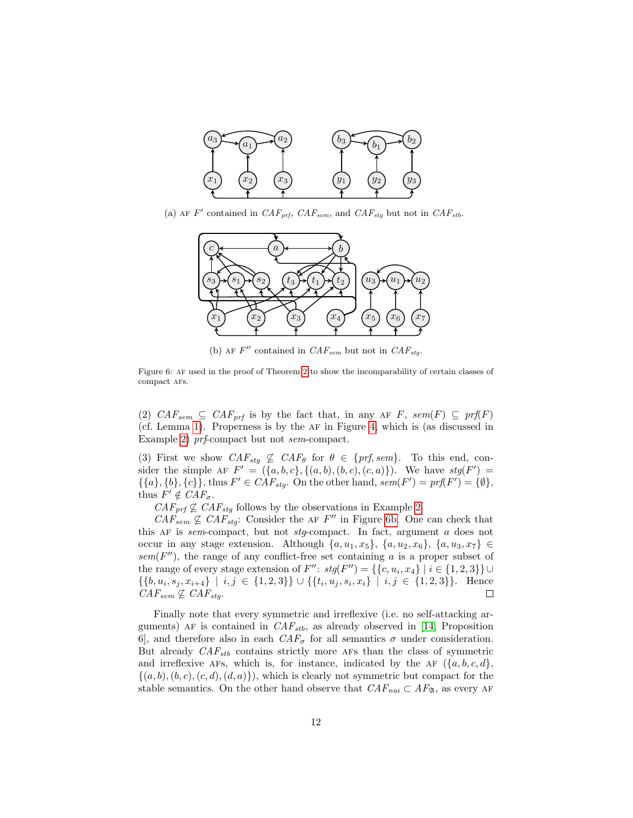<span id="page-11-0"></span>

(a) AF  $F'$  contained in  $CAF_{prf}$ ,  $CAF_{sem}$ , and  $CAF_{stg}$  but not in  $CAF_{stb}$ .



(b) AF  $F''$  contained in  $CAF_{sem}$  but not in  $CAF_{stg}$ .

Figure 6: af used in the proof of Theorem [2](#page-10-2) to show the incomparability of certain classes of compact afs.

(2)  $CAF_{sem} \subseteq \text{CAF}_{prf}$  is by the fact that, in any AF F, sem(F)  $\subseteq \text{prf}(F)$ (cf. Lemma [1\)](#page-9-3). Properness is by the af in Figure [4,](#page-10-0) which is (as discussed in Example [2\)](#page-9-2) prf-compact but not sem-compact.

(3) First we show  $CAF_{stg} \not\subseteq \mathit{CAF}_{\theta}$  for  $\theta \in \{prf, sem\}.$  To this end, consider the simple AF  $F' = (\{a, b, c\}, \{(a, b), (b, c), (c, a)\})$ . We have  $stg(F') =$  $\{\{a\}, \{b\}, \{c\}\}\$ , thus  $F' \in \mathit{CAF}_{\mathit{stg}}$ . On the other hand,  $\mathit{sem}(F') = \mathit{prf}(F') = \{\emptyset\}$ , thus  $F' \notin CAF_{\sigma}$ .

 $CAF_{prf} \nsubseteq \text{CAF}_{stq}$  follows by the observations in Example [2.](#page-9-2)

 $CAF_{sem} \nsubseteq \text{CAF}_{stg}:$  Consider the AF  $F''$  in Figure [6b.](#page-11-0) One can check that this AF is sem-compact, but not  $stg$ -compact. In fact, argument  $a$  does not occur in any stage extension. Although  $\{a, u_1, x_5\}$ ,  $\{a, u_2, x_6\}$ ,  $\{a, u_3, x_7\}$  ∈  $sem(F'')$ , the range of any conflict-free set containing a is a proper subset of the range of every stage extension of  $F''$ :  $stg(F'') = \{\{c, u_i, x_4\} \mid i \in \{1, 2, 3\}\}$  $\{\{b, u_i, s_j, x_{i+4}\} \mid i, j \in \{1, 2, 3\}\} \cup \{\{t_i, u_j, s_i, x_i\} \mid i, j \in \{1, 2, 3\}\}.$  Hence  $CAF_{sem} \nsubseteq \text{CAF}_{stg}.$  $\Box$ 

Finally note that every symmetric and irreflexive (i.e. no self-attacking arguments) AF is contained in  $CAF_{stb}$ , as already observed in [\[14,](#page-59-4) Proposition 6, and therefore also in each  $CAF_{\sigma}$  for all semantics  $\sigma$  under consideration. But already  $CAF_{stb}$  contains strictly more AFs than the class of symmetric and irreflexive AFs, which is, for instance, indicated by the AF  $({a, b, c, d},$  $\{(a, b), (b, c), (c, d), (d, a)\}\)$ , which is clearly not symmetric but compact for the stable semantics. On the other hand observe that  $CAF_{nai} \subset AF_{\mathfrak{A}}$ , as every AF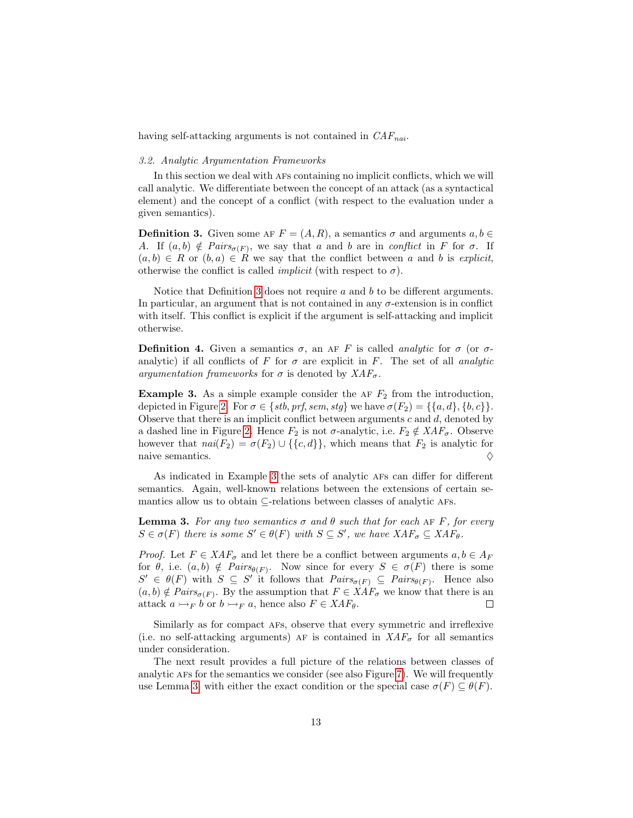having self-attacking arguments is not contained in  $CAF_{nai}$ .

### <span id="page-12-3"></span>3.2. Analytic Argumentation Frameworks

In this section we deal with afs containing no implicit conflicts, which we will call analytic. We differentiate between the concept of an attack (as a syntactical element) and the concept of a conflict (with respect to the evaluation under a given semantics).

<span id="page-12-0"></span>**Definition 3.** Given some AF  $F = (A, R)$ , a semantics  $\sigma$  and arguments  $a, b \in$ A. If  $(a, b) \notin \text{Pairs}_{\sigma(F)}$ , we say that a and b are in conflict in F for  $\sigma$ . If  $(a, b) \in R$  or  $(b, a) \in R$  we say that the conflict between a and b is explicit, otherwise the conflict is called *implicit* (with respect to  $\sigma$ ).

Notice that Definition [3](#page-12-0) does not require  $a$  and  $b$  to be different arguments. In particular, an argument that is not contained in any  $\sigma$ -extension is in conflict with itself. This conflict is explicit if the argument is self-attacking and implicit otherwise.

<span id="page-12-4"></span>**Definition 4.** Given a semantics  $\sigma$ , an AF F is called *analytic* for  $\sigma$  (or  $\sigma$ analytic) if all conflicts of F for  $\sigma$  are explicit in F. The set of all *analytic* argumentation frameworks for  $\sigma$  is denoted by  $XAF_{\sigma}$ .

<span id="page-12-1"></span>**Example 3.** As a simple example consider the AF  $F_2$  from the introduction, depicted in Figure [2.](#page-3-0) For  $\sigma \in \{stb, prf, sem, stg\}$  we have  $\sigma(F_2) = \{\{a, d\}, \{b, c\}\}.$ Observe that there is an implicit conflict between arguments  $c$  and  $d$ , denoted by a dashed line in Figure [2.](#page-3-0) Hence  $F_2$  is not  $\sigma$ -analytic, i.e.  $F_2 \notin XAF_{\sigma}$ . Observe however that  $nai(F_2) = \sigma(F_2) \cup \{\{c, d\}\}\$ , which means that  $F_2$  is analytic for naive semantics.  $\Diamond$ 

As indicated in Example [3](#page-12-1) the sets of analytic AFs can differ for different semantics. Again, well-known relations between the extensions of certain semantics allow us to obtain  $\subseteq$ -relations between classes of analytic AFs.

<span id="page-12-2"></span>**Lemma 3.** For any two semantics  $\sigma$  and  $\theta$  such that for each AF F, for every  $S \in \sigma(F)$  there is some  $S' \in \theta(F)$  with  $S \subseteq S'$ , we have  $XAF_{\sigma} \subseteq XAF_{\theta}$ .

*Proof.* Let  $F \in XAF_{\sigma}$  and let there be a conflict between arguments  $a, b \in A_F$ for  $\theta$ , i.e.  $(a, b) \notin \text{Pairs}_{\theta(F)}$ . Now since for every  $S \in \sigma(F)$  there is some  $S' \in \theta(F)$  with  $S \subseteq S'$  it follows that  $Pairs_{\sigma(F)} \subseteq \text{Pairs}_{\theta(F)}$ . Hence also  $(a, b) \notin Pairs_{\sigma(F)}$ . By the assumption that  $F \in XAF_{\sigma}$  we know that there is an attack  $a \rightarrow_F b$  or  $b \rightarrow_F a$ , hence also  $F \in XAF_{\theta}$ .  $\Box$ 

Similarly as for compact afs, observe that every symmetric and irreflexive (i.e. no self-attacking arguments) AF is contained in  $XAF_{\sigma}$  for all semantics under consideration.

The next result provides a full picture of the relations between classes of analytic afs for the semantics we consider (see also Figure [7\)](#page-13-0). We will frequently use Lemma [3,](#page-12-2) with either the exact condition or the special case  $\sigma(F) \subseteq \theta(F)$ .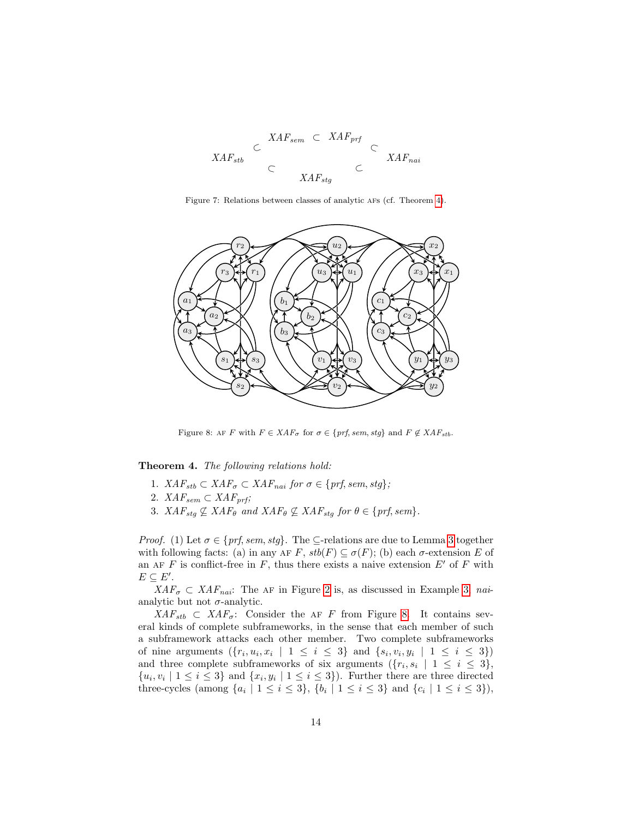<span id="page-13-0"></span>

Figure 7: Relations between classes of analytic AFs (cf. Theorem [4\)](#page-13-1).

<span id="page-13-2"></span>

Figure 8: AF F with  $F \in XAF_{\sigma}$  for  $\sigma \in \{prf, sem, stg\}$  and  $F \notin XAF_{stb}$ .

<span id="page-13-1"></span>Theorem 4. The following relations hold:

- 1.  $XAF_{stb} \subset XAF_{\sigma} \subset XAF_{nai}$  for  $\sigma \in \{prf, sem, stg\};$
- 2.  $XAF_{sem} \subset XAF_{prf}$ ;
- 3.  $XAF_{stq} \nsubseteq XAF_{\theta}$  and  $XAF_{\theta} \nsubseteq XAF_{stq}$  for  $\theta \in \{prf, sem\}.$

*Proof.* (1) Let  $\sigma \in \{prf, sem, stg\}$ . The  $\subseteq$ -relations are due to Lemma [3](#page-12-2) together with following facts: (a) in any AF F,  $stb(F) \subseteq \sigma(F)$ ; (b) each  $\sigma$ -extension E of an AF F is conflict-free in F, thus there exists a naive extension  $E'$  of F with  $E \subseteq E'.$ 

 $XAF_{\sigma} \subset XAF_{nai}:$  The AF in Figure [2](#page-3-0) is, as discussed in Example [3,](#page-12-1) naianalytic but not  $\sigma$ -analytic.

 $XAF_{stb} \subset XAF_{\sigma}$ : Consider the AF F from Figure [8.](#page-13-2) It contains several kinds of complete subframeworks, in the sense that each member of such a subframework attacks each other member. Two complete subframeworks of nine arguments  $(\{r_i, u_i, x_i \mid 1 \leq i \leq 3\}$  and  $\{s_i, v_i, y_i \mid 1 \leq i \leq 3\})$ and three complete subframeworks of six arguments  $({r_i, s_i \mid 1 \le i \le 3},$  $\{u_i, v_i \mid 1 \leq i \leq 3\}$  and  $\{x_i, y_i \mid 1 \leq i \leq 3\}$ ). Further there are three directed three-cycles (among  $\{a_i \mid 1 \le i \le 3\}$ ,  $\{b_i \mid 1 \le i \le 3\}$  and  $\{c_i \mid 1 \le i \le 3\}$ ),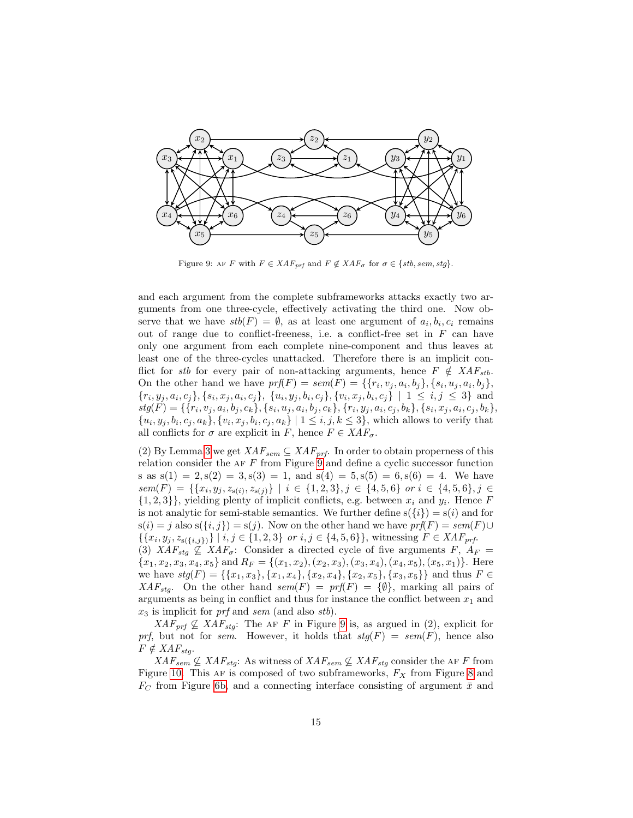<span id="page-14-0"></span>

Figure 9: AF F with  $F \in XAF_{prf}$  and  $F \notin XAF_{\sigma}$  for  $\sigma \in \{stb, sem, stg\}.$ 

and each argument from the complete subframeworks attacks exactly two arguments from one three-cycle, effectively activating the third one. Now observe that we have  $stb(F) = \emptyset$ , as at least one argument of  $a_i, b_i, c_i$  remains out of range due to conflict-freeness, i.e. a conflict-free set in  $F$  can have only one argument from each complete nine-component and thus leaves at least one of the three-cycles unattacked. Therefore there is an implicit conflict for stb for every pair of non-attacking arguments, hence  $F \notin XAF_{stb}$ . On the other hand we have  $\text{prf}(F) = \text{sem}(F) = \{ \{r_i, v_j, a_i, b_j\}, \{s_i, u_j, a_i, b_j\},\}$  $\{r_i, y_j, a_i, c_j\}, \{s_i, x_j, a_i, c_j\}, \{u_i, y_j, b_i, c_j\}, \{v_i, x_j, b_i, c_j\} \mid 1 \leq i, j \leq 3\}$  and  $stg(F) = \{\{r_i, v_j, a_i, b_j, c_k\}, \{s_i, u_j, a_i, b_j, c_k\}, \{r_i, y_j, a_i, c_j, b_k\}, \{s_i, x_j, a_i, c_j, b_k\},\}$  $\{u_i, y_j, b_i, c_j, a_k\}, \{v_i, x_j, b_i, c_j, a_k\} \mid 1 \leq i, j, k \leq 3\},\$  which allows to verify that all conflicts for  $\sigma$  are explicit in F, hence  $F \in XAF_{\sigma}$ .

(2) By Lemma [3](#page-12-2) we get  $XAF_{sem} \subseteq XAF_{prf}$ . In order to obtain properness of this relation consider the  $AF$   $F$  from Figure [9](#page-14-0) and define a cyclic successor function s as  $s(1) = 2, s(2) = 3, s(3) = 1$ , and  $s(4) = 5, s(5) = 6, s(6) = 4$ . We have  $sem(F) = \{ \{x_i, y_j, z_{s(i)}, z_{s(j)}\} \mid i \in \{1, 2, 3\}, j \in \{4, 5, 6\} \text{ or } i \in \{4, 5, 6\}, j \in$  $\{1,2,3\}$ , yielding plenty of implicit conflicts, e.g. between  $x_i$  and  $y_i$ . Hence F is not analytic for semi-stable semantics. We further define  $s({i}) = s(i)$  and for  $s(i) = j$  also  $s({i, j}) = s(j)$ . Now on the other hand we have  $prf(F) = sem(F) \cup$  $\{\{x_i, y_j, z_{s(\{i,j\})}\}\}\$ ,  $j \in \{1, 2, 3\}$  or  $i, j \in \{4, 5, 6\}\}$ , witnessing  $F \in XAF_{prf}$ . (3)  $XAF_{stg} \nsubseteq XAF_{\sigma}$ : Consider a directed cycle of five arguments  $F, A_F =$  ${x_1, x_2, x_3, x_4, x_5}$  and  $R_F = \{(x_1, x_2), (x_2, x_3), (x_3, x_4), (x_4, x_5), (x_5, x_1)\}.$  Here we have  $stg(F) = \{\{x_1, x_3\}, \{x_1, x_4\}, \{x_2, x_4\}, \{x_2, x_5\}, \{x_3, x_5\}\}\$  and thus  $F \in$  $XAF_{stq}$ . On the other hand  $sem(F) = prf(F) = {\emptyset}$ , marking all pairs of arguments as being in conflict and thus for instance the conflict between  $x_1$  and  $x_3$  is implicit for *prf* and *sem* (and also *stb*). x<sub>6</sub><br>
x<sub>6</sub><br>
x<sub>6</sub><br>
x<sub>6</sub><br>
x<sub>6</sub><br>
x<sub>6</sub><br>
x<sub>6</sub><br>
x<sub>6</sub><br>
x<sub>6</sub><br>
x<sub>6</sub><br>
x<sub>6</sub><br>
x<sub>6</sub><br>
x<sub>6</sub><br>
x<sub>6</sub><br>
x<sub>6</sub><br>
x<sub>6</sub><br>
x<sub>6</sub><br>
x<sub>6</sub><br>
x<sup>6</sup><br>
x<sup>6</sup><br>
x<sup>6</sup><br>
x<sup>6</sup><br>
x<sup>6</sup><br>
x<sup>6</sup><br>
x<sup>6</sup><br>
x<sup>6</sup><br>
x<sup>6</sup><br>
x<sup>6</sup><br>
x<sup>6</sup><br>
x<sup>6</sup><br>
x<sup>6</sup><br>
x<sup>6</sup><br>
x<sup>6</sup><br>
x<sup>6</sup><br>
x<sup>6</sup><br>
x<sup>6</sup><br>
x<sup>6</sup><br>

 $XAF_{prf} \nsubseteq XAF_{stg}:$  The AF F in Figure [9](#page-14-0) is, as argued in (2), explicit for prf, but not for sem. However, it holds that  $stg(F) = sem(F)$ , hence also  $F \notin XAF_{sta}$ .

 $XAF_{sem} \nsubseteq XAF_{stg}$ : As witness of  $XAF_{sem} \nsubseteq XAF_{stg}$  consider the AF F from Figure [10.](#page-15-0) This AF is composed of two subframeworks,  $F_X$  from Figure [8](#page-13-2) and  $F_C$  from Figure [6b,](#page-11-0) and a connecting interface consisting of argument  $\bar{x}$  and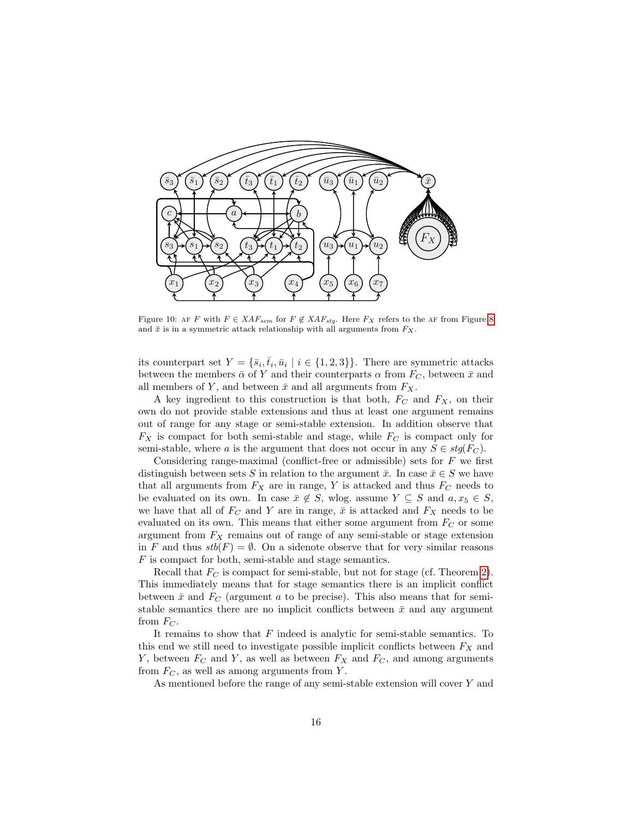<span id="page-15-0"></span>

Figure 10: AF F with  $F \in XAF_{sem}$  for  $F \notin XAF_{sta}$ . Here  $F_X$  refers to the AF from Figure [8](#page-13-2) and  $\bar{x}$  is in a symmetric attack relationship with all arguments from  $F_X$ .

its counterpart set  $Y = \{\bar{s}_i, \bar{t}_i, \bar{u}_i \mid i \in \{1, 2, 3\}\}\.$  There are symmetric attacks between the members  $\bar{\alpha}$  of Y and their counterparts  $\alpha$  from  $F_C$ , between  $\bar{x}$  and all members of Y, and between  $\bar{x}$  and all arguments from  $F_X$ .

A key ingredient to this construction is that both,  $F_C$  and  $F_X$ , on their own do not provide stable extensions and thus at least one argument remains out of range for any stage or semi-stable extension. In addition observe that  $F_X$  is compact for both semi-stable and stage, while  $F_C$  is compact only for semi-stable, where a is the argument that does not occur in any  $S \in stg(F_C)$ .

Considering range-maximal (conflict-free or admissible) sets for  $F$  we first distinguish between sets S in relation to the argument  $\bar{x}$ . In case  $\bar{x} \in S$  we have that all arguments from  $F_X$  are in range, Y is attacked and thus  $F_C$  needs to be evaluated on its own. In case  $\bar{x} \notin S$ , wlog. assume  $Y \subseteq S$  and  $a, x_5 \in S$ , we have that all of  $F_C$  and Y are in range,  $\bar{x}$  is attacked and  $F_X$  needs to be evaluated on its own. This means that either some argument from  $F_C$  or some argument from  $F_X$  remains out of range of any semi-stable or stage extension in F and thus  $stb(F) = \emptyset$ . On a sidenote observe that for very similar reasons F is compact for both, semi-stable and stage semantics.  $\begin{tabular}{|c|c|} \hline $\mathcal{C}$ & $\mathcal{C}$ & $\mathcal{C}$ & $\mathcal{C}$ & $\mathcal{C}$ \\ \hline $\mathcal{C}$ & $\mathcal{C}$ & $\mathcal{C}$ & $\mathcal{C}$ & $\mathcal{C}$ \\ \hline $\mathcal{C}$ & $\mathcal{C}$ & $\mathcal{C}$ & $\mathcal{C}$ \\ \hline $\mathcal{C}$ & $\mathcal{C}$ & $\mathcal{C}$ & $\mathcal{C}$ \\ \hline $\mathcal{C}$ & $\mathcal{C}$ & $\mathcal{C}$ & $\mathcal{C}$ \\ \hline $\mathcal{C}$ & $\mathcal{C}$ & $\mathcal{C}$ \\ \hline $\mathcal{C}$ & $\mathcal{C$ 

Recall that  $F_C$  is compact for semi-stable, but not for stage (cf. Theorem [2\)](#page-10-2). This immediately means that for stage semantics there is an implicit conflict between  $\bar{x}$  and  $F_C$  (argument a to be precise). This also means that for semistable semantics there are no implicit conflicts between  $\bar{x}$  and any argument from  $F_C$ .

It remains to show that  $F$  indeed is analytic for semi-stable semantics. To this end we still need to investigate possible implicit conflicts between  $F_X$  and Y, between  $F_C$  and Y, as well as between  $F_X$  and  $F_C$ , and among arguments from  $F_C$ , as well as among arguments from Y.

As mentioned before the range of any semi-stable extension will cover  $Y$  and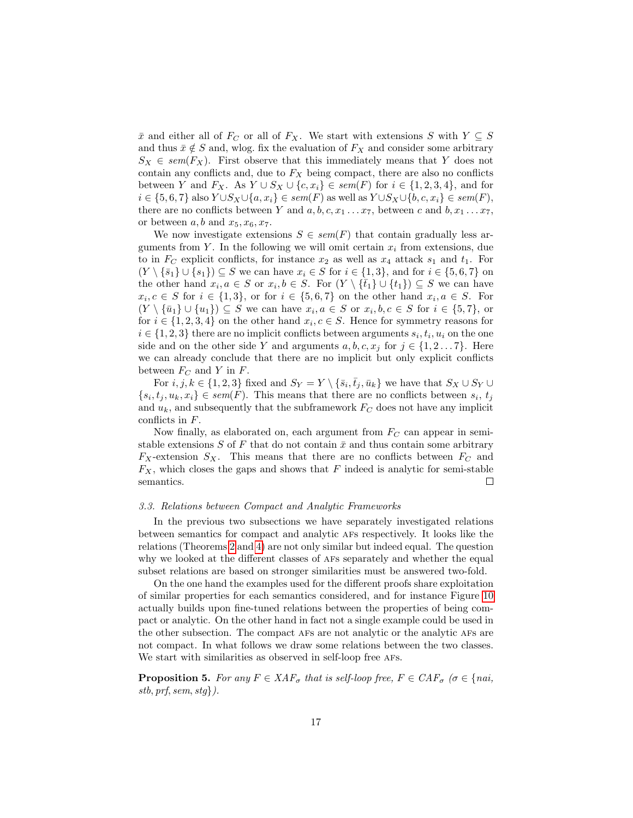$\bar{x}$  and either all of  $F_C$  or all of  $F_X$ . We start with extensions S with  $Y \subseteq S$ and thus  $\bar{x} \notin S$  and, wlog. fix the evaluation of  $F_X$  and consider some arbitrary  $S_X \in sem(F_X)$ . First observe that this immediately means that Y does not contain any conflicts and, due to  $F_X$  being compact, there are also no conflicts between Y and  $F_X$ . As  $Y \cup S_X \cup \{c, x_i\} \in sem(F)$  for  $i \in \{1, 2, 3, 4\}$ , and for  $i \in \{5, 6, 7\}$  also  $Y \cup S_X \cup \{a, x_i\} \in sem(F)$  as well as  $Y \cup S_X \cup \{b, c, x_i\} \in sem(F)$ , there are no conflicts between Y and  $a, b, c, x_1 \ldots x_7$ , between c and  $b, x_1 \ldots x_7$ , or between  $a, b$  and  $x_5, x_6, x_7$ .

We now investigate extensions  $S \in sem(F)$  that contain gradually less arguments from Y. In the following we will omit certain  $x_i$  from extensions, due to in  $F_C$  explicit conflicts, for instance  $x_2$  as well as  $x_4$  attack  $s_1$  and  $t_1$ . For  $(Y \setminus {\overline{s}_1} \cup {\overline{s}_1}) \subseteq S$  we can have  $x_i \in S$  for  $i \in \{1,3\}$ , and for  $i \in \{5,6,7\}$  on the other hand  $x_i, a \in S$  or  $x_i, b \in S$ . For  $(Y \setminus {\overline{t}_1} \cup {\overline{t}_1}) \subseteq S$  we can have  $x_i, c \in S$  for  $i \in \{1,3\}$ , or for  $i \in \{5,6,7\}$  on the other hand  $x_i, a \in S$ . For  $(Y \setminus {\overline{u}_1} \cup {\overline{u}_1}) \subseteq S$  we can have  $x_i, a \in S$  or  $x_i, b, c \in S$  for  $i \in \{5, 7\}$ , or for  $i \in \{1, 2, 3, 4\}$  on the other hand  $x_i, c \in S$ . Hence for symmetry reasons for  $i \in \{1, 2, 3\}$  there are no implicit conflicts between arguments  $s_i, t_i, u_i$  on the one side and on the other side Y and arguments  $a, b, c, x_j$  for  $j \in \{1, 2 \dots 7\}$ . Here we can already conclude that there are no implicit but only explicit conflicts between  $F_C$  and Y in F.

For  $i, j, k \in \{1, 2, 3\}$  fixed and  $S_Y = Y \setminus {\{\overline{s}_i, \overline{t}_j, \overline{u}_k\}}$  we have that  $S_X \cup S_Y \cup$  $\{s_i, t_j, u_k, x_i\} \in sem(F)$ . This means that there are no conflicts between  $s_i, t_j$ and  $u_k$ , and subsequently that the subframework  $F_C$  does not have any implicit conflicts in  $F$ .

Now finally, as elaborated on, each argument from  $F_C$  can appear in semistable extensions  $S$  of  $F$  that do not contain  $\bar{x}$  and thus contain some arbitrary  $F_X$ -extension  $S_X$ . This means that there are no conflicts between  $F_C$  and  $F_X$ , which closes the gaps and shows that F indeed is analytic for semi-stable semantics.  $\Box$ 

## 3.3. Relations between Compact and Analytic Frameworks

In the previous two subsections we have separately investigated relations between semantics for compact and analytic afs respectively. It looks like the relations (Theorems [2](#page-10-2) and [4\)](#page-13-1) are not only similar but indeed equal. The question why we looked at the different classes of afs separately and whether the equal subset relations are based on stronger similarities must be answered two-fold.

On the one hand the examples used for the different proofs share exploitation of similar properties for each semantics considered, and for instance Figure [10](#page-15-0) actually builds upon fine-tuned relations between the properties of being compact or analytic. On the other hand in fact not a single example could be used in the other subsection. The compact afs are not analytic or the analytic afs are not compact. In what follows we draw some relations between the two classes. We start with similarities as observed in self-loop free AFs.

<span id="page-16-0"></span>**Proposition 5.** For any  $F \in XAF_{\sigma}$  that is self-loop free,  $F \in CAF_{\sigma}$  ( $\sigma \in \{nai,$  $stb, prf, sem, stg$ .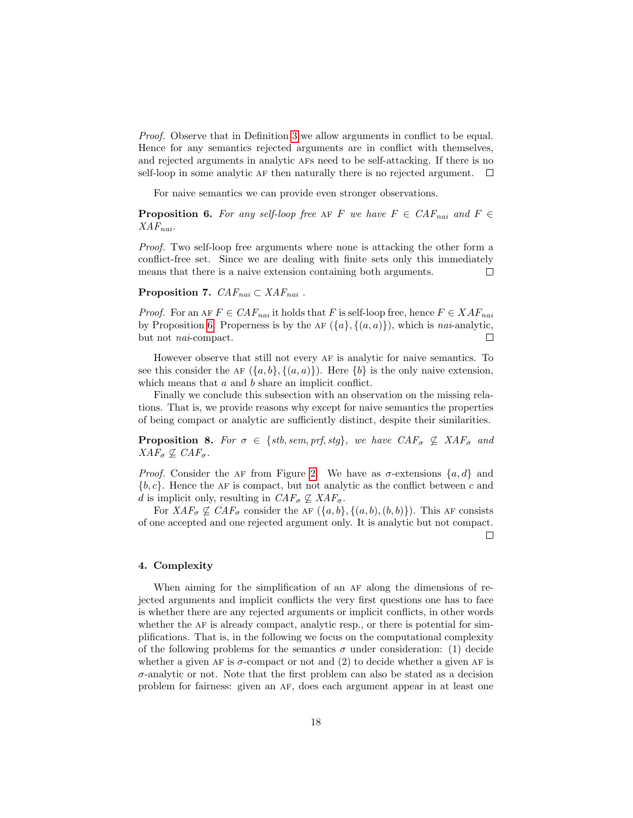Proof. Observe that in Definition [3](#page-12-0) we allow arguments in conflict to be equal. Hence for any semantics rejected arguments are in conflict with themselves, and rejected arguments in analytic afs need to be self-attacking. If there is no self-loop in some analytic af then naturally there is no rejected argument.  $\mathcal{L}$ 

For naive semantics we can provide even stronger observations.

<span id="page-17-1"></span>**Proposition 6.** For any self-loop free AF F we have  $F \in \mathbb{C}AF_{nai}$  and  $F \in \mathbb{C}$  $XAF_{nai}.$ 

Proof. Two self-loop free arguments where none is attacking the other form a conflict-free set. Since we are dealing with finite sets only this immediately means that there is a naive extension containing both arguments.  $\Box$ 

# **Proposition 7.**  $CAF_{nai} \subset XAF_{nai}$ .

*Proof.* For an AF  $F \in \mathbb{C}AF_{nai}$  it holds that F is self-loop free, hence  $F \in XAF_{nai}$ by Proposition [6.](#page-17-1) Properness is by the AF  $({a}, {a})$ , which is *nai*-analytic, but not nai-compact.  $\Box$ 

However observe that still not every af is analytic for naive semantics. To see this consider the AF  $({a, b}, ({a, a})$ . Here  ${b}$  is the only naive extension, which means that  $a$  and  $b$  share an implicit conflict.

Finally we conclude this subsection with an observation on the missing relations. That is, we provide reasons why except for naive semantics the properties of being compact or analytic are sufficiently distinct, despite their similarities.

**Proposition 8.** For  $\sigma \in \{stb, sem, prf, stg\}$ , we have  $CAF_{\sigma} \not\subseteq XAF_{\sigma}$  and  $XAF_{\sigma} \nsubseteq \text{CAF}_{\sigma}.$ 

*Proof.* Consider the AF from Figure [2.](#page-3-0) We have as  $\sigma$ -extensions  $\{a, d\}$  and  ${b, c}$ . Hence the AF is compact, but not analytic as the conflict between c and d is implicit only, resulting in  $CAF_{\sigma} \nsubseteq XAF_{\sigma}$ .

For  $XAF_{\sigma} \nsubseteq CAF_{\sigma}$  consider the AF  $(\{a, b\}, \{(a, b), (b, b)\})$ . This AF consists of one accepted and one rejected argument only. It is analytic but not compact.

## $\Box$

#### <span id="page-17-0"></span>4. Complexity

When aiming for the simplification of an AF along the dimensions of rejected arguments and implicit conflicts the very first questions one has to face is whether there are any rejected arguments or implicit conflicts, in other words whether the AF is already compact, analytic resp., or there is potential for simplifications. That is, in the following we focus on the computational complexity of the following problems for the semantics  $\sigma$  under consideration: (1) decide whether a given AF is  $\sigma$ -compact or not and (2) to decide whether a given AF is  $\sigma$ -analytic or not. Note that the first problem can also be stated as a decision problem for fairness: given an af, does each argument appear in at least one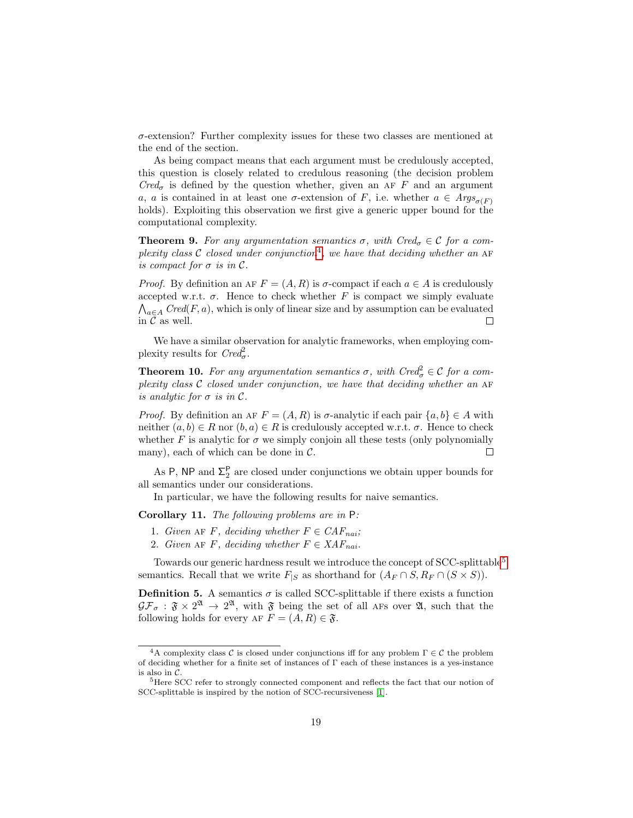$\sigma$ -extension? Further complexity issues for these two classes are mentioned at the end of the section.

As being compact means that each argument must be credulously accepted, this question is closely related to credulous reasoning (the decision problem  $Cred_{\sigma}$  is defined by the question whether, given an AF F and an argument a, a is contained in at least one  $\sigma$ -extension of F, i.e. whether  $a \in \text{Args}_{\sigma(F)}$ holds). Exploiting this observation we first give a generic upper bound for the computational complexity.

<span id="page-18-3"></span>**Theorem 9.** For any argumentation semantics  $\sigma$ , with Cred<sub> $\sigma \in \mathcal{C}$  for a com-</sub> plexity class C closed under conjunction<sup>[4](#page-18-0)</sup>, we have that deciding whether an AF is compact for  $\sigma$  is in  $\mathcal{C}$ .

Proof. By definition an AF  $F = (A, R)$  is  $\sigma$ -compact if each  $a \in A$  is credulously accepted w.r.t.  $\sigma$ . Hence to check whether F is compact we simply evaluate  $\bigwedge_{a \in A} Cred(F, a)$ , which is only of linear size and by assumption can be evaluated in  $\mathcal C$  as well.  $\Box$ 

We have a similar observation for analytic frameworks, when employing complexity results for  $Cred^2_{\sigma}$ .

<span id="page-18-4"></span>**Theorem 10.** For any argumentation semantics  $\sigma$ , with Cred<sub> $\sigma$ </sub>  $\in \mathcal{C}$  for a complexity class  $\mathcal C$  closed under conjunction, we have that deciding whether an AF is analytic for  $\sigma$  is in  $\mathcal{C}$ .

*Proof.* By definition an AF  $F = (A, R)$  is  $\sigma$ -analytic if each pair  $\{a, b\} \in A$  with neither  $(a, b) \in R$  nor  $(b, a) \in R$  is credulously accepted w.r.t.  $\sigma$ . Hence to check whether F is analytic for  $\sigma$  we simply conjoin all these tests (only polynomially many), each of which can be done in  $\mathcal{C}$ .  $\Box$ 

As P, NP and  $\Sigma_2^P$  are closed under conjunctions we obtain upper bounds for all semantics under our considerations.

In particular, we have the following results for naive semantics.

Corollary 11. The following problems are in P:

- 1. Given AF F, deciding whether  $F \in CAF_{naj}$ ;
- 2. Given AF F, deciding whether  $F \in XAF_{nai}$ .

Towards our generic hardness result we introduce the concept of SCC-splittable[5](#page-18-1) semantics. Recall that we write  $F_{|S}$  as shorthand for  $(A_F \cap S, R_F \cap (S \times S))$ .

<span id="page-18-2"></span>**Definition 5.** A semantics  $\sigma$  is called SCC-splittable if there exists a function  $\mathcal{GF}_{\sigma} : \mathfrak{F} \times 2^{\mathfrak{A}} \to 2^{\mathfrak{A}},$  with  $\mathfrak{F}$  being the set of all AFs over  $\mathfrak{A}$ , such that the following holds for every AF  $F = (A, R) \in \mathfrak{F}$ .

<span id="page-18-0"></span><sup>&</sup>lt;sup>4</sup>A complexity class C is closed under conjunctions iff for any problem  $\Gamma \in \mathcal{C}$  the problem of deciding whether for a finite set of instances of  $\Gamma$  each of these instances is a yes-instance is also in C.

<span id="page-18-1"></span><sup>&</sup>lt;sup>5</sup>Here SCC refer to strongly connected component and reflects the fact that our notion of SCC-splittable is inspired by the notion of SCC-recursiveness [\[1\]](#page-58-2).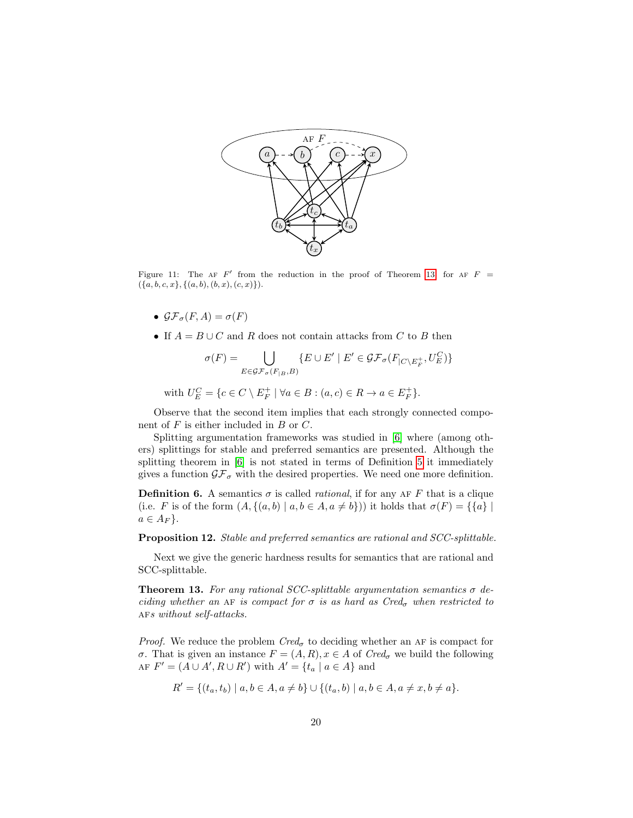<span id="page-19-1"></span>

Figure 11: The AF  $F'$  from the reduction in the proof of Theorem [13,](#page-19-0) for AF  $F =$  $({a, b, c, x}, {a, b}, (b, x), (c, x)}.$ 

- $\mathcal{GF}_{\sigma}(F, A) = \sigma(F)$
- If  $A = B \cup C$  and R does not contain attacks from C to B then

$$
\sigma(F) = \bigcup_{E \in \mathcal{GF}_{\sigma}(F_{|B}, B)} \{ E \cup E' \mid E' \in \mathcal{GF}_{\sigma}(F_{|C \setminus E_F^+}, U_E^C) \}
$$

with  $U_E^C = \{ c \in C \setminus E_F^+ \mid \forall a \in B : (a, c) \in R \to a \in E_F^+ \}.$ 

Observe that the second item implies that each strongly connected component of F is either included in B or C.

Splitting argumentation frameworks was studied in [\[6\]](#page-58-5) where (among others) splittings for stable and preferred semantics are presented. Although the splitting theorem in [\[6\]](#page-58-5) is not stated in terms of Definition [5](#page-18-2) it immediately gives a function  $\mathcal{GF}_{\sigma}$  with the desired properties. We need one more definition.

**Definition 6.** A semantics  $\sigma$  is called *rational*, if for any AF F that is a clique (i.e. F is of the form  $(A, \{(a, b) | a, b \in A, a \neq b\})$ ) it holds that  $\sigma(F) = \{\{a\} |$  $a \in A_F$ .

Proposition 12. Stable and preferred semantics are rational and SCC-splittable.

Next we give the generic hardness results for semantics that are rational and SCC-splittable.

<span id="page-19-0"></span>**Theorem 13.** For any rational SCC-splittable argumentation semantics  $\sigma$  deciding whether an AF is compact for  $\sigma$  is as hard as Cred<sub> $\sigma$ </sub> when restricted to AFs without self-attacks.

*Proof.* We reduce the problem  $Cred_{\sigma}$  to deciding whether an AF is compact for σ. That is given an instance  $F = (A, R), x \in A$  of  $Cred_{\sigma}$  we build the following AF  $F' = (A \cup A', R \cup R')$  with  $A' = \{t_a \mid a \in A\}$  and

$$
R' = \{(t_a, t_b) \mid a, b \in A, a \neq b\} \cup \{(t_a, b) \mid a, b \in A, a \neq x, b \neq a\}.
$$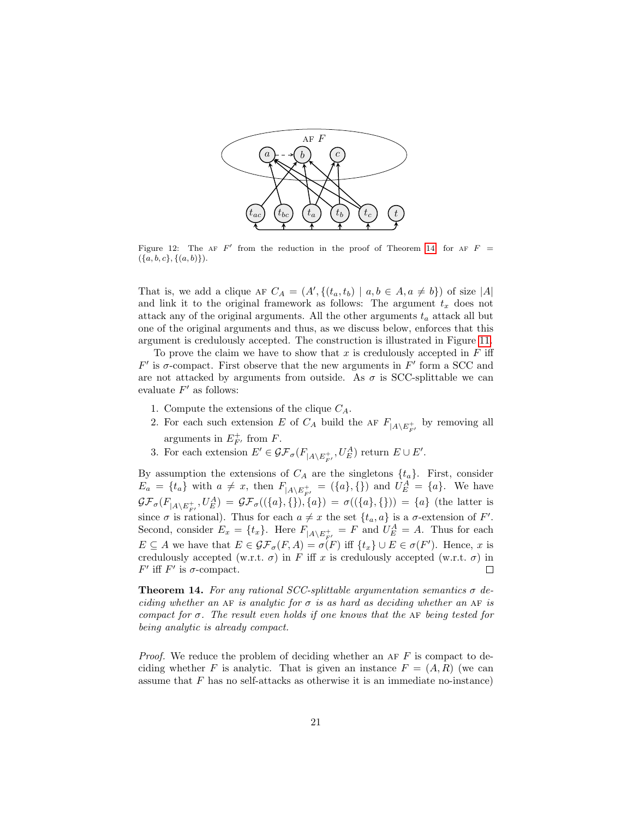

Figure 12: The AF  $F'$  from the reduction in the proof of Theorem [14,](#page-20-0) for AF  $F =$  $({a, b, c}, {a, b})$ .

That is, we add a clique AF  $C_A = (A', \{(t_a, t_b) \mid a, b \in A, a \neq b\})$  of size |A| and link it to the original framework as follows: The argument  $t_x$  does not attack any of the original arguments. All the other arguments  $t_a$  attack all but one of the original arguments and thus, as we discuss below, enforces that this argument is credulously accepted. The construction is illustrated in Figure [11.](#page-19-1)

To prove the claim we have to show that  $x$  is credulously accepted in  $F$  iff  $F'$  is  $\sigma$ -compact. First observe that the new arguments in  $F'$  form a SCC and are not attacked by arguments from outside. As  $\sigma$  is SCC-splittable we can evaluate  $F'$  as follows:

- 1. Compute the extensions of the clique  $C_A$ .
- 2. For each such extension E of  $C_A$  build the AF  $F_{|A \setminus E^+_{F'}}$  by removing all arguments in  $E_{F'}^+$  from F.
- 3. For each extension  $E' \in \mathcal{GF}_{\sigma}(F_{|A \setminus E^+_{F'}}, U_E^A)$  return  $E \cup E'.$

<span id="page-20-1"></span>AF F<br>  $A^r$  F<br>  $A^r$ <br>  $A^r$  and  $A^r$ <br>  $A^r$ <br>  $B^r$ <br>  $B^r$ <br>  $B^r$ <br>  $B^r$ <br>  $B^r$ <br>  $B^r$ <br>  $B^r$ <br>  $B^r$ <br>  $B^r$ <br>  $B^r$ <br>  $B^r$ <br>  $B^r$ <br>  $B^r$ <br>  $B^r$ <br>  $B^r$ <br>  $B^r$ <br>  $B^r$ <br>  $B^r$ <br>  $B^r$ <br>  $B^r$ <br>  $B^r$ <br>  $B^r$ <br>  $B^r$ <br>  $B^r$ <br>  $B^r$ <br> By assumption the extensions of  $C_A$  are the singletons  $\{t_a\}$ . First, consider  $E_a = \{t_a\}$  with  $a \neq x$ , then  $F_{|A \setminus E^+_{F'}} = (\{a\}, \{\})$  and  $U^A_E = \{a\}$ . We have  $\mathcal{GF}_{\sigma}(F_{|A\setminus E_{\pi'}^+},U_E^A) = \mathcal{GF}_{\sigma}((\{a\},\{\}),\{a\}) = \sigma((\{a\},\{\})) = \{a\}$  (the latter is since  $\sigma$  is rational). Thus for each  $a \neq x$  the set  $\{t_a, a\}$  is a  $\sigma$ -extension of F'. Second, consider  $E_x = \{t_x\}$ . Here  $F_{|A \setminus E^+_{F'}} = F$  and  $U^A_E = A$ . Thus for each  $E \subseteq A$  we have that  $E \in \mathcal{GF}_{\sigma}(F, A) = \sigma(F)$  iff  $\{t_x\} \cup E \in \sigma(F')$ . Hence, x is credulously accepted (w.r.t.  $\sigma$ ) in F iff x is credulously accepted (w.r.t.  $\sigma$ ) in  $F'$  iff  $F'$  is  $\sigma$ -compact.  $\Box$ 

<span id="page-20-0"></span>**Theorem 14.** For any rational SCC-splittable argumentation semantics  $\sigma$  deciding whether an AF is analytic for  $\sigma$  is as hard as deciding whether an AF is compact for  $\sigma$ . The result even holds if one knows that the AF being tested for being analytic is already compact.

*Proof.* We reduce the problem of deciding whether an AF  $F$  is compact to deciding whether F is analytic. That is given an instance  $F = (A, R)$  (we can assume that  $F$  has no self-attacks as otherwise it is an immediate no-instance)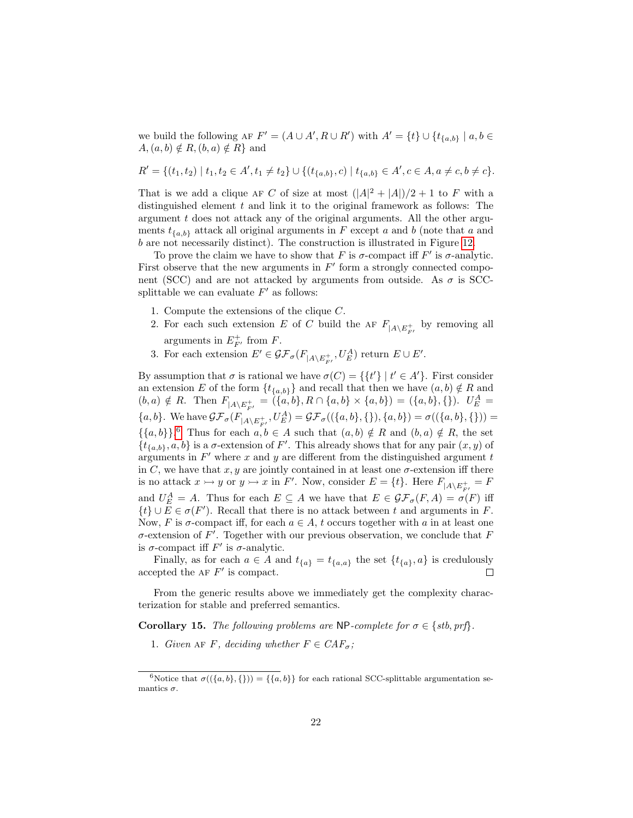we build the following AF  $F' = (A \cup A', R \cup R')$  with  $A' = \{t\} \cup \{t_{\{a,b\}} \mid a, b \in A\}$  $A, (a, b) \notin R, (b, a) \notin R$  and

$$
R' = \{(t_1, t_2) \mid t_1, t_2 \in A', t_1 \neq t_2\} \cup \{(t_{\{a,b\}}, c) \mid t_{\{a,b\}} \in A', c \in A, a \neq c, b \neq c\}.
$$

That is we add a clique AF C of size at most  $(|A|^2 + |A|)/2 + 1$  to F with a distinguished element  $t$  and link it to the original framework as follows: The argument  $t$  does not attack any of the original arguments. All the other arguments  $t_{\{a,b\}}$  attack all original arguments in F except a and b (note that a and b are not necessarily distinct). The construction is illustrated in Figure [12.](#page-20-1)

To prove the claim we have to show that F is  $\sigma$ -compact iff F' is  $\sigma$ -analytic. First observe that the new arguments in  $F'$  form a strongly connected component (SCC) and are not attacked by arguments from outside. As  $\sigma$  is SCCsplittable we can evaluate  $F'$  as follows:

- 1. Compute the extensions of the clique C.
- 2. For each such extension E of C build the AF  $F_{|A \setminus E^+_{F'}}$  by removing all arguments in  $E_{F'}^+$  from  $F$ .
- 3. For each extension  $E' \in \mathcal{GF}_{\sigma}(F_{|A \setminus E^+_F}, U^A_E)$  return  $E \cup E'.$

By assumption that  $\sigma$  is rational we have  $\sigma(C) = \{ \{ t' \} | t' \in A' \}.$  First consider an extension E of the form  $\{t_{\{a,b\}}\}$  and recall that then we have  $(a, b) \notin R$  and  $(b, a) \notin R$ . Then  $F_{|A \setminus E^+_{F'}} = (\{a, b\}, R \cap \{a, b\} \times \{a, b\}) = (\{a, b\}, \{\})$ .  $U^A_E =$  ${a, b}$ . We have  $\mathcal{GF}_{\sigma}(F_{|A \setminus E^+_F}, U^A_E) = \mathcal{GF}_{\sigma}((\{a, b\}, \{\}), \{a, b\}) = \sigma((\{a, b\}, \{\})) =$  $\{\{a,b\}\}\.^6$  $\{\{a,b\}\}\.^6$  Thus for each  $a, b \in A$  such that  $(a, b) \notin R$  and  $(b, a) \notin R$ , the set  $\{t_{\{a,b\}}, a, b\}$  is a  $\sigma$ -extension of F'. This already shows that for any pair  $(x, y)$  of arguments in  $F'$  where x and y are different from the distinguished argument t in C, we have that  $x, y$  are jointly contained in at least one  $\sigma$ -extension iff there is no attack  $x \rightarrow y$  or  $y \rightarrow x$  in F'. Now, consider  $E = \{t\}$ . Here  $F_{|A \setminus E^+_{F'}} = F$ and  $U_E^A = A$ . Thus for each  $E \subseteq A$  we have that  $E \in \mathcal{GF}_{\sigma}(F, A) = \sigma(F)$  iff { $t$ } ∪  $E \in \sigma(F')$ . Recall that there is no attack between  $t$  and arguments in  $F$ . Now, F is  $\sigma$ -compact iff, for each  $a \in A$ , t occurs together with a in at least one  $\sigma$ -extension of  $F'$ . Together with our previous observation, we conclude that  $F$ is  $\sigma$ -compact iff  $F'$  is  $\sigma$ -analytic.

Finally, as for each  $a \in A$  and  $t_{\{a\}} = t_{\{a,a\}}$  the set  $\{t_{\{a\}}, a\}$  is credulously accepted the AF  $F'$  is compact.  $\Box$ 

From the generic results above we immediately get the complexity characterization for stable and preferred semantics.

**Corollary 15.** The following problems are NP-complete for  $\sigma \in \{stb, prf\}$ .

1. Given AF F, deciding whether  $F \in \text{CAF}_{\sigma}$ ;

<span id="page-21-0"></span><sup>&</sup>lt;sup>6</sup>Notice that  $\sigma((\{a,b\},\{\})) = \{\{a,b\}\}\$ for each rational SCC-splittable argumentation semantics  $\sigma$ .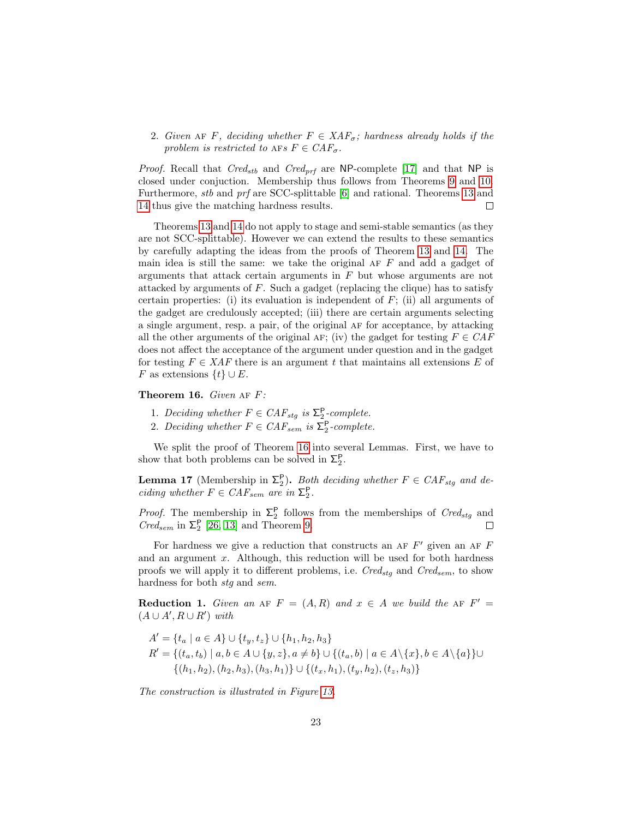2. Given AF F, deciding whether  $F \in XAF_{\sigma}$ ; hardness already holds if the problem is restricted to AFs  $F \in CAF_{\sigma}$ .

*Proof.* Recall that  $Cred_{stb}$  and  $Cred_{prf}$  are NP-complete [\[17\]](#page-59-9) and that NP is closed under conjuction. Membership thus follows from Theorems [9](#page-18-3) and [10.](#page-18-4) Furthermore, stb and prf are SCC-splittable [\[6\]](#page-58-5) and rational. Theorems [13](#page-19-0) and [14](#page-20-0) thus give the matching hardness results.  $\Box$ 

Theorems [13](#page-19-0) and [14](#page-20-0) do not apply to stage and semi-stable semantics (as they are not SCC-splittable). However we can extend the results to these semantics by carefully adapting the ideas from the proofs of Theorem [13](#page-19-0) and [14.](#page-20-0) The main idea is still the same: we take the original AF  $F$  and add a gadget of arguments that attack certain arguments in  $F$  but whose arguments are not attacked by arguments of  $F$ . Such a gadget (replacing the clique) has to satisfy certain properties: (i) its evaluation is independent of  $F$ ; (ii) all arguments of the gadget are credulously accepted; (iii) there are certain arguments selecting a single argument, resp. a pair, of the original af for acceptance, by attacking all the other arguments of the original AF; (iv) the gadget for testing  $F \in CAF$ does not affect the acceptance of the argument under question and in the gadget for testing  $F \in XAF$  there is an argument t that maintains all extensions E of F as extensions  $\{t\} \cup E$ .

## <span id="page-22-0"></span>Theorem 16. Given AF  $F$ :

- 1. Deciding whether  $F \in CAF_{stg}$  is  $\Sigma_2^{\mathsf{P}}$ -complete.
- 2. Deciding whether  $F \in CAR_{sem}$  is  $\Sigma_2^{\mathsf{P}}$ -complete.

We split the proof of Theorem [16](#page-22-0) into several Lemmas. First, we have to show that both problems can be solved in  $\Sigma_2^{\mathsf{P}}$ .

**Lemma 17** (Membership in  $\Sigma_2^{\mathsf{P}}$ ). Both deciding whether  $F \in CAF_{stg}$  and deciding whether  $F \in CAR_{sem}$  are in  $\Sigma_2^{\mathsf{P}}$ .

*Proof.* The membership in  $\Sigma_2^{\mathsf{P}}$  follows from the memberships of Cred<sub>stg</sub> and Cred<sub>sem</sub> in  $\Sigma_2^{\mathsf{P}}$  [\[26,](#page-60-8) [13\]](#page-59-3) and Theorem [9.](#page-18-3)  $\Box$ 

For hardness we give a reduction that constructs an AF  $F'$  given an AF  $F$ and an argument  $x$ . Although, this reduction will be used for both hardness proofs we will apply it to different problems, i.e.  $Cred_{stq}$  and  $Cred_{sem}$ , to show hardness for both *stg* and *sem*.

<span id="page-22-1"></span>**Reduction 1.** Given an AF  $F = (A, R)$  and  $x \in A$  we build the AF  $F' =$  $(A \cup A', R \cup R')$  with

$$
A' = \{t_a \mid a \in A\} \cup \{t_y, t_z\} \cup \{h_1, h_2, h_3\}
$$
  
\n
$$
R' = \{(t_a, t_b) \mid a, b \in A \cup \{y, z\}, a \neq b\} \cup \{(t_a, b) \mid a \in A \setminus \{x\}, b \in A \setminus \{a\}\} \cup \{(h_1, h_2), (h_2, h_3), (h_3, h_1)\} \cup \{(t_x, h_1), (t_y, h_2), (t_z, h_3)\}
$$

The construction is illustrated in Figure [13.](#page-23-0)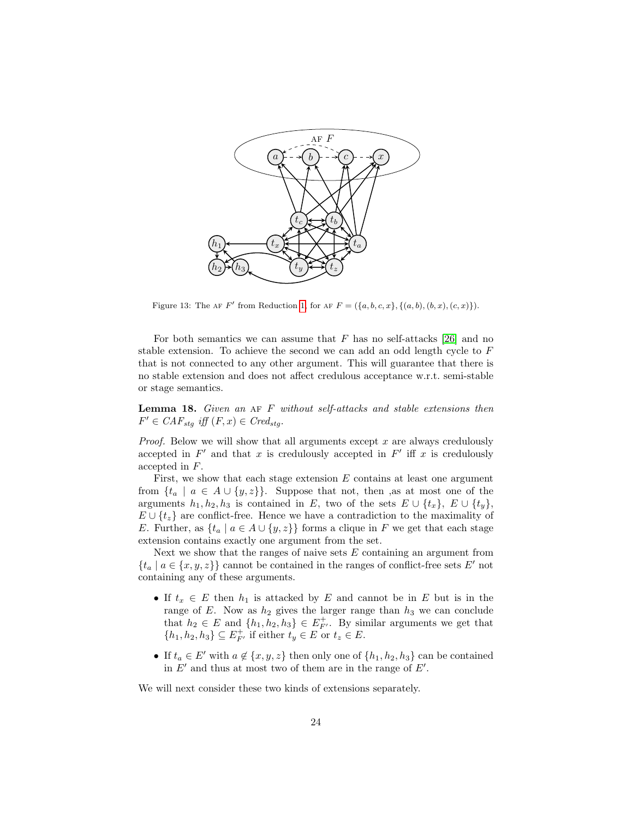<span id="page-23-0"></span>

Figure 13: The AF F' from Reduction [1,](#page-22-1) for AF  $F = (\{a, b, c, x\}, \{(a, b), (b, x), (c, x)\})$ .

For both semantics we can assume that  $F$  has no self-attacks [\[26\]](#page-60-8) and no stable extension. To achieve the second we can add an odd length cycle to F that is not connected to any other argument. This will guarantee that there is no stable extension and does not affect credulous acceptance w.r.t. semi-stable or stage semantics.

<span id="page-23-1"></span>Lemma 18. Given an  $AF$  F without self-attacks and stable extensions then  $F' \in \text{CAF}_{\text{stg}} \text{ iff } (F, x) \in \text{Cred}_{\text{stg}}.$ 

*Proof.* Below we will show that all arguments except  $x$  are always credulously accepted in  $F'$  and that x is credulously accepted in  $F'$  iff x is credulously accepted in F.

First, we show that each stage extension  $E$  contains at least one argument from  $\{t_a \mid a \in A \cup \{y, z\}\}\$ . Suppose that not, then ,as at most one of the arguments  $h_1, h_2, h_3$  is contained in E, two of the sets  $E \cup \{t_x\}, E \cup \{t_y\},$  $E \cup \{t_{z}\}\$ are conflict-free. Hence we have a contradiction to the maximality of E. Further, as  $\{t_a \mid a \in A \cup \{y, z\}\}\)$  forms a clique in F we get that each stage extension contains exactly one argument from the set.

Next we show that the ranges of naive sets  $E$  containing an argument from  ${t_a \mid a \in \{x, y, z\}\}\)$  cannot be contained in the ranges of conflict-free sets E' not containing any of these arguments.

- If  $t_x \in E$  then  $h_1$  is attacked by E and cannot be in E but is in the range of E. Now as  $h_2$  gives the larger range than  $h_3$  we can conclude that  $h_2 \in E$  and  $\{h_1, h_2, h_3\} \in E_{F'}^+$ . By similar arguments we get that  $\{h_1, h_2, h_3\} \subseteq E^+_{F'}$  if either  $t_y \in E$  or  $t_z \in E$ .
- If  $t_a \in E'$  with  $a \notin \{x, y, z\}$  then only one of  $\{h_1, h_2, h_3\}$  can be contained in  $E'$  and thus at most two of them are in the range of  $E'$ .

We will next consider these two kinds of extensions separately.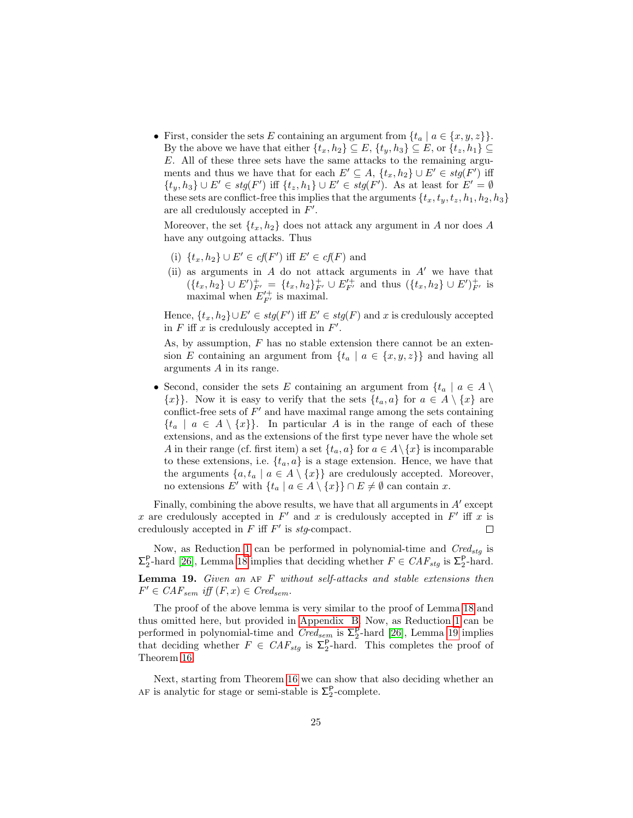• First, consider the sets E containing an argument from  $\{t_a \mid a \in \{x, y, z\}\}.$ By the above we have that either  $\{t_x, h_2\} \subseteq E$ ,  $\{t_y, h_3\} \subseteq E$ , or  $\{t_z, h_1\} \subseteq E$ E. All of these three sets have the same attacks to the remaining arguments and thus we have that for each  $E' \subseteq A$ ,  $\{t_x, h_2\} \cup E' \in stg(F')$  iff  $\{t_y, h_3\} \cup E' \in stg(F') \text{ iff } \{t_z, h_1\} \cup E' \in stg(F') \text{. As at least for } E' = \emptyset$ these sets are conflict-free this implies that the arguments  $\{t_x, t_y, t_z, h_1, h_2, h_3\}$ are all credulously accepted in  $F'$ .

Moreover, the set  $\{t_x, h_2\}$  does not attack any argument in A nor does A have any outgoing attacks. Thus

- (i)  $\{t_x, h_2\} \cup E' \in cf(F')$  iff  $E' \in cf(F)$  and
- (ii) as arguments in  $A$  do not attack arguments in  $A'$  we have that  $(\{t_x, h_2\} \cup E')^+_{F'} = \{t_x, h_2\}^+_{F'} \cup E'^+_{F'}$  and thus  $(\{t_x, h_2\} \cup E')^+_{F'}$  is maximal when  $E'_{F'}$  is maximal.

Hence,  $\{t_x, h_2\} \cup E' \in stg(F')$  iff  $E' \in stg(F)$  and x is credulously accepted in  $F$  iff  $x$  is credulously accepted in  $F'$ .

As, by assumption,  $F$  has no stable extension there cannot be an extension E containing an argument from  $\{t_a \mid a \in \{x, y, z\}\}\$  and having all arguments A in its range.

• Second, consider the sets E containing an argument from  $\{t_a \mid a \in A\}$  $\{x\}\$ . Now it is easy to verify that the sets  $\{t_a, a\}$  for  $a \in A \setminus \{x\}$  are conflict-free sets of  $F'$  and have maximal range among the sets containing  ${t_a \mid a \in A \setminus \{x\}}$ . In particular A is in the range of each of these extensions, and as the extensions of the first type never have the whole set A in their range (cf. first item) a set  $\{t_a, a\}$  for  $a \in A \setminus \{x\}$  is incomparable to these extensions, i.e.  $\{t_a, a\}$  is a stage extension. Hence, we have that the arguments  $\{a, t_a \mid a \in A \setminus \{x\}\}\$ are credulously accepted. Moreover, no extensions E' with  $\{t_a \mid a \in A \setminus \{x\}\}\cap E \neq \emptyset$  can contain x.

Finally, combining the above results, we have that all arguments in  $A'$  except x are credulously accepted in  $F'$  and x is credulously accepted in  $F'$  iff x is credulously accepted in  $F$  iff  $F'$  is stg-compact.  $\Box$ 

<span id="page-24-0"></span>Now, as Reduction [1](#page-22-1) can be performed in polynomial-time and  $Cred_{stq}$  is  $\Sigma_2^{\mathsf{P}}$ -hard [\[26\]](#page-60-8), Lemma [18](#page-23-1) implies that deciding whether  $F \in \text{CAF}_{\text{stg}}$  is  $\Sigma_2^{\mathsf{P}}$ -hard. **Lemma 19.** Given an  $AF$  F without self-attacks and stable extensions then  $F' \in \text{CAF}_{sem} \text{ iff } (F, x) \in \text{Cred}_{sem}.$ 

The proof of the above lemma is very similar to the proof of Lemma [18](#page-23-1) and thus omitted here, but provided in [Appendix B.](#page-65-0) Now, as Reduction [1](#page-22-1) can be performed in polynomial-time and  $Cred_{sem}$  is  $\Sigma_2^{\mathsf{P}}$ -hard [\[26\]](#page-60-8), Lemma [19](#page-24-0) implies that deciding whether  $F \in \text{CAF}_{stg}$  is  $\Sigma_2^{\mathsf{P}}$ -hard. This completes the proof of Theorem [16.](#page-22-0)

Next, starting from Theorem [16](#page-22-0) we can show that also deciding whether an AF is analytic for stage or semi-stable is  $\Sigma_2^{\mathsf{P}}$ -complete.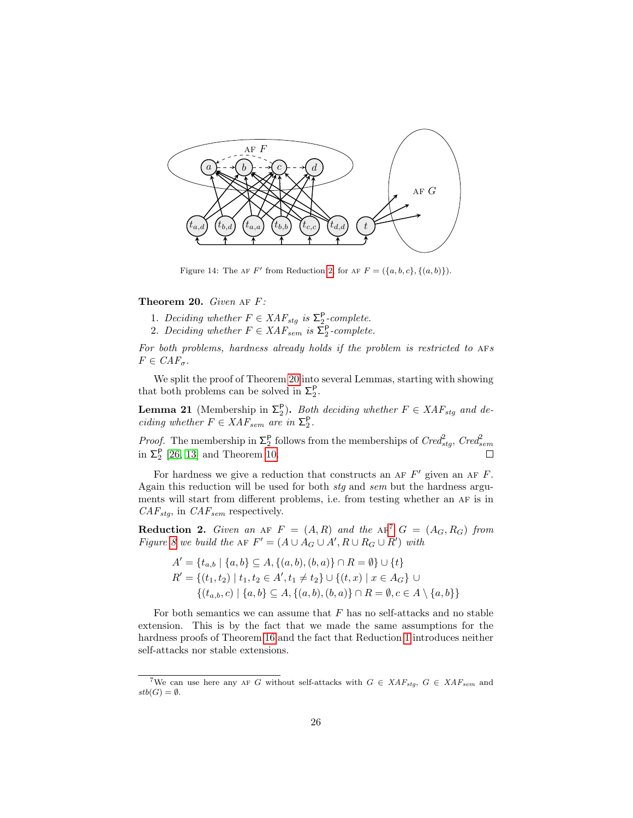

Figure 14: The AF F' from Reduction [2,](#page-25-0) for AF  $F = (\{a, b, c\}, \{(a, b)\})$ .

# <span id="page-25-1"></span>Theorem 20. Given AF  $F$ :

- 1. Deciding whether  $F \in XAF_{stg}$  is  $\Sigma^{\mathsf{P}}_2$ -complete.
- 2. Deciding whether  $F \in XAF_{sem}$  is  $\Sigma_2^{\mathsf{P}}$ -complete.

For both problems, hardness already holds if the problem is restricted to  $AFs$  $F \in \mathcal{C}AF_{\sigma}$ .

We split the proof of Theorem [20](#page-25-1) into several Lemmas, starting with showing that both problems can be solved in  $\Sigma_2^P$ .

**Lemma 21** (Membership in  $\Sigma_2^{\mathsf{P}}$ ). Both deciding whether  $F \in XAF_{stg}$  and deciding whether  $F \in XAF_{sem}$  are in  $\Sigma_2^{\mathsf{P}}$ .

*Proof.* The membership in  $\Sigma^{\mathsf{P}}_2$  follows from the memberships of  $Cred_{stg}^2$ ,  $Cred_{sem}^2$ in  $\Sigma_2^{\mathsf{P}}$  [\[26,](#page-60-8) [13\]](#page-59-3) and Theorem [10.](#page-18-4)

For hardness we give a reduction that constructs an AF  $F'$  given an AF  $F$ . Again this reduction will be used for both stg and sem but the hardness arguments will start from different problems, i.e. from testing whether an AF is in  $CAF_{stg},$  in  $CAF_{sem}$  respectively.

<span id="page-25-0"></span>**Reduction 2.** Given an AF  $F = (A, R)$  and the AF<sup>[7](#page-25-2)</sup>  $G = (A_G, R_G)$  from Figure [8](#page-13-2) we build the AF  $F' = (A \cup \overline{A_G} \cup \overline{A'}, R \cup R_G \cup R')$  with

$$
A' = \{t_{a,b} \mid \{a,b\} \subseteq A, \{(a,b),(b,a)\} \cap R = \emptyset\} \cup \{t\}
$$
  

$$
R' = \{(t_1, t_2) \mid t_1, t_2 \in A', t_1 \neq t_2\} \cup \{(t, x) \mid x \in A_G\} \cup \{(t_{a,b}, c) \mid \{a,b\} \subseteq A, \{(a,b),(b,a)\} \cap R = \emptyset, c \in A \setminus \{a,b\}\}
$$

For both semantics we can assume that  $F$  has no self-attacks and no stable extension. This is by the fact that we made the same assumptions for the hardness proofs of Theorem [16](#page-22-0) and the fact that Reduction [1](#page-22-1) introduces neither self-attacks nor stable extensions.

<span id="page-25-2"></span><sup>&</sup>lt;sup>7</sup>We can use here any AF G without self-attacks with  $G \in XAF_{stg}$ ,  $G \in XAF_{sem}$  and  $stb(G) = \emptyset.$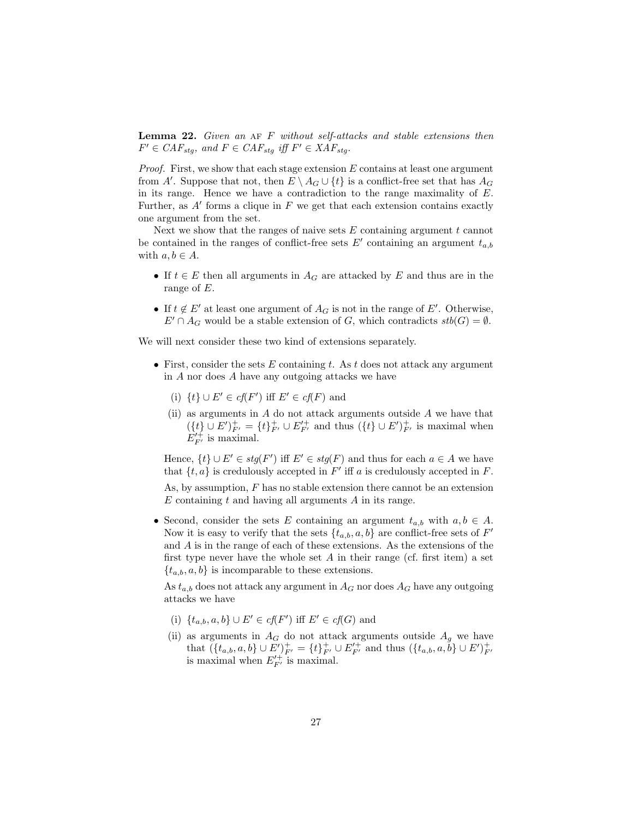<span id="page-26-0"></span>Lemma  $22.$  Given an AF  $F$  without self-attacks and stable extensions then  $F' \in \text{CAF}_{\text{stg}}, \text{ and } F \in \text{CAF}_{\text{stg}} \text{ iff } F' \in \text{XAF}_{\text{stg}}.$ 

*Proof.* First, we show that each stage extension  $E$  contains at least one argument from A'. Suppose that not, then  $E \setminus A_G \cup \{t\}$  is a conflict-free set that has  $A_G$ in its range. Hence we have a contradiction to the range maximality of E. Further, as  $A'$  forms a clique in  $F$  we get that each extension contains exactly one argument from the set.

Next we show that the ranges of naive sets  $E$  containing argument  $t$  cannot be contained in the ranges of conflict-free sets  $E'$  containing an argument  $t_{a,b}$ with  $a, b \in A$ .

- If  $t \in E$  then all arguments in  $A_G$  are attacked by  $E$  and thus are in the range of E.
- If  $t \notin E'$  at least one argument of  $A_G$  is not in the range of E'. Otherwise,  $E' \cap A_G$  would be a stable extension of G, which contradicts  $stb(G) = \emptyset$ .

We will next consider these two kind of extensions separately.

- First, consider the sets  $E$  containing  $t$ . As  $t$  does not attack any argument in A nor does A have any outgoing attacks we have
	- (i)  $\{t\} \cup E' \in cf(F') \text{ iff } E' \in cf(F) \text{ and }$
	- (ii) as arguments in  $A$  do not attack arguments outside  $A$  we have that  $({t} \cup E')_{F'}^+ = {t}^+_{F'} \cup E'_{F'}^+$  and thus  $({t} \cup E')_{F'}^+$  is maximal when  $E_{F'}^{\prime +}$  is maximal.

Hence,  $\{t\} \cup E' \in stg(F')$  iff  $E' \in stg(F)$  and thus for each  $a \in A$  we have that  $\{t, a\}$  is credulously accepted in  $F'$  iff a is credulously accepted in  $F$ .

As, by assumption, F has no stable extension there cannot be an extension  $E$  containing  $t$  and having all arguments  $A$  in its range.

• Second, consider the sets E containing an argument  $t_{a,b}$  with  $a, b \in A$ . Now it is easy to verify that the sets  $\{t_{a,b}, a, b\}$  are conflict-free sets of  $F'$ and A is in the range of each of these extensions. As the extensions of the first type never have the whole set  $A$  in their range (cf. first item) a set  $\{t_{a,b}, a, b\}$  is incomparable to these extensions.

As  $t_{a,b}$  does not attack any argument in  $A_G$  nor does  $A_G$  have any outgoing attacks we have

- (i)  $\{t_{a,b}, a, b\} \cup E' \in cf(F') \text{ iff } E' \in cf(G) \text{ and }$
- (ii) as arguments in  $A_G$  do not attack arguments outside  $A_g$  we have that  $(\{t_{a,b}, a, b\} \cup E')_{F'}^+ = \{t\}_{F'}^+ \cup E'_{F'}^+$  and thus  $(\{t_{a,b}, a, b\} \cup E')_{F'}^+$  is maximal when  $E'_{F'}$  is maximal.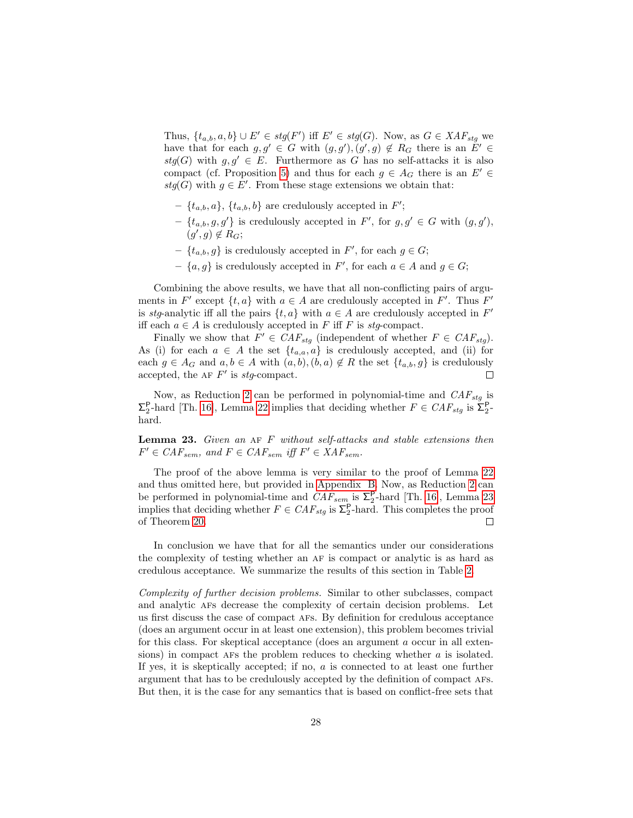Thus,  $\{t_{a,b}, a,b\} \cup E' \in stg(F')$  iff  $E' \in stg(G)$ . Now, as  $G \in XAF_{stg}$  we have that for each  $g, g' \in G$  with  $(g, g'), (g', g) \notin R_G$  there is an  $E' \in$  $stg(G)$  with  $g, g' \in E$ . Furthermore as G has no self-attacks it is also compact (cf. Proposition [5\)](#page-16-0) and thus for each  $g \in A_G$  there is an  $E' \in$  $stg(G)$  with  $g \in E'$ . From these stage extensions we obtain that:

- $\{t_{a,b}, a\}, \{t_{a,b}, b\}$  are credulously accepted in  $F'$ ;
- $\{t_{a,b}, g, g'\}$  is credulously accepted in  $F'$ , for  $g, g' \in G$  with  $(g, g')$ ,  $(g', g) \notin R_G;$
- $\{t_{a,b}, g\}$  is credulously accepted in F', for each  $g \in G$ ;
- $\{a, g\}$  is credulously accepted in F', for each  $a \in A$  and  $g \in G$ ;

Combining the above results, we have that all non-conflicting pairs of arguments in  $F'$  except  $\{t, a\}$  with  $a \in A$  are credulously accepted in  $F'$ . Thus  $F'$ is stg-analytic iff all the pairs  $\{t, a\}$  with  $a \in A$  are credulously accepted in  $F'$ iff each  $a \in A$  is credulously accepted in F iff F is stg-compact.

Finally we show that  $F' \in \text{CAF}_{\text{stg}}$  (independent of whether  $F \in \text{CAF}_{\text{stg}}$ ). As (i) for each  $a \in A$  the set  $\{t_{a,a}, a\}$  is credulously accepted, and (ii) for each  $g \in A_G$  and  $a, b \in A$  with  $(a, b), (b, a) \notin R$  the set  $\{t_{a,b}, g\}$  is credulously accepted, the AF  $F'$  is stg-compact.  $\Box$ 

Now, as Reduction [2](#page-25-0) can be performed in polynomial-time and  $CAF_{stg}$  is  $\Sigma_2^{\mathsf{P}}$ -hard [Th. [16\]](#page-22-0), Lemma [22](#page-26-0) implies that deciding whether  $F \in \text{CAF}_{stg}$  is  $\Sigma_2^{\mathsf{P}}$ hard.

<span id="page-27-0"></span>Lemma  $23.$  Given an AF  $F$  without self-attacks and stable extensions then  $F' \in \text{CAF}_{sem}, \text{ and } F \in \text{CAF}_{sem} \text{ iff } F' \in \text{XAF}_{sem}.$ 

The proof of the above lemma is very similar to the proof of Lemma [22](#page-26-0) and thus omitted here, but provided in [Appendix B.](#page-65-0) Now, as Reduction [2](#page-25-0) can be performed in polynomial-time and  $CAF_{sem}$  is  $\Sigma_2^{\mathsf{P}}$ -hard [Th. [16\]](#page-22-0), Lemma [23](#page-27-0) implies that deciding whether  $F \in \text{CAF}_{\text{stg}}$  is  $\Sigma_2^{\mathsf{P}}$ -hard. This completes the proof of Theorem [20.](#page-25-1)  $\Box$ 

In conclusion we have that for all the semantics under our considerations the complexity of testing whether an af is compact or analytic is as hard as credulous acceptance. We summarize the results of this section in Table [2.](#page-28-1)

Complexity of further decision problems. Similar to other subclasses, compact and analytic afs decrease the complexity of certain decision problems. Let us first discuss the case of compact afs. By definition for credulous acceptance (does an argument occur in at least one extension), this problem becomes trivial for this class. For skeptical acceptance (does an argument a occur in all extensions) in compact AFs the problem reduces to checking whether  $a$  is isolated. If yes, it is skeptically accepted; if no,  $a$  is connected to at least one further argument that has to be credulously accepted by the definition of compact afs. But then, it is the case for any semantics that is based on conflict-free sets that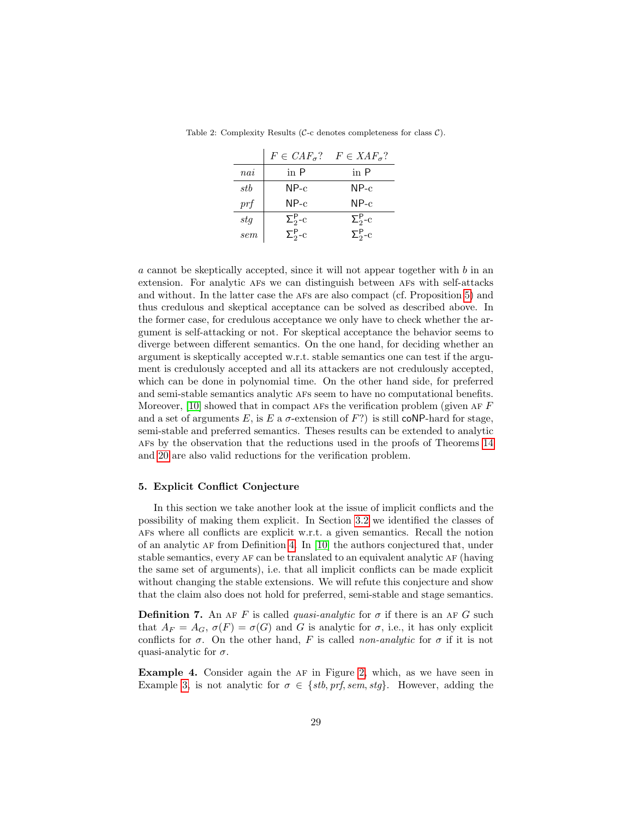$F \in CAF_{\sigma}$ ?  $F \in XAF_{\sigma}$ ?  $nai$  in P in P

<span id="page-28-1"></span>Table 2: Complexity Results ( $C$ -c denotes completeness for class  $C$ ).

| nai | in P                | in P                |
|-----|---------------------|---------------------|
| stb | $NP-c$              | $NP-c$              |
| prf | $NP-c$              | $NP-c$              |
| stg | $\Sigma_{2}^{P}$ -c | $\Sigma_{2}^{P}$ -c |
| sem | $\Sigma_{2}^{P}$ -c | $\Sigma_{2}^{P}$ -c |

a cannot be skeptically accepted, since it will not appear together with b in an extension. For analytic afs we can distinguish between afs with self-attacks and without. In the latter case the AFs are also compact (cf. Proposition [5\)](#page-16-0) and thus credulous and skeptical acceptance can be solved as described above. In the former case, for credulous acceptance we only have to check whether the argument is self-attacking or not. For skeptical acceptance the behavior seems to diverge between different semantics. On the one hand, for deciding whether an argument is skeptically accepted w.r.t. stable semantics one can test if the argument is credulously accepted and all its attackers are not credulously accepted, which can be done in polynomial time. On the other hand side, for preferred and semi-stable semantics analytic afs seem to have no computational benefits. Moreover, [\[10\]](#page-59-5) showed that in compact AFs the verification problem (given AF  $F$ and a set of arguments E, is E a  $\sigma$ -extension of F?) is still coNP-hard for stage, semi-stable and preferred semantics. Theses results can be extended to analytic afs by the observation that the reductions used in the proofs of Theorems [14](#page-20-0) and [20](#page-25-1) are also valid reductions for the verification problem.

# <span id="page-28-0"></span>5. Explicit Conflict Conjecture

In this section we take another look at the issue of implicit conflicts and the possibility of making them explicit. In Section [3.2](#page-12-3) we identified the classes of afs where all conflicts are explicit w.r.t. a given semantics. Recall the notion of an analytic af from Definition [4.](#page-12-4) In [\[10\]](#page-59-5) the authors conjectured that, under stable semantics, every AF can be translated to an equivalent analytic AF (having the same set of arguments), i.e. that all implicit conflicts can be made explicit without changing the stable extensions. We will refute this conjecture and show that the claim also does not hold for preferred, semi-stable and stage semantics.

**Definition 7.** An AF F is called *quasi-analytic* for  $\sigma$  if there is an AF G such that  $A_F = A_G$ ,  $\sigma(F) = \sigma(G)$  and G is analytic for  $\sigma$ , i.e., it has only explicit conflicts for  $\sigma$ . On the other hand, F is called non-analytic for  $\sigma$  if it is not quasi-analytic for  $\sigma$ .

Example 4. Consider again the AF in Figure [2,](#page-3-0) which, as we have seen in Example [3,](#page-12-1) is not analytic for  $\sigma \in \{stb, prf, sem, stg\}$ . However, adding the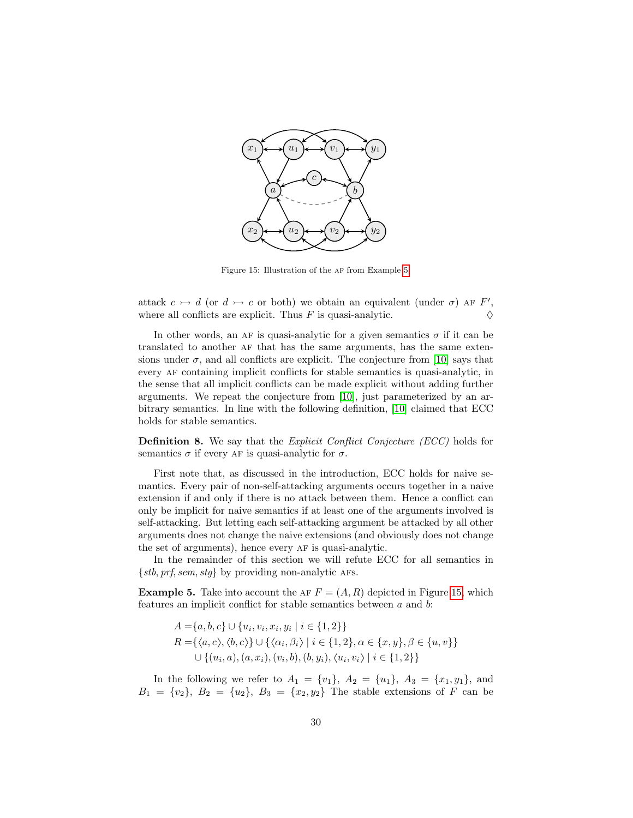<span id="page-29-1"></span>

Figure 15: Illustration of the AF from Example [5.](#page-29-0)

attack  $c \rightarrow d$  (or  $d \rightarrow c$  or both) we obtain an equivalent (under  $\sigma$ ) AF F', where all conflicts are explicit. Thus F is quasi-analytic.  $\Diamond$ 

In other words, an AF is quasi-analytic for a given semantics  $\sigma$  if it can be translated to another af that has the same arguments, has the same extensions under  $\sigma$ , and all conflicts are explicit. The conjecture from [\[10\]](#page-59-5) says that every af containing implicit conflicts for stable semantics is quasi-analytic, in the sense that all implicit conflicts can be made explicit without adding further arguments. We repeat the conjecture from [\[10\]](#page-59-5), just parameterized by an arbitrary semantics. In line with the following definition, [\[10\]](#page-59-5) claimed that ECC holds for stable semantics.

Definition 8. We say that the *Explicit Conflict Conjecture (ECC)* holds for semantics  $\sigma$  if every AF is quasi-analytic for  $\sigma$ .

First note that, as discussed in the introduction, ECC holds for naive semantics. Every pair of non-self-attacking arguments occurs together in a naive extension if and only if there is no attack between them. Hence a conflict can only be implicit for naive semantics if at least one of the arguments involved is self-attacking. But letting each self-attacking argument be attacked by all other arguments does not change the naive extensions (and obviously does not change the set of arguments), hence every AF is quasi-analytic.

In the remainder of this section we will refute ECC for all semantics in  $\{stb, prf, sem, stg\}$  by providing non-analytic AFs.

<span id="page-29-0"></span>**Example 5.** Take into account the AF  $F = (A, R)$  depicted in Figure [15,](#page-29-1) which features an implicit conflict for stable semantics between a and b:

$$
A = \{a, b, c\} \cup \{u_i, v_i, x_i, y_i \mid i \in \{1, 2\}\}
$$
  
\n
$$
R = \{\langle a, c \rangle, \langle b, c \rangle\} \cup \{\langle \alpha_i, \beta_i \rangle \mid i \in \{1, 2\}, \alpha \in \{x, y\}, \beta \in \{u, v\}\}
$$
  
\n
$$
\cup \{ (u_i, a), (a, x_i), (v_i, b), (b, y_i), \langle u_i, v_i \rangle \mid i \in \{1, 2\} \}
$$

In the following we refer to  $A_1 = \{v_1\}$ ,  $A_2 = \{u_1\}$ ,  $A_3 = \{x_1, y_1\}$ , and  $B_1 = \{v_2\}, B_2 = \{u_2\}, B_3 = \{x_2, y_2\}$  The stable extensions of F can be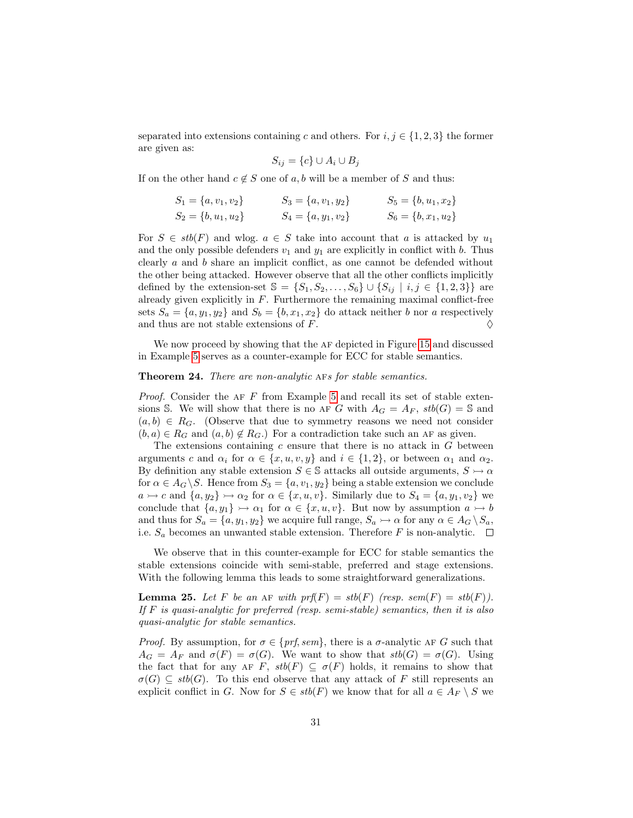separated into extensions containing c and others. For  $i, j \in \{1, 2, 3\}$  the former are given as:

$$
S_{ij} = \{c\} \cup A_i \cup B_j
$$

If on the other hand  $c \notin S$  one of a, b will be a member of S and thus:

$$
S_1 = \{a, v_1, v_2\}
$$
  
\n
$$
S_2 = \{b, u_1, u_2\}
$$
  
\n
$$
S_3 = \{a, v_1, y_2\}
$$
  
\n
$$
S_4 = \{a, y_1, v_2\}
$$
  
\n
$$
S_5 = \{b, u_1, x_2\}
$$
  
\n
$$
S_6 = \{b, x_1, u_2\}
$$

For  $S \in stb(F)$  and wlog.  $a \in S$  take into account that a is attacked by  $u_1$ and the only possible defenders  $v_1$  and  $y_1$  are explicitly in conflict with b. Thus clearly a and b share an implicit conflict, as one cannot be defended without the other being attacked. However observe that all the other conflicts implicitly defined by the extension-set  $\mathbb{S} = \{S_1, S_2, \ldots, S_6\} \cup \{S_{ij} | i, j \in \{1, 2, 3\}\}\$ are already given explicitly in  $F$ . Furthermore the remaining maximal conflict-free sets  $S_a = \{a, y_1, y_2\}$  and  $S_b = \{b, x_1, x_2\}$  do attack neither b nor a respectively and thus are not stable extensions of  $F$ .

We now proceed by showing that the AF depicted in Figure [15](#page-29-1) and discussed in Example [5](#page-29-0) serves as a counter-example for ECC for stable semantics.

# Theorem 24. There are non-analytic AFs for stable semantics.

*Proof.* Consider the  $AF$  F from Example [5](#page-29-0) and recall its set of stable extensions S. We will show that there is no AF G with  $A_G = A_F$ ,  $stb(G) = S$  and  $(a, b) \in R_G$ . (Observe that due to symmetry reasons we need not consider  $(b, a) \in R_G$  and  $(a, b) \notin R_G$ .) For a contradiction take such an AF as given.

The extensions containing  $c$  ensure that there is no attack in  $G$  between arguments c and  $\alpha_i$  for  $\alpha \in \{x, u, v, y\}$  and  $i \in \{1, 2\}$ , or between  $\alpha_1$  and  $\alpha_2$ . By definition any stable extension  $S \in \mathbb{S}$  attacks all outside arguments,  $S \rightarrow \alpha$ for  $\alpha \in A_G \backslash S$ . Hence from  $S_3 = \{a, v_1, y_2\}$  being a stable extension we conclude  $a \rightarrow c$  and  $\{a, y_2\} \rightarrow \alpha_2$  for  $\alpha \in \{x, u, v\}$ . Similarly due to  $S_4 = \{a, y_1, v_2\}$  we conclude that  $\{a, y_1\} \rightarrow \alpha_1$  for  $\alpha \in \{x, u, v\}$ . But now by assumption  $a \rightarrow b$ and thus for  $S_a = \{a, y_1, y_2\}$  we acquire full range,  $S_a \rightarrow \alpha$  for any  $\alpha \in A_G \backslash S_a$ , i.e.  $S_a$  becomes an unwanted stable extension. Therefore  $F$  is non-analytic.  $\quad \Box$ 

We observe that in this counter-example for ECC for stable semantics the stable extensions coincide with semi-stable, preferred and stage extensions. With the following lemma this leads to some straightforward generalizations.

<span id="page-30-0"></span>**Lemma 25.** Let F be an AF with  $prf(F) = stb(F)$  (resp. sem $(F) = stb(F)$ ). If F is quasi-analytic for preferred (resp. semi-stable) semantics, then it is also quasi-analytic for stable semantics.

*Proof.* By assumption, for  $\sigma \in \{prf, sem\}$ , there is a  $\sigma$ -analytic AF G such that  $A_G = A_F$  and  $\sigma(F) = \sigma(G)$ . We want to show that  $stb(G) = \sigma(G)$ . Using the fact that for any AF F,  $stb(F) \subseteq \sigma(F)$  holds, it remains to show that  $\sigma(G) \subseteq stb(G)$ . To this end observe that any attack of F still represents an explicit conflict in G. Now for  $S \in stb(F)$  we know that for all  $a \in A_F \setminus S$  we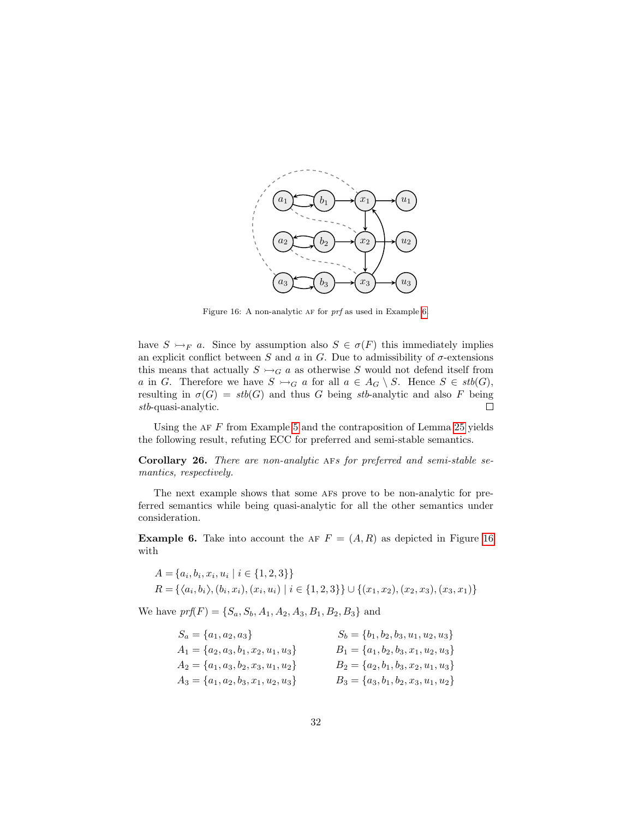<span id="page-31-1"></span>

Figure 16: A non-analytic AF for prf as used in Example [6.](#page-31-0)

have  $S \rightarrow_{F} a$ . Since by assumption also  $S \in \sigma(F)$  this immediately implies an explicit conflict between S and a in G. Due to admissibility of  $\sigma$ -extensions this means that actually  $S \rightarrowtail_G a$  as otherwise S would not defend itself from a in G. Therefore we have  $S \rightarrowtail_G a$  for all  $a \in A_G \setminus S$ . Hence  $S \in stb(G)$ , resulting in  $\sigma(G) = stb(G)$  and thus G being stb-analytic and also F being stb-quasi-analytic.  $\Box$ 

Using the AF  $F$  from Example [5](#page-29-0) and the contraposition of Lemma [25](#page-30-0) yields the following result, refuting ECC for preferred and semi-stable semantics.

Corollary 26. There are non-analytic AFs for preferred and semi-stable semantics, respectively.

The next example shows that some AFs prove to be non-analytic for preferred semantics while being quasi-analytic for all the other semantics under consideration.

<span id="page-31-0"></span>**Example 6.** Take into account the AF  $F = (A, R)$  as depicted in Figure [16](#page-31-1) with

$$
A = \{a_i, b_i, x_i, u_i \mid i \in \{1, 2, 3\}\}
$$
  

$$
R = \{\langle a_i, b_i \rangle, (b_i, x_i), (x_i, u_i) \mid i \in \{1, 2, 3\}\} \cup \{(x_1, x_2), (x_2, x_3), (x_3, x_1)\}\
$$

We have  $\text{prf}(F) = \{S_a, S_b, A_1, A_2, A_3, B_1, B_2, B_3\}$  and

| $S_a = \{a_1, a_2, a_3\}$                | $S_b = \{b_1, b_2, b_3, u_1, u_2, u_3\}$ |
|------------------------------------------|------------------------------------------|
| $A_1 = \{a_2, a_3, b_1, x_2, u_1, u_3\}$ | $B_1 = \{a_1, b_2, b_3, x_1, u_2, u_3\}$ |
| $A_2 = \{a_1, a_3, b_2, x_3, u_1, u_2\}$ | $B_2 = \{a_2, b_1, b_3, x_2, u_1, u_3\}$ |
| $A_3 = \{a_1, a_2, b_3, x_1, u_2, u_3\}$ | $B_3 = \{a_3, b_1, b_2, x_3, u_1, u_2\}$ |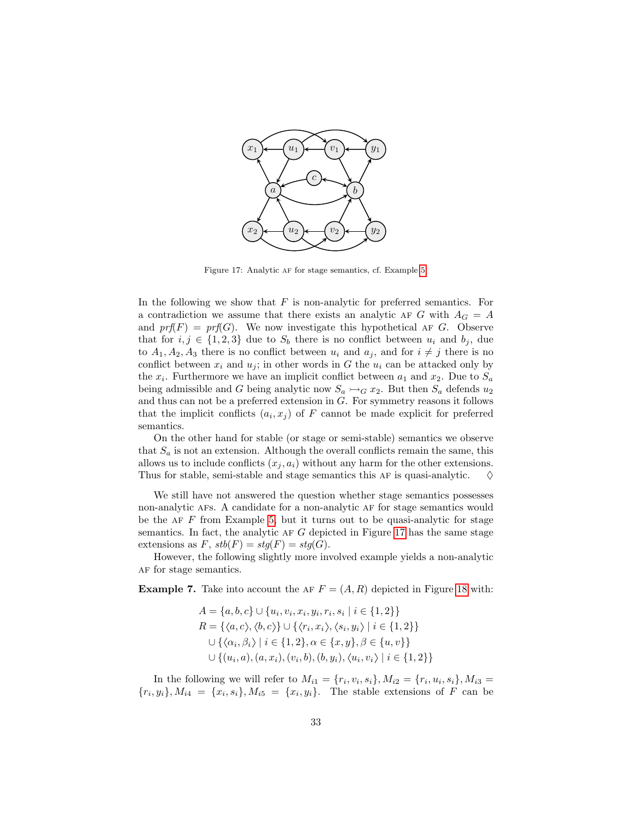<span id="page-32-0"></span>

Figure 17: Analytic AF for stage semantics, cf. Example [5.](#page-29-0)

In the following we show that  $F$  is non-analytic for preferred semantics. For a contradiction we assume that there exists an analytic AF G with  $A_G = A$ and  $prf(F) = prf(G)$ . We now investigate this hypothetical AF G. Observe that for  $i, j \in \{1, 2, 3\}$  due to  $S_b$  there is no conflict between  $u_i$  and  $b_j$ , due to  $A_1, A_2, A_3$  there is no conflict between  $u_i$  and  $a_j$ , and for  $i \neq j$  there is no conflict between  $x_i$  and  $u_j$ ; in other words in G the  $u_i$  can be attacked only by the  $x_i$ . Furthermore we have an implicit conflict between  $a_1$  and  $x_2$ . Due to  $S_a$ being admissible and G being analytic now  $S_a \rightarrowtail_G x_2$ . But then  $S_a$  defends  $u_2$ and thus can not be a preferred extension in  $G$ . For symmetry reasons it follows that the implicit conflicts  $(a_i, x_j)$  of F cannot be made explicit for preferred semantics.

On the other hand for stable (or stage or semi-stable) semantics we observe that  $S_a$  is not an extension. Although the overall conflicts remain the same, this allows us to include conflicts  $(x_j, a_i)$  without any harm for the other extensions. Thus for stable, semi-stable and stage semantics this AF is quasi-analytic.  $\diamond$ 

We still have not answered the question whether stage semantics possesses non-analytic afs. A candidate for a non-analytic af for stage semantics would be the AF  $F$  from Example [5,](#page-29-0) but it turns out to be quasi-analytic for stage semantics. In fact, the analytic AF  $G$  depicted in Figure [17](#page-32-0) has the same stage extensions as F,  $stb(F) = stg(F) = stg(G)$ .

However, the following slightly more involved example yields a non-analytic AF for stage semantics.

<span id="page-32-1"></span>**Example 7.** Take into account the AF  $F = (A, R)$  depicted in Figure [18](#page-33-0) with:

$$
A = \{a, b, c\} \cup \{u_i, v_i, x_i, y_i, r_i, s_i \mid i \in \{1, 2\}\}
$$
  
\n
$$
R = \{\langle a, c \rangle, \langle b, c \rangle\} \cup \{\langle r_i, x_i \rangle, \langle s_i, y_i \rangle \mid i \in \{1, 2\}\}
$$
  
\n
$$
\cup \{\langle \alpha_i, \beta_i \rangle \mid i \in \{1, 2\}, \alpha \in \{x, y\}, \beta \in \{u, v\}\}
$$
  
\n
$$
\cup \{\langle u_i, a \rangle, (a, x_i), (v_i, b), (b, y_i), \langle u_i, v_i \rangle \mid i \in \{1, 2\}\}\
$$

In the following we will refer to  $M_{i1} = \{r_i, v_i, s_i\}, M_{i2} = \{r_i, u_i, s_i\}, M_{i3} =$  ${x_i, y_i}, M_{i4} = {x_i, s_i}, M_{i5} = {x_i, y_i}.$  The stable extensions of F can be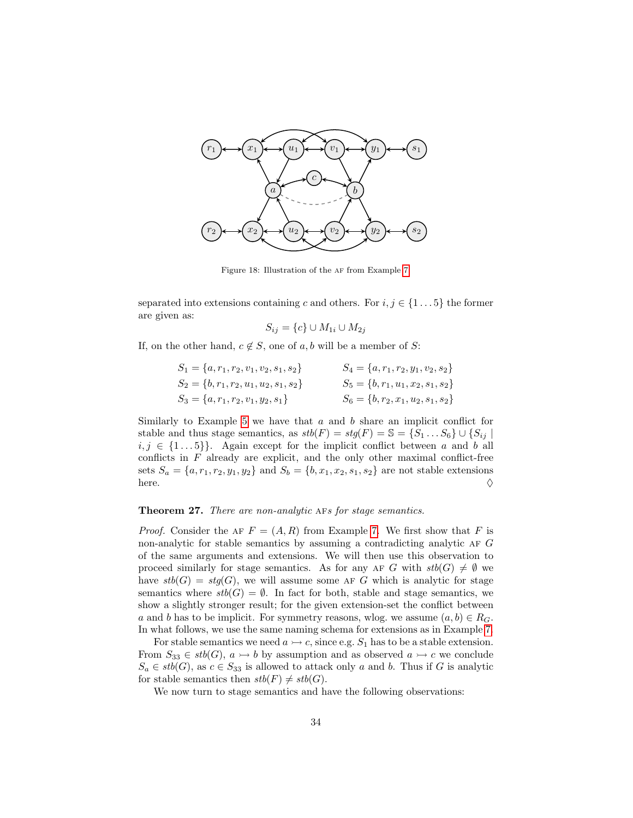<span id="page-33-0"></span>

Figure 18: Illustration of the AF from Example [7.](#page-32-1)

separated into extensions containing c and others. For  $i, j \in \{1 \dots 5\}$  the former are given as:

$$
S_{ij} = \{c\} \cup M_{1i} \cup M_{2j}
$$

If, on the other hand,  $c \notin S$ , one of a, b will be a member of S:

| $S_1 = \{a, r_1, r_2, v_1, v_2, s_1, s_2\}$ | $S_4 = \{a, r_1, r_2, y_1, v_2, s_2\}$ |
|---------------------------------------------|----------------------------------------|
| $S_2 = \{b, r_1, r_2, u_1, u_2, s_1, s_2\}$ | $S_5 = \{b, r_1, u_1, x_2, s_1, s_2\}$ |
| $S_3 = \{a, r_1, r_2, v_1, y_2, s_1\}$      | $S_6 = \{b, r_2, x_1, u_2, s_1, s_2\}$ |

Similarly to Example [5](#page-29-0) we have that  $a$  and  $b$  share an implicit conflict for stable and thus stage semantics, as  $stb(F) = stg(F) = \mathbb{S} = \{S_1 \dots S_6\} \cup \{S_{ij} \mid$  $i, j \in \{1...5\}$ . Again except for the implicit conflict between a and b all conflicts in  $F$  already are explicit, and the only other maximal conflict-free sets  $S_a = \{a, r_1, r_2, y_1, y_2\}$  and  $S_b = \{b, x_1, x_2, s_1, s_2\}$  are not stable extensions here.  $\Diamond$ 

## Theorem 27. There are non-analytic AFs for stage semantics.

*Proof.* Consider the AF  $F = (A, R)$  from Example [7.](#page-32-1) We first show that F is non-analytic for stable semantics by assuming a contradicting analytic AF  $G$ of the same arguments and extensions. We will then use this observation to proceed similarly for stage semantics. As for any AF G with  $stb(G) \neq \emptyset$  we have  $stb(G) = stg(G)$ , we will assume some AF G which is analytic for stage semantics where  $stb(G) = \emptyset$ . In fact for both, stable and stage semantics, we show a slightly stronger result; for the given extension-set the conflict between a and b has to be implicit. For symmetry reasons, wlog. we assume  $(a, b) \in R_G$ . In what follows, we use the same naming schema for extensions as in Example [7.](#page-32-1)

For stable semantics we need  $a \rightarrow c$ , since e.g.  $S_1$  has to be a stable extension. From  $S_{33} \in stb(G)$ ,  $a \rightarrow b$  by assumption and as observed  $a \rightarrow c$  we conclude  $S_a \in stb(G)$ , as  $c \in S_{33}$  is allowed to attack only a and b. Thus if G is analytic for stable semantics then  $stb(F) \neq stb(G)$ .

We now turn to stage semantics and have the following observations: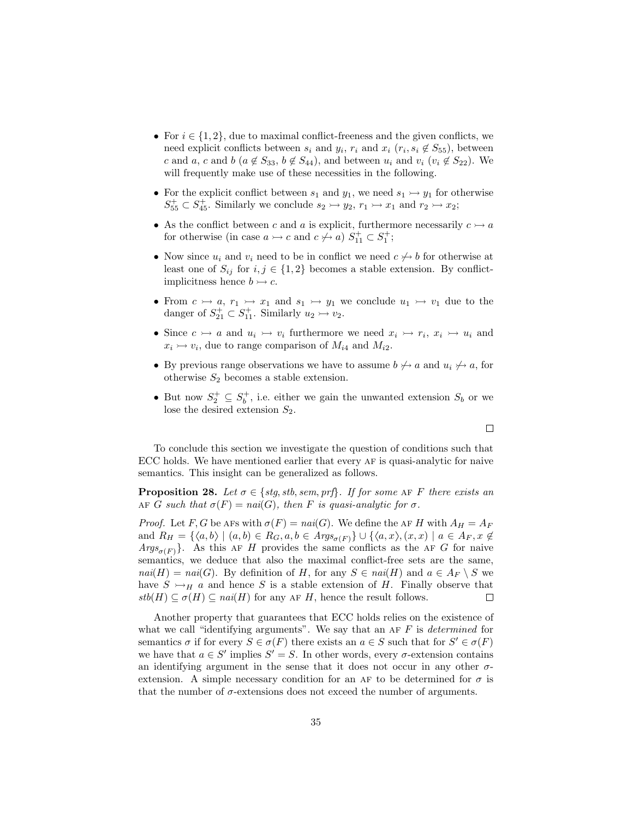- For  $i \in \{1, 2\}$ , due to maximal conflict-freeness and the given conflicts, we need explicit conflicts between  $s_i$  and  $y_i$ ,  $r_i$  and  $x_i$   $(r_i, s_i \notin S_{55})$ , between c and a, c and b ( $a \notin S_{33}$ ,  $b \notin S_{44}$ ), and between  $u_i$  and  $v_i$  ( $v_i \notin S_{22}$ ). We will frequently make use of these necessities in the following.
- For the explicit conflict between  $s_1$  and  $y_1$ , we need  $s_1 \rightarrow y_1$  for otherwise  $S_{55}^+ \subset S_{45}^+$ . Similarly we conclude  $s_2 \rightarrowtail y_2, r_1 \rightarrowtail x_1$  and  $r_2 \rightarrowtail x_2$ ;
- As the conflict between c and a is explicit, furthermore necessarily  $c \rightarrow a$ for otherwise (in case  $a \rightarrow c$  and  $c \not\rightarrow a$ )  $S_{11}^+ \subset S_1^+$ ;
- Now since  $u_i$  and  $v_i$  need to be in conflict we need  $c \nleftrightarrow b$  for otherwise at least one of  $S_{ij}$  for  $i, j \in \{1, 2\}$  becomes a stable extension. By conflictimplicitness hence  $b \rightarrowtail c.$
- From  $c \rightarrow a$ ,  $r_1 \rightarrow r_1$  and  $s_1 \rightarrow y_1$  we conclude  $u_1 \rightarrow v_1$  due to the danger of  $S_{21}^+ \subset S_{11}^+$ . Similarly  $u_2 \rightarrow v_2$ .
- Since  $c \rightarrow a$  and  $u_i \rightarrow v_i$  furthermore we need  $x_i \rightarrow r_i$ ,  $x_i \rightarrow u_i$  and  $x_i \rightarrow v_i$ , due to range comparison of  $M_{i4}$  and  $M_{i2}$ .
- By previous range observations we have to assume  $b \nrightarrow a$  and  $u_i \nrightarrow a$ , for otherwise  $S_2$  becomes a stable extension.
- But now  $S_2^+ \subseteq S_b^+$ , i.e. either we gain the unwanted extension  $S_b$  or we lose the desired extension  $S_2$ .

 $\Box$ 

To conclude this section we investigate the question of conditions such that ECC holds. We have mentioned earlier that every AF is quasi-analytic for naive semantics. This insight can be generalized as follows.

**Proposition 28.** Let  $\sigma \in \{stg, stb, sem, prf\}$ . If for some AF F there exists an AF G such that  $\sigma(F) = \text{nai}(G)$ , then F is quasi-analytic for  $\sigma$ .

*Proof.* Let F, G be AFs with  $\sigma(F) = \text{na}i(G)$ . We define the AF H with  $A_H = A_F$ and  $R_H = \{ \langle a, b \rangle \mid (a, b) \in R_G, a, b \in \text{Arg}_{\sigma(F)} \} \cup \{ \langle a, x \rangle, (x, x) \mid a \in A_F, x \notin \mathcal{A} \}$  $Args_{\sigma(F)}$ . As this AF H provides the same conflicts as the AF G for naive semantics, we deduce that also the maximal conflict-free sets are the same,  $nai(H) = nai(G)$ . By definition of H, for any  $S \in \text{nai}(H)$  and  $a \in A_F \setminus S$  we have  $S \rightarrow_H a$  and hence S is a stable extension of H. Finally observe that  $stb(H) \subseteq \sigma(H) \subseteq \text{na}i(H)$  for any AF H, hence the result follows.  $\Box$ 

Another property that guarantees that ECC holds relies on the existence of what we call "identifying arguments". We say that an AF  $F$  is *determined* for semantics  $\sigma$  if for every  $S \in \sigma(F)$  there exists an  $a \in S$  such that for  $S' \in \sigma(F)$ we have that  $a \in S'$  implies  $S' = S$ . In other words, every  $\sigma$ -extension contains an identifying argument in the sense that it does not occur in any other  $\sigma$ extension. A simple necessary condition for an AF to be determined for  $\sigma$  is that the number of  $\sigma$ -extensions does not exceed the number of arguments.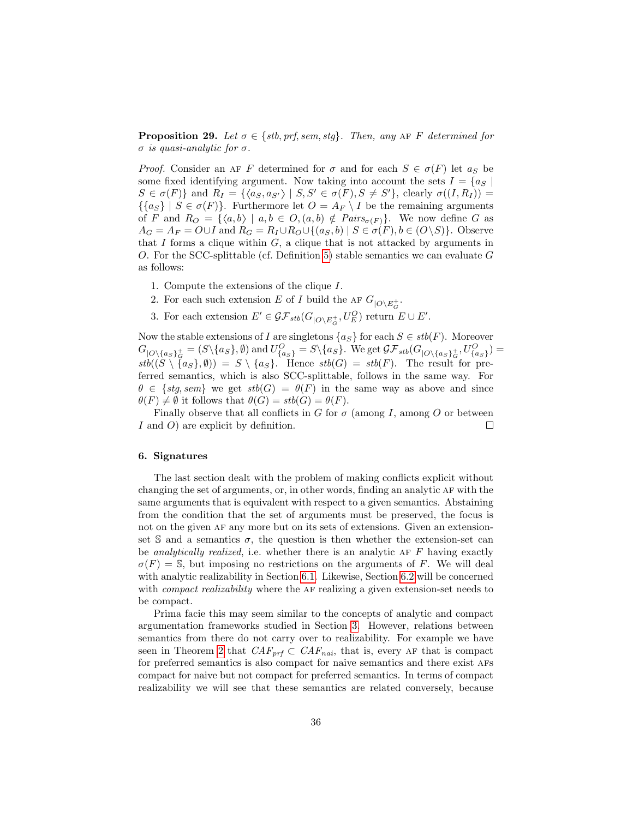**Proposition 29.** Let  $\sigma \in \{stb, prf, sem, stg\}$ . Then, any AF F determined for σ is quasi-analytic for σ.

*Proof.* Consider an AF F determined for  $\sigma$  and for each  $S \in \sigma(F)$  let  $a_S$  be some fixed identifying argument. Now taking into account the sets  $I = \{a_S | S\}$  $S \in \sigma(F)$ } and  $R_I = \{ \langle a_S, a_{S'} \rangle \mid S, S' \in \sigma(F), S \neq S' \},$  clearly  $\sigma((I, R_I)) =$  $\{\{a_S\} \mid S \in \sigma(F)\}.$  Furthermore let  $O = A_F \setminus I$  be the remaining arguments of F and  $R_O = \{ \langle a, b \rangle \mid a, b \in O, (a, b) \notin Pairs_{\sigma(F)} \}.$  We now define G as  $A_G = A_F = O \cup I$  and  $R_G = R_I \cup R_O \cup \{(a_S, b) \mid S \in \sigma(F), b \in (O \setminus S)\}.$  Observe that  $I$  forms a clique within  $G$ , a clique that is not attacked by arguments in O. For the SCC-splittable (cf. Definition [5\)](#page-18-2) stable semantics we can evaluate G as follows:

- 1. Compute the extensions of the clique I.
- 2. For each such extension E of I build the AF  $G_{|O\backslash E_G^+}$ .
- 3. For each extension  $E' \in \mathcal{GF}_{stb}(G_{|O\setminus E_G^+}, U_E^O)$  return  $E \cup E'.$

Now the stable extensions of I are singletons  ${a_S}$  for each  $S \in stb(F)$ . Moreover  $G_{|O\backslash \{a_S\}_{G}^+} = (S\backslash \{a_S\}, \emptyset)$  and  $U_{\{a_S\}}^O = S\backslash \{a_S\}$ . We get  $\mathcal{GF}_{stb}(G_{|O\backslash \{a_S\}_{G}^+}, U_{\{a_S\}}^O) =$  $stb((S \setminus \{a_S\}, \emptyset)) = S \setminus \{a_S\}.$  Hence  $stb(G) = stb(F)$ . The result for preferred semantics, which is also SCC-splittable, follows in the same way. For  $\theta \in \{stg, sem\}$  we get  $stb(G) = \theta(F)$  in the same way as above and since  $\theta(F) \neq \emptyset$  it follows that  $\theta(G) = stb(G) = \theta(F)$ .

Finally observe that all conflicts in G for  $\sigma$  (among I, among O or between I and  $O$ ) are explicit by definition.  $\Box$ 

# <span id="page-35-0"></span>6. Signatures

The last section dealt with the problem of making conflicts explicit without changing the set of arguments, or, in other words, finding an analytic af with the same arguments that is equivalent with respect to a given semantics. Abstaining from the condition that the set of arguments must be preserved, the focus is not on the given af any more but on its sets of extensions. Given an extensionset S and a semantics  $\sigma$ , the question is then whether the extension-set can be *analytically realized*, i.e. whether there is an analytic  $AF \t$  having exactly  $\sigma(F) = S$ , but imposing no restrictions on the arguments of F. We will deal with analytic realizability in Section [6.1.](#page-36-0) Likewise, Section [6.2](#page-40-0) will be concerned with *compact realizability* where the AF realizing a given extension-set needs to be compact.

Prima facie this may seem similar to the concepts of analytic and compact argumentation frameworks studied in Section [3.](#page-9-0) However, relations between semantics from there do not carry over to realizability. For example we have seen in Theorem [2](#page-10-2) that  $CAF_{prf} \subset CAT_{nai}$ , that is, every AF that is compact for preferred semantics is also compact for naive semantics and there exist afs compact for naive but not compact for preferred semantics. In terms of compact realizability we will see that these semantics are related conversely, because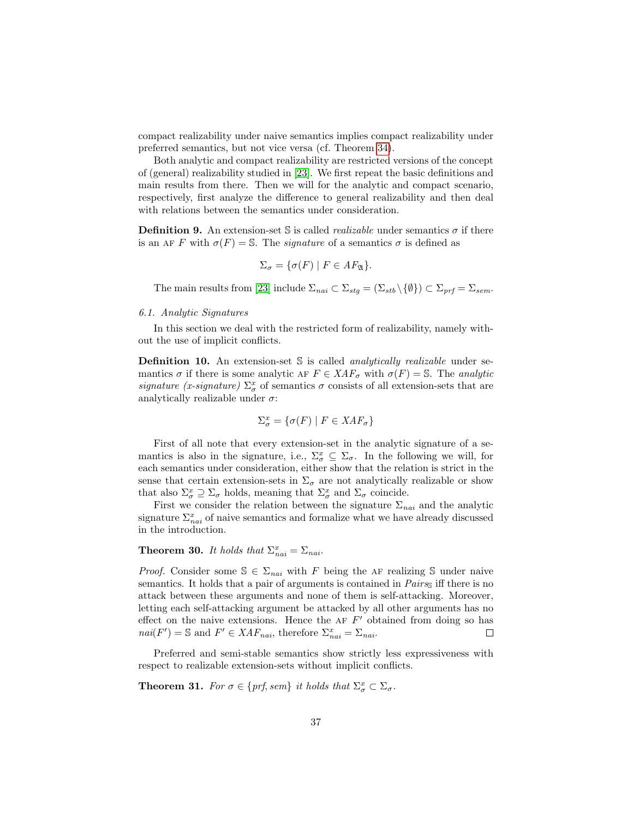compact realizability under naive semantics implies compact realizability under preferred semantics, but not vice versa (cf. Theorem [34\)](#page-38-0).

Both analytic and compact realizability are restricted versions of the concept of (general) realizability studied in [\[23\]](#page-60-0). We first repeat the basic definitions and main results from there. Then we will for the analytic and compact scenario, respectively, first analyze the difference to general realizability and then deal with relations between the semantics under consideration.

**Definition 9.** An extension-set S is called *realizable* under semantics  $\sigma$  if there is an AF F with  $\sigma(F) = \mathbb{S}$ . The *signature* of a semantics  $\sigma$  is defined as

$$
\Sigma_{\sigma} = \{ \sigma(F) \mid F \in AF_{\mathfrak{A}} \}.
$$

The main results from [\[23\]](#page-60-0) include  $\Sigma_{nai} \subset \Sigma_{sta} = (\Sigma_{stb} \setminus \{\emptyset\}) \subset \Sigma_{prf} = \Sigma_{sem}$ .

#### 6.1. Analytic Signatures

In this section we deal with the restricted form of realizability, namely without the use of implicit conflicts.

**Definition 10.** An extension-set S is called *analytically realizable* under semantics  $\sigma$  if there is some analytic AF  $F \in XAF_{\sigma}$  with  $\sigma(F) = \mathbb{S}$ . The analytic signature (x-signature)  $\Sigma^x_{\sigma}$  of semantics  $\sigma$  consists of all extension-sets that are analytically realizable under  $\sigma$ :

$$
\Sigma_{\sigma}^{x} = \{ \sigma(F) \mid F \in XAF_{\sigma} \}
$$

First of all note that every extension-set in the analytic signature of a semantics is also in the signature, i.e.,  $\Sigma_{\sigma}^x \subseteq \Sigma_{\sigma}$ . In the following we will, for each semantics under consideration, either show that the relation is strict in the sense that certain extension-sets in  $\Sigma_{\sigma}$  are not analytically realizable or show that also  $\Sigma^x_\sigma \supseteq \Sigma_\sigma$  holds, meaning that  $\Sigma^x_\sigma$  and  $\Sigma_\sigma$  coincide.

First we consider the relation between the signature  $\Sigma_{nai}$  and the analytic signature  $\Sigma_{nai}^x$  of naive semantics and formalize what we have already discussed in the introduction.

<span id="page-36-0"></span>**Theorem 30.** It holds that  $\Sigma_{nai}^x = \Sigma_{nai}$ .

*Proof.* Consider some  $\mathcal{S} \in \Sigma_{nai}$  with F being the AF realizing S under naive semantics. It holds that a pair of arguments is contained in  $Pairs_{\mathbb{S}}$  iff there is no attack between these arguments and none of them is self-attacking. Moreover, letting each self-attacking argument be attacked by all other arguments has no effect on the naive extensions. Hence the AF  $F'$  obtained from doing so has  $nai(F') =$  S and  $F' \in XAF_{nai}$ , therefore  $\Sigma_{nai}^x = \Sigma_{nai}$ .  $\Box$ 

Preferred and semi-stable semantics show strictly less expressiveness with respect to realizable extension-sets without implicit conflicts.

<span id="page-36-1"></span>**Theorem 31.** For  $\sigma \in \{prf, sem\}$  it holds that  $\Sigma^x_{\sigma} \subset \Sigma_{\sigma}$ .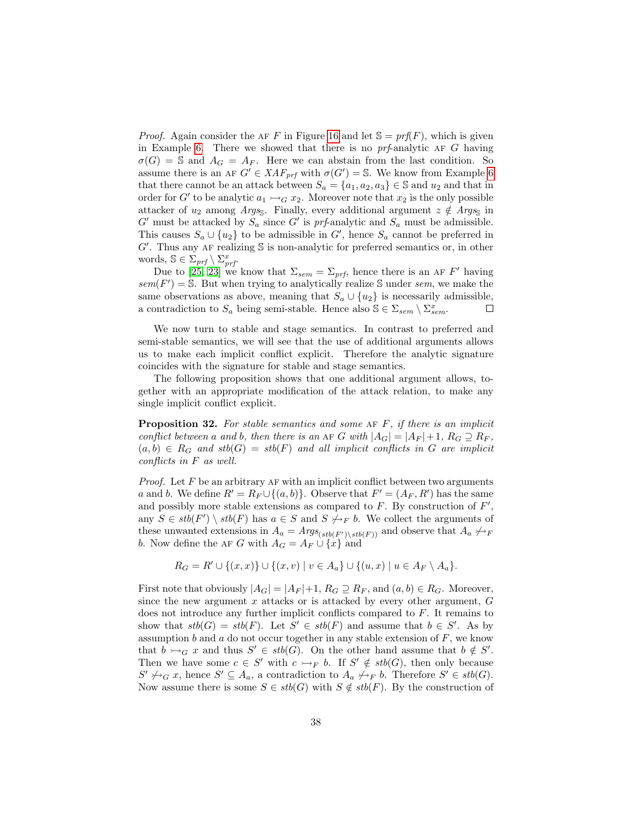*Proof.* Again consider the AF F in Figure [16](#page-31-0) and let  $\mathcal{S} = pr(fF)$ , which is given in Example [6.](#page-31-1) There we showed that there is no  $prf$ -analytic AF G having  $\sigma(G) = S$  and  $A_G = A_F$ . Here we can abstain from the last condition. So assume there is an AF  $G' \in XAF_{prf}$  with  $\sigma(G') = \mathbb{S}$ . We know from Example [6](#page-31-1) that there cannot be an attack between  $S_a = \{a_1, a_2, a_3\} \in \mathbb{S}$  and  $u_2$  and that in order for G' to be analytic  $a_1 \rightarrow_G x_2$ . Moreover note that  $x_2$  is the only possible attacker of  $u_2$  among  $Args_S$ . Finally, every additional argument  $z \notin Args_S$  in  $G'$  must be attacked by  $S_a$  since  $G'$  is prf-analytic and  $S_a$  must be admissible. This causes  $S_a \cup \{u_2\}$  to be admissible in G', hence  $S_a$  cannot be preferred in  $G'$ . Thus any AF realizing S is non-analytic for preferred semantics or, in other words,  $\mathbb{S} \in \Sigma_{\text{prf}} \setminus \Sigma_{\text{prf}}^x$ .

Due to [\[25,](#page-60-1) [23\]](#page-60-0) we know that  $\Sigma_{sem} = \Sigma_{prf}$ , hence there is an AF F' having  $sem(F') = \mathbb{S}$ . But when trying to analytically realize  $\mathbb{S}$  under sem, we make the same observations as above, meaning that  $S_a \cup \{u_2\}$  is necessarily admissible, a contradiction to  $S_a$  being semi-stable. Hence also  $\mathbb{S} \in \Sigma_{sem} \setminus \Sigma_{sem}^x$ .  $\Box$ 

We now turn to stable and stage semantics. In contrast to preferred and semi-stable semantics, we will see that the use of additional arguments allows us to make each implicit conflict explicit. Therefore the analytic signature coincides with the signature for stable and stage semantics.

The following proposition shows that one additional argument allows, together with an appropriate modification of the attack relation, to make any single implicit conflict explicit.

<span id="page-37-0"></span>**Proposition 32.** For stable semantics and some  $AF$ ,  $F$ , if there is an implicit conflict between a and b, then there is an AF G with  $|A_G| = |A_F| + 1$ ,  $R_G \supseteq R_F$ ,  $(a, b) \in R_G$  and  $stb(G) = stb(F)$  and all implicit conflicts in G are implicit conflicts in F as well.

*Proof.* Let  $F$  be an arbitrary AF with an implicit conflict between two arguments a and b. We define  $R' = R_F \cup \{(a, b)\}\$ . Observe that  $F' = (A_F, R')$  has the same and possibly more stable extensions as compared to  $F$ . By construction of  $F'$ , any  $S \in stb(F') \setminus stb(F)$  has  $a \in S$  and  $S \nleftrightarrow_F b$ . We collect the arguments of these unwanted extensions in  $A_a = \text{Args}_{(stb(F')\setminus stb(F))}$  and observe that  $A_a \not\rightarrow_F P$ b. Now define the AF G with  $A_G = A_F \cup \{x\}$  and

$$
R_G = R' \cup \{(x, x)\} \cup \{(x, v) \mid v \in A_a\} \cup \{(u, x) \mid u \in A_F \setminus A_a\}.
$$

First note that obviously  $|A_G| = |A_F| + 1$ ,  $R_G \supseteq R_F$ , and  $(a, b) \in R_G$ . Moreover, since the new argument  $x$  attacks or is attacked by every other argument,  $G$ does not introduce any further implicit conflicts compared to F. It remains to show that  $stb(G) = stb(F)$ . Let  $S' \in stb(F)$  and assume that  $b \in S'$ . As by assumption b and a do not occur together in any stable extension of  $F$ , we know that  $b \rightarrowtail_G x$  and thus  $S' \in stb(G)$ . On the other hand assume that  $b \notin S'$ . Then we have some  $c \in S'$  with  $c \rightarrow_F b$ . If  $S' \notin stb(G)$ , then only because  $S' \nrightarrow_G x$ , hence  $S' \subseteq A_a$ , a contradiction to  $A_a \nrightarrow_F b$ . Therefore  $S' \in stb(G)$ . Now assume there is some  $S \in stb(G)$  with  $S \notin stb(F)$ . By the construction of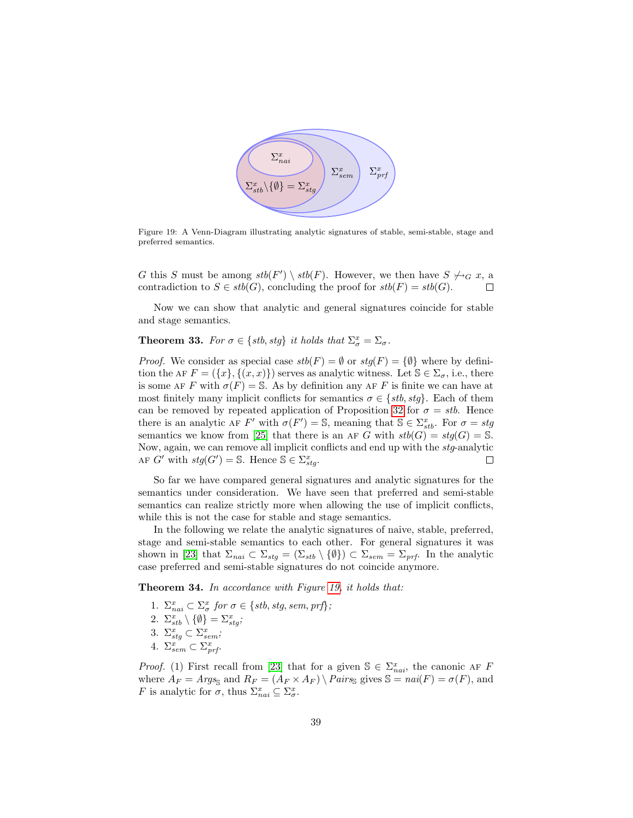<span id="page-38-1"></span>

Figure 19: A Venn-Diagram illustrating analytic signatures of stable, semi-stable, stage and preferred semantics.

G this S must be among  $stb(F') \setminus stb(F)$ . However, we then have  $S \nrightarrow_G x$ , a contradiction to  $S \in stb(G)$ , concluding the proof for  $stb(F) = stb(G)$ .  $\Box$ 

Now we can show that analytic and general signatures coincide for stable and stage semantics.

<span id="page-38-2"></span>**Theorem 33.** For  $\sigma \in \{stb, stg\}$  it holds that  $\Sigma_{\sigma}^x = \Sigma_{\sigma}$ .

*Proof.* We consider as special case  $stb(F) = \emptyset$  or  $stg(F) = \{\emptyset\}$  where by definition the AF  $F = (\{x\}, \{(x, x)\})$  serves as analytic witness. Let  $\mathcal{S} \in \Sigma_{\sigma}$ , i.e., there is some AF F with  $\sigma(F) = \mathbb{S}$ . As by definition any AF F is finite we can have at most finitely many implicit conflicts for semantics  $\sigma \in \{stb, stg\}$ . Each of them can be removed by repeated application of Proposition [32](#page-37-0) for  $\sigma = stb$ . Hence there is an analytic AF F' with  $\sigma(F') = \mathbb{S}$ , meaning that  $\mathbb{S} \in \Sigma_{stb}^x$ . For  $\sigma = stg$ semantics we know from [\[25\]](#page-60-1) that there is an AF G with  $stb(G) = stg(G) = S$ . Now, again, we can remove all implicit conflicts and end up with the stg-analytic AF G' with  $stg(G') = \mathbb{S}$ . Hence  $\mathbb{S} \in \Sigma_{stg}^x$ .  $\Box$ 

So far we have compared general signatures and analytic signatures for the semantics under consideration. We have seen that preferred and semi-stable semantics can realize strictly more when allowing the use of implicit conflicts, while this is not the case for stable and stage semantics.

In the following we relate the analytic signatures of naive, stable, preferred, stage and semi-stable semantics to each other. For general signatures it was shown in [\[23\]](#page-60-0) that  $\Sigma_{nai} \subset \Sigma_{stg} = (\Sigma_{stb} \setminus \{\emptyset\}) \subset \Sigma_{sem} = \Sigma_{prf}$ . In the analytic case preferred and semi-stable signatures do not coincide anymore.

<span id="page-38-0"></span>Theorem 34. In accordance with Figure [19,](#page-38-1) it holds that:

1.  $\Sigma_{nai}^x \subset \Sigma_{\sigma}^x$  for  $\sigma \in \{stb, stg, sem, prf\}$ ; 2.  $\Sigma_{stb}^x \setminus {\emptyset} = \Sigma_{stg}^x;$ 3.  $\Sigma_{stg}^x \subset \Sigma_{sem}^x;$ 4.  $\Sigma_{sem}^x \subset \Sigma_{prf}^x$ .

Proof. (1) First recall from [\[23\]](#page-60-0) that for a given  $\mathbb{S} \in \sum_{n=1}^{\infty}$ , the canonic AF F where  $A_F = \text{Args}_{\mathcal{S}}$  and  $R_F = (A_F \times A_F) \setminus \text{Pairs}_{\mathcal{S}}$  gives  $\mathcal{S} = \text{na}i(F) = \sigma(F)$ , and *F* is analytic for  $\sigma$ , thus  $\Sigma_{nai}^x \subseteq \Sigma_{\sigma}^x$ .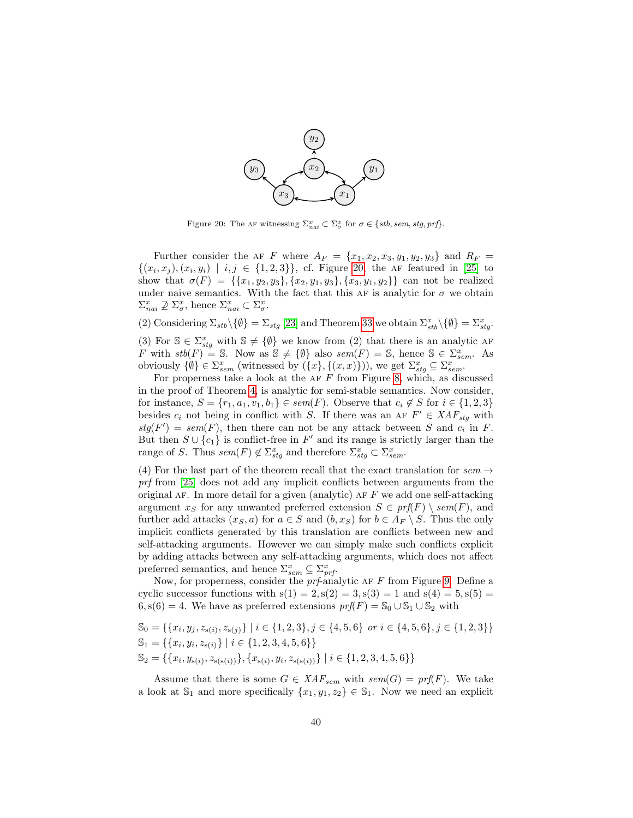<span id="page-39-0"></span>

Figure 20: The AF witnessing  $\Sigma_{nai}^x \subset \Sigma_{\sigma}^x$  for  $\sigma \in \{stb, sem, stg, prf\}.$ 

Further consider the AF F where  $A_F = \{x_1, x_2, x_3, y_1, y_2, y_3\}$  and  $R_F =$  $\{(x_i, x_j), (x_i, y_i) \mid i, j \in \{1, 2, 3\}\},\$ cf. Figure [20,](#page-39-0) the AF featured in [\[25\]](#page-60-1) to show that  $\sigma(F) = \{\{x_1, y_2, y_3\}, \{x_2, y_1, y_3\}, \{x_3, y_1, y_2\}\}\)$  can not be realized under naive semantics. With the fact that this AF is analytic for  $\sigma$  we obtain  $\Sigma_{nai}^x \not\supseteq \Sigma_{\sigma}^x$ , hence  $\Sigma_{nai}^x \subset \Sigma_{\sigma}^x$ .

(2) Considering  $\Sigma_{stb} \setminus \{\emptyset\} = \Sigma_{stg}$  [\[23\]](#page-60-0) and Theorem [33](#page-38-2) we obtain  $\Sigma_{stb}^x \setminus \{\emptyset\} = \Sigma_{stg}^x$ .

(3) For  $\mathbb{S} \in \Sigma_{stg}^x$  with  $\mathbb{S} \neq \{\emptyset\}$  we know from (2) that there is an analytic AF F with  $stb(F) = \mathbb{S}$ . Now as  $\mathbb{S} \neq \{ \emptyset \}$  also  $sem(F) = \mathbb{S}$ , hence  $\mathbb{S} \in \Sigma_{sem}^x$ . As obviously  $\{\emptyset\} \in \Sigma_{sem}^x$  (witnessed by  $(\{x\}, \{(x, x)\})$ ), we get  $\Sigma_{stg}^x \subseteq \Sigma_{sem}^x$ .

For properness take a look at the  $AF$  from Figure [8,](#page-13-0) which, as discussed in the proof of Theorem [4,](#page-13-1) is analytic for semi-stable semantics. Now consider, for instance,  $S = \{r_1, a_1, v_1, b_1\} \in sem(F)$ . Observe that  $c_i \notin S$  for  $i \in \{1, 2, 3\}$ besides  $c_i$  not being in conflict with S. If there was an AF  $F' \in XAF_{stg}$  with  $stg(F') = sem(F)$ , then there can not be any attack between S and  $c_i$  in F. But then  $S \cup \{c_1\}$  is conflict-free in  $F'$  and its range is strictly larger than the range of S. Thus  $sem(F) \notin \Sigma_{stg}^x$  and therefore  $\Sigma_{stg}^x \subset \Sigma_{sem}^x$ .

(4) For the last part of the theorem recall that the exact translation for  $sem \rightarrow$ prf from [\[25\]](#page-60-1) does not add any implicit conflicts between arguments from the original AF. In more detail for a given (analytic) AF  $F$  we add one self-attacking argument  $x_S$  for any unwanted preferred extension  $S \in \text{prf}(F) \setminus \text{sem}(F)$ , and further add attacks  $(x_S, a)$  for  $a \in S$  and  $(b, x_S)$  for  $b \in A_F \setminus S$ . Thus the only implicit conflicts generated by this translation are conflicts between new and self-attacking arguments. However we can simply make such conflicts explicit by adding attacks between any self-attacking arguments, which does not affect preferred semantics, and hence  $\Sigma_{sem}^x \subseteq \Sigma_{prf}^x$ .

Now, for properness, consider the  $prf$ -analytic AF F from Figure [9.](#page-14-0) Define a cyclic successor functions with  $s(1) = 2, s(2) = 3, s(3) = 1$  and  $s(4) = 5, s(5) =$  $6, s(6) = 4$ . We have as preferred extensions  $\text{prf}(F) = \mathbb{S}_0 \cup \mathbb{S}_1 \cup \mathbb{S}_2$  with

$$
\begin{aligned} \mathbb{S}_0 &= \{ \{x_i, y_j, z_{\mathbf{s}(i)}, z_{\mathbf{s}(j)}\} \mid i \in \{1, 2, 3\}, j \in \{4, 5, 6\} \text{ or } i \in \{4, 5, 6\}, j \in \{1, 2, 3\} \} \\ \mathbb{S}_1 &= \{ \{x_i, y_i, z_{\mathbf{s}(i)}\} \mid i \in \{1, 2, 3, 4, 5, 6\} \} \\ \mathbb{S}_2 &= \{ \{x_i, y_{\mathbf{s}(i)}, z_{\mathbf{s}(\mathbf{s}(i))}\}, \{x_{\mathbf{s}(i)}, y_i, z_{\mathbf{s}(\mathbf{s}(i))}\} \mid i \in \{1, 2, 3, 4, 5, 6\} \} \end{aligned}
$$

Assume that there is some  $G \in XAF_{sem}$  with  $sem(G) = prf(F)$ . We take a look at  $\mathbb{S}_1$  and more specifically  $\{x_1, y_1, z_2\} \in \mathbb{S}_1$ . Now we need an explicit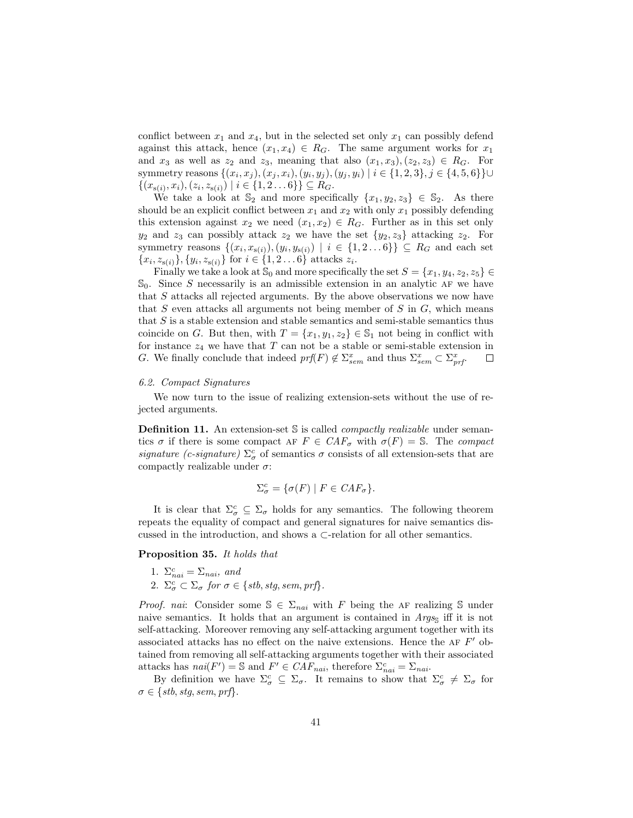conflict between  $x_1$  and  $x_4$ , but in the selected set only  $x_1$  can possibly defend against this attack, hence  $(x_1, x_4) \in R_G$ . The same argument works for  $x_1$ and  $x_3$  as well as  $z_2$  and  $z_3$ , meaning that also  $(x_1, x_3), (z_2, z_3) \in R_G$ . For symmetry reasons  $\{(x_i, x_j), (x_j, x_i), (y_i, y_j), (y_j, y_i) \mid i \in \{1, 2, 3\}, j \in \{4, 5, 6\}\}$  $\{(x_{s(i)}, x_i), (z_i, z_{s(i)}) \mid i \in \{1, 2 \dots 6\}\} \subseteq R_G.$ 

We take a look at  $\mathbb{S}_2$  and more specifically  $\{x_1, y_2, z_3\} \in \mathbb{S}_2$ . As there should be an explicit conflict between  $x_1$  and  $x_2$  with only  $x_1$  possibly defending this extension against  $x_2$  we need  $(x_1, x_2) \in R_G$ . Further as in this set only  $y_2$  and  $z_3$  can possibly attack  $z_2$  we have the set  $\{y_2, z_3\}$  attacking  $z_2$ . For symmetry reasons  $\{(x_i, x_{s(i)}), (y_i, y_{s(i)}) \mid i \in \{1, 2 \dots 6\}\}\subseteq R_G$  and each set  ${x_i, z_{s(i)}}$ ,  ${y_i, z_{s(i)}}$  for  $i \in \{1, 2...6\}$  attacks  $z_i$ .

Finally we take a look at  $\mathcal{S}_0$  and more specifically the set  $S = \{x_1, y_4, z_2, z_5\} \in$  $\mathcal{S}_0$ . Since S necessarily is an admissible extension in an analytic AF we have that S attacks all rejected arguments. By the above observations we now have that  $S$  even attacks all arguments not being member of  $S$  in  $G$ , which means that S is a stable extension and stable semantics and semi-stable semantics thus coincide on G. But then, with  $T = \{x_1, y_1, z_2\} \in \mathbb{S}_1$  not being in conflict with for instance  $z_4$  we have that  $T$  can not be a stable or semi-stable extension in G. We finally conclude that indeed  $\text{prf}(F) \notin \Sigma_{sem}^x$  and thus  $\Sigma_{sem}^x \subset \Sigma_{prf}^x$ .  $\Box$ 

#### 6.2. Compact Signatures

We now turn to the issue of realizing extension-sets without the use of rejected arguments.

**Definition 11.** An extension-set S is called *compactly realizable* under semantics  $\sigma$  if there is some compact AF  $F \in CAF_{\sigma}$  with  $\sigma(F) = \mathbb{S}$ . The compact signature (c-signature)  $\Sigma^c_\sigma$  of semantics  $\sigma$  consists of all extension-sets that are compactly realizable under  $\sigma$ :

$$
\Sigma_{\sigma}^{c} = \{ \sigma(F) \mid F \in \mathit{CAF}_{\sigma} \}.
$$

It is clear that  $\Sigma^c_{\sigma} \subseteq \Sigma_{\sigma}$  holds for any semantics. The following theorem repeats the equality of compact and general signatures for naive semantics discussed in the introduction, and shows a ⊂-relation for all other semantics.

<span id="page-40-0"></span>Proposition 35. It holds that

- 1.  $\Sigma_{nai}^c = \Sigma_{nai}$ , and
- 2.  $\Sigma_{\sigma}^{c} \subset \Sigma_{\sigma}$  for  $\sigma \in \{stb, stg, sem, prf\}$ .

*Proof. nai:* Consider some  $\mathcal{S} \in \Sigma_{n a i}$  with F being the AF realizing S under naive semantics. It holds that an argument is contained in  $\text{Arg}_\mathcal{S}$  iff it is not self-attacking. Moreover removing any self-attacking argument together with its associated attacks has no effect on the naive extensions. Hence the AF  $F'$  obtained from removing all self-attacking arguments together with their associated attacks has  $nai(F') = \mathcal{S}$  and  $F' \in \widehat{CAF}_{nai}$ , therefore  $\Sigma_{nai}^c = \Sigma_{nai}$ .

By definition we have  $\Sigma_{\sigma}^c \subseteq \Sigma_{\sigma}$ . It remains to show that  $\Sigma_{\sigma}^c \neq \Sigma_{\sigma}$  for  $\sigma \in \{stb, stg, sem, prf\}.$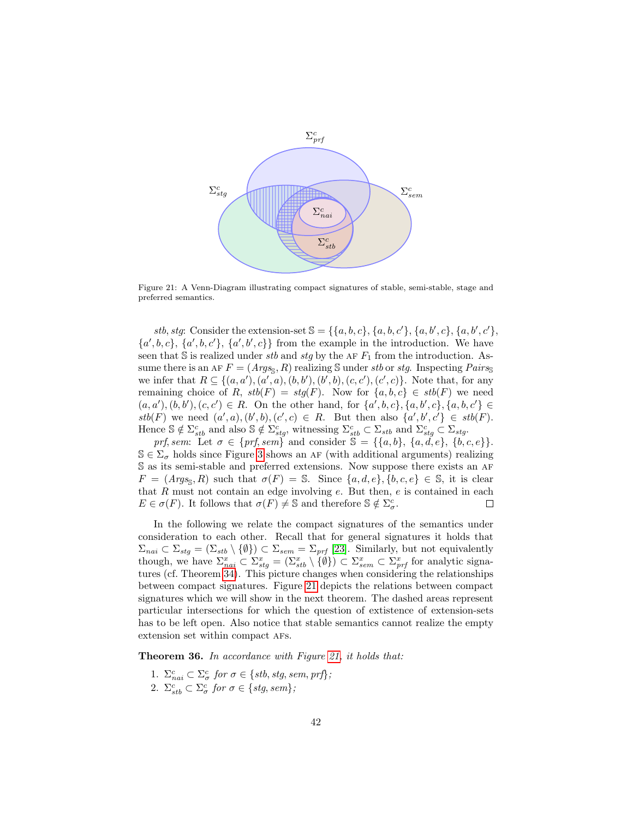<span id="page-41-0"></span>

Figure 21: A Venn-Diagram illustrating compact signatures of stable, semi-stable, stage and preferred semantics.

stb, stg: Consider the extension-set  $\mathbb{S} = \{ \{a, b, c\}, \{a, b, c'\}, \{a, b', c\}, \{a, b', c'\},\$  ${a', b, c}, \{a', b, c'\}, \{a', b', c\}\}$  from the example in the introduction. We have seen that S is realized under stb and stg by the AF  $F_1$  from the introduction. Assume there is an AF  $F = (Arg_{\mathcal{S}_{\mathcal{S}}}, R)$  realizing S under stb or stg. Inspecting  $Pairs_{\mathcal{S}}$ we infer that  $R \subseteq \{(a, a'), (a', a), (b, b'), (b', b), (c, c'), (c', c)\}.$  Note that, for any remaining choice of R,  $stb(F) = stg(F)$ . Now for  $\{a, b, c\} \in stb(F)$  we need  $(a, a'), (b, b'), (c, c') \in R$ . On the other hand, for  $\{a', b, c\}, \{a, b', c\}, \{a, b, c'\} \in$  $stb(F)$  we need  $(a', a), (b', b), (c', c) \in R$ . But then also  $\{a', b', c'\} \in stb(F)$ . Hence  $\mathbb{S} \notin \Sigma_{stb}^c$  and also  $\mathbb{S} \notin \Sigma_{stg}^c$ , witnessing  $\Sigma_{stb}^c \subset \Sigma_{stb}$  and  $\Sigma_{stg}^c \subset \Sigma_{stg}$ .

prf, sem: Let  $\sigma \in \{prf, sem\}$  and consider  $\mathbb{S} = \{\{a,b\}, \{a,d,e\}, \{b,c,e\}\}.$  $\mathbb{S} \in \Sigma_{\sigma}$  holds since Figure [3](#page-7-0) shows an AF (with additional arguments) realizing S as its semi-stable and preferred extensions. Now suppose there exists an af  $F = (Arg_{\mathcal{S}_{\mathcal{S}}}, R)$  such that  $\sigma(F) = \mathcal{S}$ . Since  $\{a, d, e\}, \{b, c, e\} \in \mathcal{S}$ , it is clear that  $R$  must not contain an edge involving  $e$ . But then,  $e$  is contained in each  $E \in \sigma(F)$ . It follows that  $\sigma(F) \neq \mathbb{S}$  and therefore  $\mathbb{S} \notin \Sigma^c_{\sigma}$ .  $\Box$ 

In the following we relate the compact signatures of the semantics under consideration to each other. Recall that for general signatures it holds that  $\Sigma_{nai} \subset \Sigma_{stg} = (\Sigma_{stb} \setminus \{\emptyset\}) \subset \Sigma_{sem} = \Sigma_{prf}$  [\[23\]](#page-60-0). Similarly, but not equivalently though, we have  $\Sigma_{nai}^x \subset \Sigma_{stg}^x = (\Sigma_{stb}^x \setminus \{\emptyset\}) \subset \Sigma_{sem}^x \subset \Sigma_{prf}^x$  for analytic signatures (cf. Theorem [34\)](#page-38-0). This picture changes when considering the relationships between compact signatures. Figure [21](#page-41-0) depicts the relations between compact signatures which we will show in the next theorem. The dashed areas represent particular intersections for which the question of extistence of extension-sets has to be left open. Also notice that stable semantics cannot realize the empty extension set within compact afs.

<span id="page-41-1"></span>Theorem 36. In accordance with Figure [21,](#page-41-0) it holds that:

- 1.  $\Sigma_{nai}^c \subset \Sigma_{\sigma}^c$  for  $\sigma \in \{stb, stg, sem, prf\}$ ;
- 2.  $\Sigma_{stb}^c \subset \Sigma_{\sigma}^c$  for  $\sigma \in \{stg, sem\}$ ;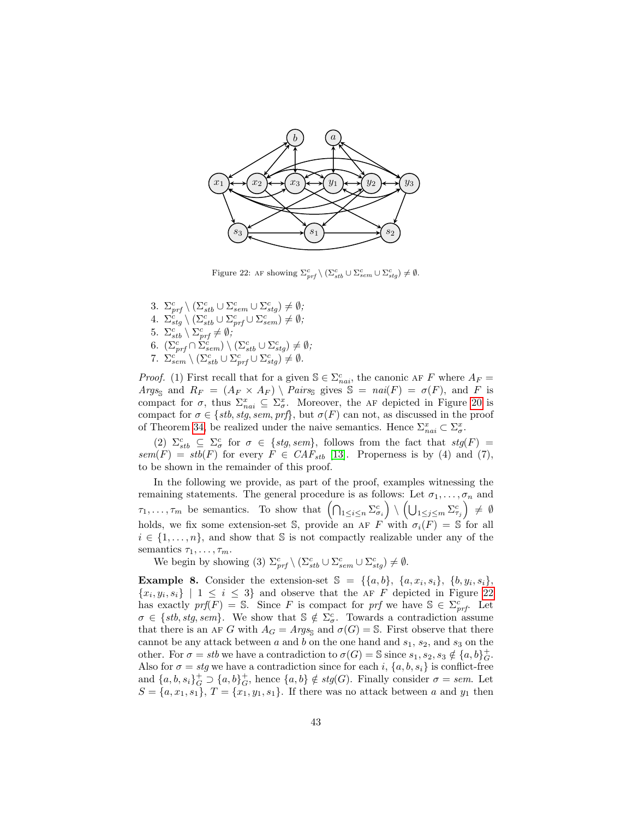<span id="page-42-0"></span>

Figure 22: AF showing  $\Sigma_{prf}^c \setminus (\Sigma_{stb}^c \cup \Sigma_{sem}^c \cup \Sigma_{stg}^c) \neq \emptyset$ .

3.  $\Sigma_{prf}^c \setminus (\Sigma_{stb}^c \cup \Sigma_{sem}^c \cup \Sigma_{stg}^c) \neq \emptyset;$ 4.  $\Sigma_{stg}^{c} \setminus (\Sigma_{stb}^{c} \cup \Sigma_{prf}^{c} \cup \Sigma_{sem}^{c}) \neq \emptyset$ ; 5.  $\Sigma_{stb}^c \setminus \Sigma_{prf}^c \neq \emptyset;$ 6.  $(\Sigma^c_{prf} \cap \dot{\Sigma}^c_{sem}) \setminus (\Sigma^c_{stb} \cup \Sigma^c_{stg}) \neq \emptyset$ ; 7.  $\Sigma_{sem}^{c} \setminus (\Sigma_{stb}^c \cup \Sigma_{prf}^c \cup \Sigma_{stg}^c) \neq \emptyset$ .

*Proof.* (1) First recall that for a given  $\mathbb{S} \in \sum_{n=1}^{c}$ , the canonic AF F where  $A_F =$ Args<sub>S</sub> and  $R_F = (A_F \times A_F) \setminus Pairs_S$  gives  $S = \text{nai}(F) = \sigma(F)$ , and F is compact for  $\sigma$ , thus  $\Sigma_{nai}^x \subseteq \Sigma_{\sigma}^x$ . Moreover, the AF depicted in Figure [20](#page-39-0) is compact for  $\sigma \in \{stb, stg, sem, prf\}$ , but  $\sigma(F)$  can not, as discussed in the proof of Theorem [34,](#page-38-0) be realized under the naive semantics. Hence  $\Sigma_{nai}^x \subset \Sigma_{\sigma}^x$ .

(2)  $\Sigma_{stb}^c \subseteq \Sigma_{\sigma}^c$  for  $\sigma \in \{stg, sem\}$ , follows from the fact that  $stg(F)$  =  $sem(F) = stb(F)$  for every  $F \in \mathbb{C}AF_{stb}$  [\[13\]](#page-59-0). Properness is by (4) and (7), to be shown in the remainder of this proof.

In the following we provide, as part of the proof, examples witnessing the remaining statements. The general procedure is as follows: Let  $\sigma_1, \ldots, \sigma_n$  and  $\tau_1,\ldots,\tau_m$  be semantics. To show that  $\left(\bigcap_{1\leq i\leq n}\Sigma_{\sigma_i}^c\right)\setminus\left(\bigcup_{1\leq j\leq m}\Sigma_{\tau_j}^c\right)\neq\emptyset$ holds, we fix some extension-set S, provide an AF F with  $\sigma_i(F) = S$  for all  $i \in \{1, \ldots, n\}$ , and show that S is not compactly realizable under any of the semantics  $\tau_1, \ldots, \tau_m$ .

We begin by showing (3)  $\Sigma_{prf}^c \setminus (\Sigma_{stb}^c \cup \Sigma_{sem}^c \cup \Sigma_{stg}^c) \neq \emptyset$ .

**Example 8.** Consider the extension-set  $\mathbb{S} = \{\{a,b\}, \{a,x_i,s_i\}, \{b,y_i,s_i\},\}$  ${x_i, y_i, s_i}$  | 1  $\leq i \leq 3$ } and observe that the AF F depicted in Figure [22](#page-42-0) has exactly  $\text{prf}(F) = \mathbb{S}$ . Since F is compact for  $\text{prf}$  we have  $\mathbb{S} \in \Sigma_{\text{prf}}^c$ . Let  $\sigma \in \{stb, stg, sem\}.$  We show that  $\mathcal{S} \notin \Sigma_{\sigma}^c$ . Towards a contradiction assume that there is an AF G with  $A_G = \text{Args}_{\mathbb{S}}$  and  $\sigma(G) = \mathbb{S}$ . First observe that there cannot be any attack between  $a$  and  $b$  on the one hand and  $s_1$ ,  $s_2$ , and  $s_3$  on the other. For  $\sigma = stb$  we have a contradiction to  $\sigma(G) = \mathbb{S}$  since  $s_1, s_2, s_3 \notin \{a, b\}_G^+$ . Also for  $\sigma = stg$  we have a contradiction since for each i,  $\{a, b, s_i\}$  is conflict-free and  $\{a, b, s_i\}_G^+ \supset \{a, b\}_G^+$ , hence  $\{a, b\} \notin stg(G)$ . Finally consider  $\sigma = sem$ . Let  $S = \{a, x_1, s_1\}, T = \{x_1, y_1, s_1\}.$  If there was no attack between a and  $y_1$  then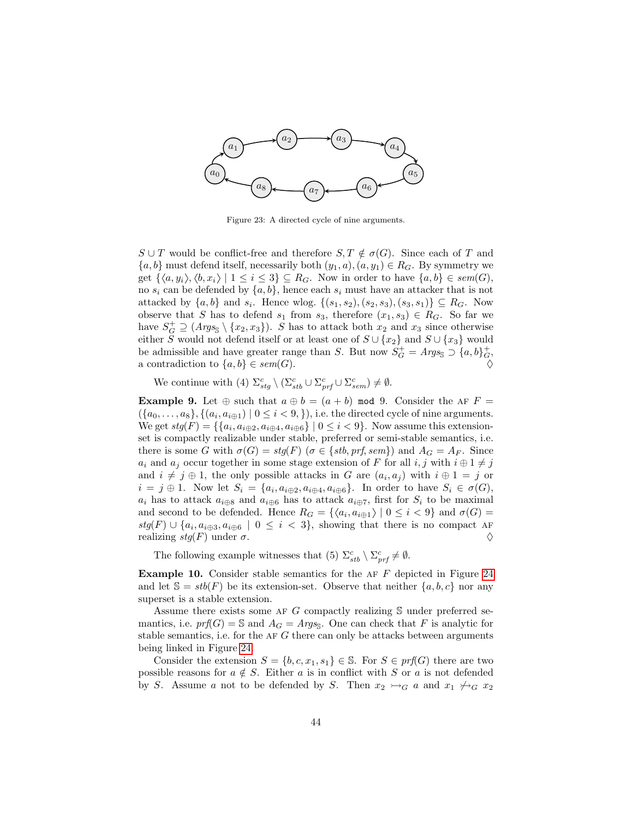

Figure 23: A directed cycle of nine arguments.

 $S \cup T$  would be conflict-free and therefore  $S, T \notin \sigma(G)$ . Since each of T and  ${a, b}$  must defend itself, necessarily both  $(y_1, a), (a, y_1) \in R_G$ . By symmetry we get  $\{\langle a, y_i \rangle, \langle b, x_i \rangle \mid 1 \leq i \leq 3\} \subseteq R_G$ . Now in order to have  $\{a, b\} \in sem(G)$ , no  $s_i$  can be defended by  $\{a, b\}$ , hence each  $s_i$  must have an attacker that is not attacked by  $\{a, b\}$  and  $s_i$ . Hence wlog.  $\{(s_1, s_2), (s_2, s_3), (s_3, s_1)\} \subseteq R_G$ . Now observe that S has to defend  $s_1$  from  $s_3$ , therefore  $(x_1, s_3) \in R_G$ . So far we have  $S_G^+ \supseteq (Arg_{S} \setminus \{x_2, x_3\})$ . S has to attack both  $x_2$  and  $x_3$  since otherwise either S would not defend itself or at least one of  $S \cup \{x_2\}$  and  $S \cup \{x_3\}$  would be admissible and have greater range than S. But now  $S_G^+ = \text{Args}_{\mathbb{S}} \supseteq \{a, b\}_G^+$ , a contradiction to  $\{a, b\} \in sem(G)$ .

We continue with (4)  $\Sigma_{stg}^c \setminus (\Sigma_{stb}^c \cup \Sigma_{prf}^c \cup \Sigma_{sem}^c) \neq \emptyset$ .

**Example 9.** Let  $\oplus$  such that  $a \oplus b = (a + b)$  mod 9. Consider the AF  $F =$  $({a_0, \ldots, a_8}, { (a_i, a_{i \oplus 1}) \mid 0 \leq i < 9}, )$ , i.e. the directed cycle of nine arguments. We get  $\text{stg}(F) = \{ \{a_i, a_{i \oplus 2}, a_{i \oplus 4}, a_{i \oplus 6} \} \mid 0 \leq i < 9 \}.$  Now assume this extensionset is compactly realizable under stable, preferred or semi-stable semantics, i.e. there is some G with  $\sigma(G) = stg(F)$  ( $\sigma \in \{stb, prf, sem\}$ ) and  $A_G = A_F$ . Since  $a_i$  and  $a_j$  occur together in some stage extension of F for all i, j with  $i \oplus 1 \neq j$ and  $i \neq j \oplus 1$ , the only possible attacks in G are  $(a_i, a_j)$  with  $i \oplus 1 = j$  or  $i = j \oplus 1$ . Now let  $S_i = \{a_i, a_{i \oplus 2}, a_{i \oplus 4}, a_{i \oplus 6}\}$ . In order to have  $S_i \in \sigma(G)$ ,  $a_i$  has to attack  $a_{i\oplus 8}$  and  $a_{i\oplus 6}$  has to attack  $a_{i\oplus 7}$ , first for  $S_i$  to be maximal and second to be defended. Hence  $R_G = \{ \langle a_i, a_{i \oplus 1} \rangle \mid 0 \leq i < 9 \}$  and  $\sigma(G)$  $stg(F) \cup \{a_i, a_{i \oplus 3}, a_{i \oplus 6} \mid 0 \leq i < 3\}$ , showing that there is no compact AF realizing  $stg(F)$  under  $\sigma$ .

The following example witnesses that (5)  $\Sigma_{stb}^c \setminus \Sigma_{prf}^c \neq \emptyset$ .

<span id="page-43-0"></span>**Example 10.** Consider stable semantics for the AF  $F$  depicted in Figure [24](#page-44-0) and let  $\mathcal{S} = stb(F)$  be its extension-set. Observe that neither  $\{a, b, c\}$  nor any superset is a stable extension.

Assume there exists some AF  $G$  compactly realizing  $\mathcal S$  under preferred semantics, i.e.  $prf(G) = S$  and  $A_G = Args_S$ . One can check that F is analytic for stable semantics, i.e. for the  $AFG$  there can only be attacks between arguments being linked in Figure [24.](#page-44-0)

Consider the extension  $S = \{b, c, x_1, s_1\} \in \mathbb{S}$ . For  $S \in prf(G)$  there are two possible reasons for  $a \notin S$ . Either a is in conflict with S or a is not defended by S. Assume a not to be defended by S. Then  $x_2 \rightarrow_G a$  and  $x_1 \not\rightarrow_G x_2$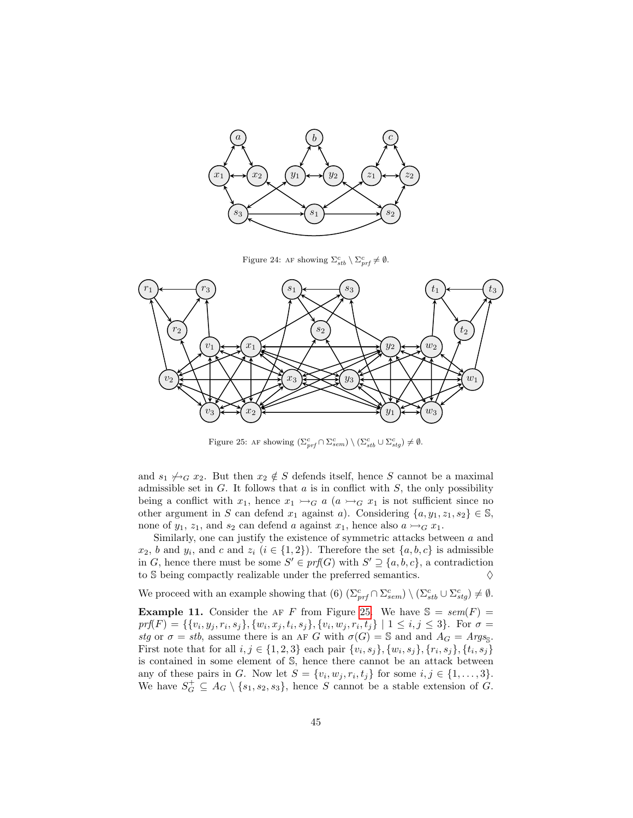<span id="page-44-0"></span>

Figure 24: AF showing  $\Sigma_{stb}^c \setminus \Sigma_{prf}^c \neq \emptyset$ .

<span id="page-44-1"></span>

Figure 25: AF showing  $(\Sigma^c_{prf} \cap \Sigma^c_{sem}) \setminus (\Sigma^c_{stb} \cup \Sigma^c_{stg}) \neq \emptyset$ .

and  $s_1 \nleftrightarrow_G x_2$ . But then  $x_2 \notin S$  defends itself, hence S cannot be a maximal admissible set in  $G$ . It follows that  $a$  is in conflict with  $S$ , the only possibility being a conflict with  $x_1$ , hence  $x_1 \rightarrowtail_G a$  (a  $\rightarrowtail_G x_1$  is not sufficient since no other argument in S can defend  $x_1$  against a). Considering  $\{a, y_1, z_1, s_2\} \in \mathbb{S}$ , none of  $y_1, z_1$ , and  $s_2$  can defend a against  $x_1$ , hence also  $a \rightarrow_G x_1$ .

Similarly, one can justify the existence of symmetric attacks between  $a$  and  $x_2$ , b and  $y_i$ , and c and  $z_i$   $(i \in \{1,2\})$ . Therefore the set  $\{a,b,c\}$  is admissible in G, hence there must be some  $S' \in prf(G)$  with  $S' \supseteq \{a, b, c\}$ , a contradiction to S being compactly realizable under the preferred semantics.  $\Diamond$ 

We proceed with an example showing that (6)  $(\Sigma^c_{prf} \cap \Sigma^c_{sem}) \setminus (\Sigma^c_{stb} \cup \Sigma^c_{stg}) \neq \emptyset$ .

<span id="page-44-2"></span>**Example 11.** Consider the AF F from Figure [25.](#page-44-1) We have  $\mathbb{S} = \text{sem}(F) =$  $prf(F) = \{\{v_i, y_j, r_i, s_j\}, \{w_i, x_j, t_i, s_j\}, \{v_i, w_j, r_i, t_j\} \mid 1 \leq i, j \leq 3\}.$  For  $\sigma =$ stg or  $\sigma = stb$ , assume there is an AF G with  $\sigma(G) = \mathbb{S}$  and and  $A_G = \text{Args}_{\mathbb{S}}$ . First note that for all  $i, j \in \{1, 2, 3\}$  each pair  $\{v_i, s_j\}, \{w_i, s_j\}, \{r_i, s_j\}, \{t_i, s_j\}$ is contained in some element of S, hence there cannot be an attack between any of these pairs in G. Now let  $S = \{v_i, w_j, r_i, t_j\}$  for some  $i, j \in \{1, ..., 3\}$ . We have  $S_G^+ \subseteq A_G \setminus \{s_1, s_2, s_3\}$ , hence S cannot be a stable extension of  $G$ .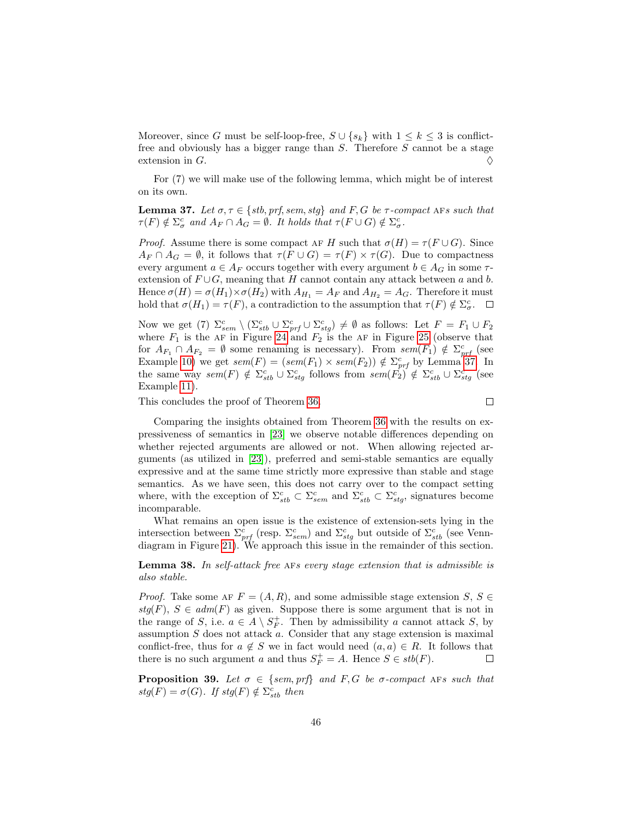Moreover, since G must be self-loop-free,  $S \cup \{s_k\}$  with  $1 \leq k \leq 3$  is conflictfree and obviously has a bigger range than  $S$ . Therefore  $S$  cannot be a stage extension in  $G$ .

For (7) we will make use of the following lemma, which might be of interest on its own.

<span id="page-45-0"></span>**Lemma 37.** Let  $\sigma, \tau \in \{stb, prf, sem, stg\}$  and F, G be  $\tau$ -compact AFs such that  $\tau(F) \notin \Sigma^c_\sigma$  and  $A_F \cap A_G = \emptyset$ . It holds that  $\tau(F \cup G) \notin \Sigma^c_\sigma$ .

*Proof.* Assume there is some compact AF H such that  $\sigma(H) = \tau(F \cup G)$ . Since  $A_F \cap A_G = \emptyset$ , it follows that  $\tau(F \cup G) = \tau(F) \times \tau(G)$ . Due to compactness every argument  $a \in A_F$  occurs together with every argument  $b \in A_G$  in some  $\tau$ extension of  $F \cup G$ , meaning that H cannot contain any attack between a and b. Hence  $\sigma(H) = \sigma(H_1) \times \sigma(H_2)$  with  $A_{H_1} = A_F$  and  $A_{H_2} = A_G$ . Therefore it must hold that  $\sigma(H_1) = \tau(F)$ , a contradiction to the assumption that  $\tau(F) \notin \Sigma_{\sigma}^c$ .

Now we get (7)  $\Sigma_{sem}^c \setminus (\Sigma_{stb}^c \cup \Sigma_{prf}^c \cup \Sigma_{stg}^c) \neq \emptyset$  as follows: Let  $F = F_1 \cup F_2$ where  $F_1$  is the AF in Figure [24](#page-44-0) and  $F_2$  is the AF in Figure [25](#page-44-1) (observe that for  $A_{F_1} \cap A_{F_2} = \emptyset$  some renaming is necessary). From  $sem(F_1) \notin \Sigma^c_{prf}$  (see Example [10\)](#page-43-0) we get  $sem(F) = (sem(F_1) \times sem(F_2)) \notin \Sigma^c_{prf}$  by Lemma [37.](#page-45-0) In the same way  $sem(F) \notin \Sigma_{stb}^c \cup \Sigma_{stg}^c$  follows from  $sem(F_2) \notin \Sigma_{stb}^c \cup \Sigma_{stg}^c$  (see Example [11\)](#page-44-2).

This concludes the proof of Theorem [36.](#page-41-1)

 $\Box$ 

Comparing the insights obtained from Theorem [36](#page-41-1) with the results on expressiveness of semantics in [\[23\]](#page-60-0) we observe notable differences depending on whether rejected arguments are allowed or not. When allowing rejected arguments (as utilized in [\[23\]](#page-60-0)), preferred and semi-stable semantics are equally expressive and at the same time strictly more expressive than stable and stage semantics. As we have seen, this does not carry over to the compact setting where, with the exception of  $\Sigma_{stb}^c \subset \Sigma_{sem}^c$  and  $\Sigma_{stb}^c \subset \Sigma_{stg}^c$ , signatures become incomparable.

What remains an open issue is the existence of extension-sets lying in the intersection between  $\Sigma_{prf}^c$  (resp.  $\Sigma_{sem}^c$ ) and  $\Sigma_{stg}^c$  but outside of  $\Sigma_{stb}^c$  (see Venndiagram in Figure [21\)](#page-41-0). We approach this issue in the remainder of this section.

<span id="page-45-1"></span>Lemma 38. In self-attack free AFs every stage extension that is admissible is also stable.

*Proof.* Take some AF  $F = (A, R)$ , and some admissible stage extension  $S, S \in$  $stg(F)$ ,  $S \in adm(F)$  as given. Suppose there is some argument that is not in the range of S, i.e.  $a \in A \setminus S_F^+$ . Then by admissibility a cannot attack S, by assumption  $S$  does not attack  $a$ . Consider that any stage extension is maximal conflict-free, thus for  $a \notin S$  we in fact would need  $(a, a) \in R$ . It follows that there is no such argument a and thus  $S_F^+ = A$ . Hence  $S \in stb(F)$ .  $\Box$ 

<span id="page-45-2"></span>**Proposition 39.** Let  $\sigma \in \{sem, pr\}$  and F, G be  $\sigma$ -compact AFs such that  $stg(F) = \sigma(G)$ . If  $stg(F) \notin \Sigma_{stb}^c$  then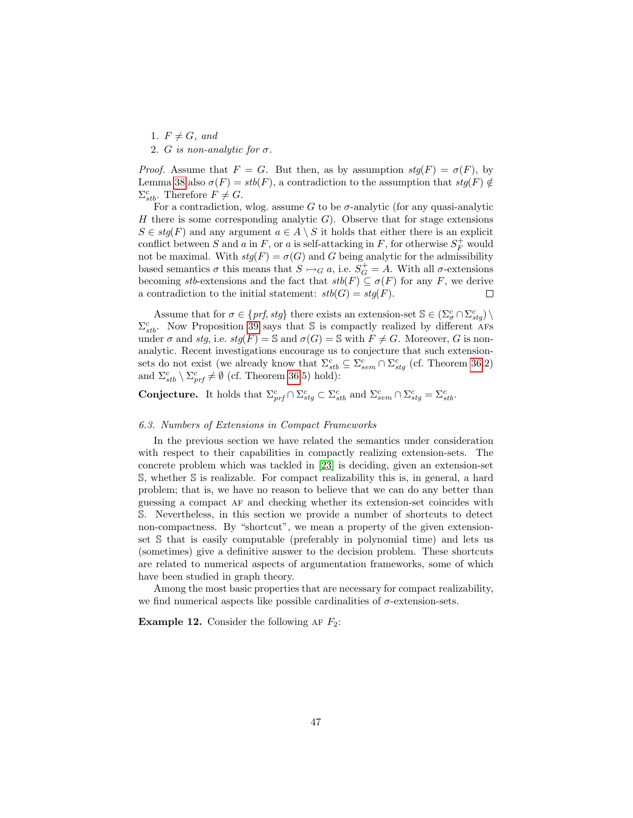- 1.  $F \neq G$ , and
- 2. G is non-analytic for  $\sigma$ .

*Proof.* Assume that  $F = G$ . But then, as by assumption  $stg(F) = \sigma(F)$ , by Lemma [38](#page-45-1) also  $\sigma(F) = stb(F)$ , a contradiction to the assumption that  $stg(F) \notin$  $\Sigma_{stb}^c$ . Therefore  $F \neq G$ .

For a contradiction, wlog. assume G to be  $\sigma$ -analytic (for any quasi-analytic H there is some corresponding analytic  $G$ . Observe that for stage extensions  $S \in stg(F)$  and any argument  $a \in A \setminus S$  it holds that either there is an explicit conflict between S and a in F, or a is self-attacking in F, for otherwise  $S_F^+$  would not be maximal. With  $stg(F) = \sigma(G)$  and G being analytic for the admissibility based semantics  $\sigma$  this means that  $S \rightarrowtail_G a$ , i.e.  $S_G^+ = A$ . With all  $\sigma$ -extensions becoming stb-extensions and the fact that  $stb(F) \subseteq \sigma(F)$  for any F, we derive a contradiction to the initial statement:  $stb(G) = stg(F)$ .  $\Box$ 

Assume that for  $\sigma \in \{prf, stg\}$  there exists an extension-set  $\mathbb{S} \in (\Sigma^c_{\sigma} \cap \Sigma^c_{stg}) \setminus$  $\Sigma_{stb}^{c}$ . Now Proposition [39](#page-45-2) says that S is compactly realized by different AFs under  $\sigma$  and stg, i.e.  $stg(F) = \mathbb{S}$  and  $\sigma(G) = \mathbb{S}$  with  $F \neq G$ . Moreover, G is nonanalytic. Recent investigations encourage us to conjecture that such extensionsets do not exist (we already know that  $\Sigma_{stb}^c \subseteq \Sigma_{sem}^c \cap \Sigma_{stg}^c$  (cf. Theorem [36.](#page-41-1)2) and  $\Sigma_{stb}^c \setminus \Sigma_{prf}^c \neq \emptyset$  (cf. Theorem [36.](#page-41-1)5) hold):

**Conjecture.** It holds that  $\Sigma_{prf}^c \cap \Sigma_{stg}^c \subset \Sigma_{stb}^c$  and  $\Sigma_{sem}^c \cap \Sigma_{stg}^c = \Sigma_{stb}^c$ .

#### 6.3. Numbers of Extensions in Compact Frameworks

In the previous section we have related the semantics under consideration with respect to their capabilities in compactly realizing extension-sets. The concrete problem which was tackled in [\[23\]](#page-60-0) is deciding, given an extension-set S, whether S is realizable. For compact realizability this is, in general, a hard problem; that is, we have no reason to believe that we can do any better than guessing a compact af and checking whether its extension-set coincides with S. Nevertheless, in this section we provide a number of shortcuts to detect non-compactness. By "shortcut", we mean a property of the given extensionset S that is easily computable (preferably in polynomial time) and lets us (sometimes) give a definitive answer to the decision problem. These shortcuts are related to numerical aspects of argumentation frameworks, some of which have been studied in graph theory.

Among the most basic properties that are necessary for compact realizability, we find numerical aspects like possible cardinalities of  $\sigma$ -extension-sets.

<span id="page-46-0"></span>**Example 12.** Consider the following AF  $F_2$ :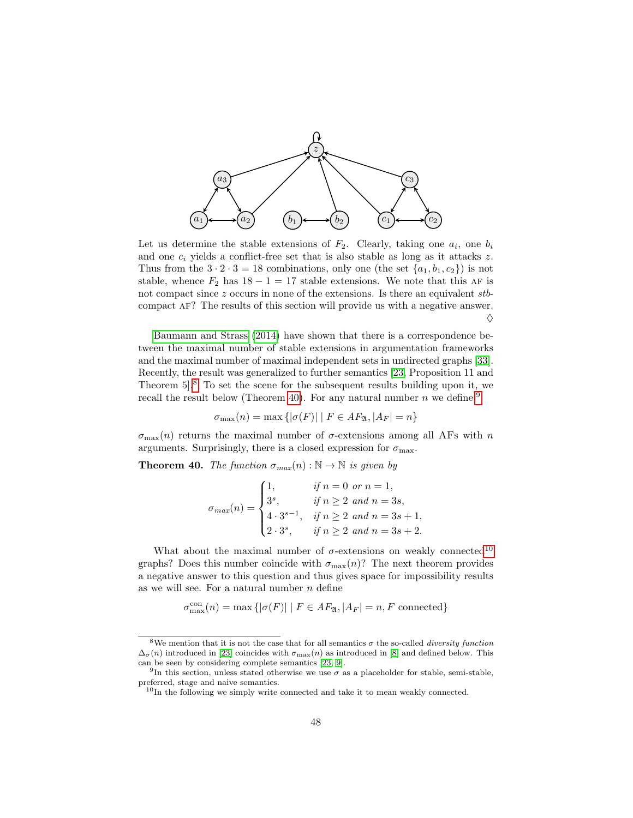

Let us determine the stable extensions of  $F_2$ . Clearly, taking one  $a_i$ , one  $b_i$ and one  $c_i$  yields a conflict-free set that is also stable as long as it attacks z. Thus from the  $3 \cdot 2 \cdot 3 = 18$  combinations, only one (the set  $\{a_1, b_1, c_2\}$ ) is not stable, whence  $F_2$  has  $18 - 1 = 17$  stable extensions. We note that this AF is not compact since z occurs in none of the extensions. Is there an equivalent stbcompact af? The results of this section will provide us with a negative answer.  $\Diamond$ 

[Baumann and Strass](#page-59-1) [\(2014\)](#page-59-1) have shown that there is a correspondence between the maximal number of stable extensions in argumentation frameworks and the maximal number of maximal independent sets in undirected graphs [\[33\]](#page-61-0). Recently, the result was generalized to further semantics [\[23,](#page-60-0) Proposition 11 and Theorem  $5^{\circ}$ . To set the scene for the subsequent results building upon it, we recall the result below (Theorem [40\)](#page-47-1). For any natural number n we define:<sup>[9](#page-47-2)</sup>

$$
\sigma_{\max}(n) = \max\left\{ |\sigma(F)| \mid F \in AF_{\mathfrak{A}}, |A_F| = n \right\}
$$

 $\sigma_{\text{max}}(n)$  returns the maximal number of  $\sigma$ -extensions among all AFs with n arguments. Surprisingly, there is a closed expression for  $\sigma_{\text{max}}$ .

<span id="page-47-1"></span>**Theorem 40.** The function  $\sigma_{max}(n) : \mathbb{N} \to \mathbb{N}$  is given by

$$
\sigma_{max}(n) = \begin{cases}\n1, & \text{if } n = 0 \text{ or } n = 1, \\
3^s, & \text{if } n \ge 2 \text{ and } n = 3s, \\
4 \cdot 3^{s-1}, & \text{if } n \ge 2 \text{ and } n = 3s + 1, \\
2 \cdot 3^s, & \text{if } n \ge 2 \text{ and } n = 3s + 2.\n\end{cases}
$$

What about the maximal number of  $\sigma$ -extensions on weakly connected<sup>[10](#page-47-3)</sup> graphs? Does this number coincide with  $\sigma_{\text{max}}(n)$ ? The next theorem provides a negative answer to this question and thus gives space for impossibility results as we will see. For a natural number  $n$  define

$$
\sigma_{\max}^{\text{con}}(n) = \max\left\{ |\sigma(F)| \mid F \in AF_{\mathfrak{A}}, |A_F| = n, F \text{ connected} \right\}
$$

<span id="page-47-0"></span><sup>&</sup>lt;sup>8</sup>We mention that it is not the case that for all semantics  $\sigma$  the so-called *diversity function*  $\Delta_{\sigma}(n)$  introduced in [\[23\]](#page-60-0) coincides with  $\sigma_{\max}(n)$  as introduced in [\[8\]](#page-59-1) and defined below. This can be seen by considering complete semantics [\[23,](#page-60-0) [9\]](#page-59-2).

<span id="page-47-2"></span><sup>&</sup>lt;sup>9</sup>In this section, unless stated otherwise we use  $\sigma$  as a placeholder for stable, semi-stable, preferred, stage and naive semantics.

<span id="page-47-3"></span><sup>&</sup>lt;sup>10</sup>In the following we simply write connected and take it to mean weakly connected.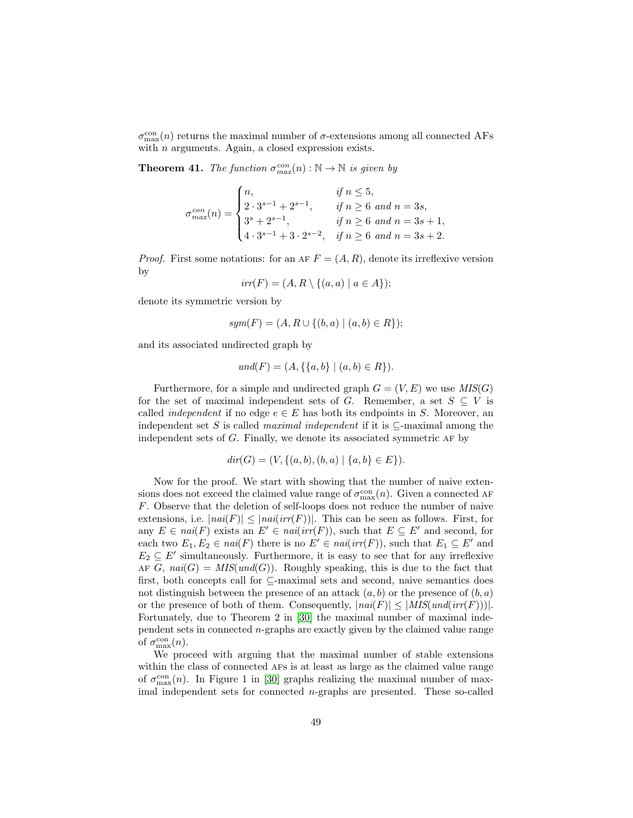$\sigma_{\max}^{\text{con}}(n)$  returns the maximal number of  $\sigma$ -extensions among all connected AFs with  $n$  arguments. Again, a closed expression exists.

<span id="page-48-0"></span>**Theorem 41.** The function  $\sigma_{max}^{con}(n) : \mathbb{N} \to \mathbb{N}$  is given by

$$
\sigma_{max}^{con}(n) = \begin{cases} n, & \text{if } n \le 5, \\ 2 \cdot 3^{s-1} + 2^{s-1}, & \text{if } n \ge 6 \text{ and } n = 3s, \\ 3^s + 2^{s-1}, & \text{if } n \ge 6 \text{ and } n = 3s + 1, \\ 4 \cdot 3^{s-1} + 3 \cdot 2^{s-2}, & \text{if } n \ge 6 \text{ and } n = 3s + 2. \end{cases}
$$

*Proof.* First some notations: for an AF  $F = (A, R)$ , denote its irreflexive version by

$$
irr(F) = (A, R \setminus \{(a, a) \mid a \in A\});
$$

denote its symmetric version by

$$
sym(F) = (A, R \cup \{(b, a) \mid (a, b) \in R\});
$$

and its associated undirected graph by

$$
und(F) = (A, \{ \{a, b\} \mid (a, b) \in R \}).
$$

Furthermore, for a simple and undirected graph  $G = (V, E)$  we use  $MIS(G)$ for the set of maximal independent sets of G. Remember, a set  $S \subseteq V$  is called *independent* if no edge  $e \in E$  has both its endpoints in S. Moreover, an independent set S is called *maximal independent* if it is  $\subset$ -maximal among the independent sets of  $G$ . Finally, we denote its associated symmetric  $AF$  by

$$
dir(G) = (V, \{(a, b), (b, a) \mid \{a, b\} \in E\}).
$$

Now for the proof. We start with showing that the number of naive extensions does not exceed the claimed value range of  $\sigma_{\max}^{\text{con}}(n)$ . Given a connected AF F. Observe that the deletion of self-loops does not reduce the number of naive extensions, i.e.  $|nai(F)| \leq |nai(ir(F))|$ . This can be seen as follows. First, for any  $E \in \text{nai}(F)$  exists an  $E' \in \text{nai}(\text{irr}(F))$ , such that  $E \subseteq E'$  and second, for each two  $E_1, E_2 \in \text{nai}(F)$  there is no  $E' \in \text{nai}(\text{irr}(F))$ , such that  $E_1 \subseteq E'$  and  $E_2 \subseteq E'$  simultaneously. Furthermore, it is easy to see that for any irreflexive AF G,  $nai(G) = MIS(und(G))$ . Roughly speaking, this is due to the fact that first, both concepts call for ⊆-maximal sets and second, naive semantics does not distinguish between the presence of an attack  $(a, b)$  or the presence of  $(b, a)$ or the presence of both of them. Consequently,  $|nai(F)| \leq |MIS(und(ir(F))|)$ . Fortunately, due to Theorem 2 in [\[30\]](#page-60-2) the maximal number of maximal independent sets in connected  $n$ -graphs are exactly given by the claimed value range of  $\sigma_{\max}^{\text{con}}(n)$ .

We proceed with arguing that the maximal number of stable extensions within the class of connected AFs is at least as large as the claimed value range of  $\sigma_{\max}^{\text{con}}(n)$ . In Figure 1 in [\[30\]](#page-60-2) graphs realizing the maximal number of maximal independent sets for connected n-graphs are presented. These so-called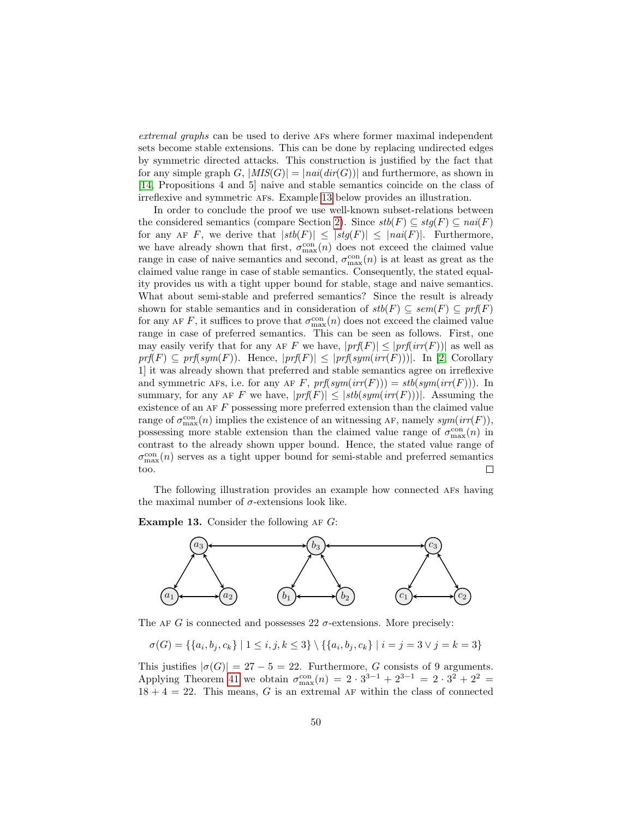extremal graphs can be used to derive afs where former maximal independent sets become stable extensions. This can be done by replacing undirected edges by symmetric directed attacks. This construction is justified by the fact that for any simple graph G,  $|MIS(G)| = |nai(dr(G))|$  and furthermore, as shown in [\[14,](#page-59-3) Propositions 4 and 5] naive and stable semantics coincide on the class of irreflexive and symmetric afs. Example [13](#page-49-0) below provides an illustration.

In order to conclude the proof we use well-known subset-relations between the considered semantics (compare Section [2\)](#page-6-0). Since  $stb(F) \subseteq stg(F) \subseteq nai(F)$ for any AF F, we derive that  $|stb(F)| \leq |stg(F)| \leq |nai(F)|$ . Furthermore, we have already shown that first,  $\sigma_{\max}^{\text{con}}(n)$  does not exceed the claimed value range in case of naive semantics and second,  $\sigma_{\max}^{\text{con}}(n)$  is at least as great as the claimed value range in case of stable semantics. Consequently, the stated equality provides us with a tight upper bound for stable, stage and naive semantics. What about semi-stable and preferred semantics? Since the result is already shown for stable semantics and in consideration of  $stb(F) \subseteq sem(F) \subseteq prf(F)$ for any AF F, it suffices to prove that  $\sigma_{\max}^{\text{con}}(n)$  does not exceed the claimed value range in case of preferred semantics. This can be seen as follows. First, one may easily verify that for any AF F we have,  $|prf(F)| \leq |prf(ir(F))|$  as well as  $prf(F) \subseteq prf(sym(F)).$  Hence,  $|prf(F)| \leq |prf(sym(irr(F)))|$ . In [\[2,](#page-58-0) Corollary 1] it was already shown that preferred and stable semantics agree on irreflexive and symmetric AFs, i.e. for any AF F,  $prf(sym(irr(F))) = stb(sym(irr(F)))$ . In summary, for any AF F we have,  $|prf(F)| \leq |stb(sym(ir(F)))|$ . Assuming the existence of an  $AF$  F possessing more preferred extension than the claimed value range of  $\sigma_{\max}^{\text{con}}(n)$  implies the existence of an witnessing AF, namely  $sym(irr(F)),$ possessing more stable extension than the claimed value range of  $\sigma_{\max}^{\text{con}}(n)$  in contrast to the already shown upper bound. Hence, the stated value range of  $\sigma_{\max}^{\text{con}}(n)$  serves as a tight upper bound for semi-stable and preferred semantics too.  $\Box$ 

The following illustration provides an example how connected afs having the maximal number of  $\sigma$ -extensions look like.

<span id="page-49-0"></span>**Example 13.** Consider the following AF  $G$ :



The AF G is connected and possesses 22  $\sigma$ -extensions. More precisely:

$$
\sigma(G) = \{ \{a_i, b_j, c_k\} \mid 1 \le i, j, k \le 3 \} \setminus \{ \{a_i, b_j, c_k\} \mid i = j = 3 \lor j = k = 3 \}
$$

This justifies  $|\sigma(G)| = 27 - 5 = 22$ . Furthermore, G consists of 9 arguments. Applying Theorem [41](#page-48-0) we obtain  $\sigma_{\max}^{con}(n) = 2 \cdot 3^{3-1} + 2^{3-1} = 2 \cdot 3^2 + 2^2 =$  $18 + 4 = 22$ . This means, G is an extremal AF within the class of connected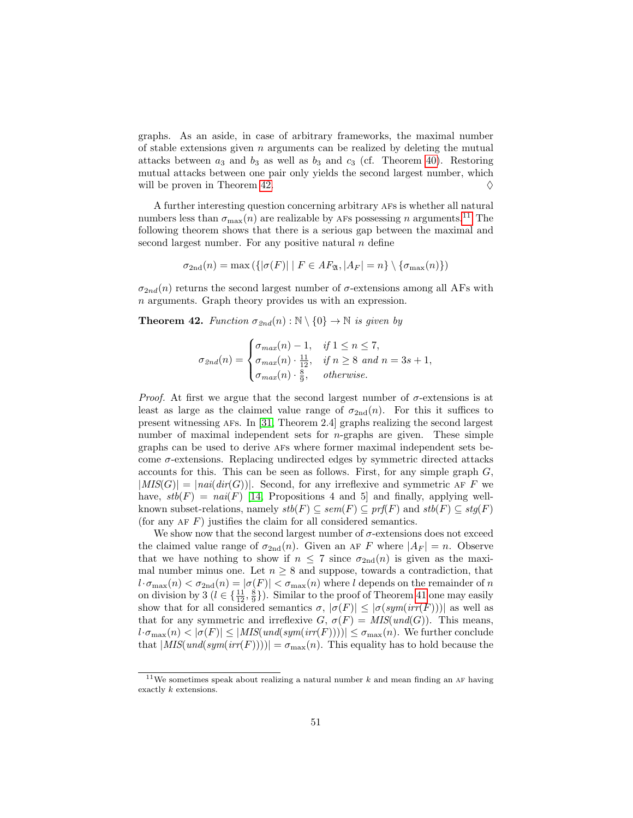graphs. As an aside, in case of arbitrary frameworks, the maximal number of stable extensions given  $n$  arguments can be realized by deleting the mutual attacks between  $a_3$  and  $b_3$  as well as  $b_3$  and  $c_3$  (cf. Theorem [40\)](#page-47-1). Restoring mutual attacks between one pair only yields the second largest number, which will be proven in Theorem  $42$ .

A further interesting question concerning arbitrary afs is whether all natural numbers less than  $\sigma_{\text{max}}(n)$  are realizable by AFs possessing n arguments.<sup>[11](#page-50-1)</sup> The following theorem shows that there is a serious gap between the maximal and second largest number. For any positive natural  $n$  define

$$
\sigma_{2\mathrm{nd}}(n) = \max\left(\{|\sigma(F)| \mid F \in AF_{\mathfrak{A}}, |A_F| = n\}\setminus \{\sigma_{\max}(n)\}\right)
$$

 $\sigma_{2nd}(n)$  returns the second largest number of  $\sigma$ -extensions among all AFs with n arguments. Graph theory provides us with an expression.

<span id="page-50-0"></span>**Theorem 42.** Function  $\sigma_{2nd}(n) : \mathbb{N} \setminus \{0\} \to \mathbb{N}$  is given by

$$
\sigma_{2nd}(n) = \begin{cases}\n\sigma_{max}(n) - 1, & \text{if } 1 \le n \le 7, \\
\sigma_{max}(n) \cdot \frac{11}{12}, & \text{if } n \ge 8 \text{ and } n = 3s + 1, \\
\sigma_{max}(n) \cdot \frac{8}{9}, & \text{otherwise.} \n\end{cases}
$$

*Proof.* At first we argue that the second largest number of  $\sigma$ -extensions is at least as large as the claimed value range of  $\sigma_{2nd}(n)$ . For this it suffices to present witnessing afs. In [\[31,](#page-60-3) Theorem 2.4] graphs realizing the second largest number of maximal independent sets for n-graphs are given. These simple graphs can be used to derive afs where former maximal independent sets become  $\sigma$ -extensions. Replacing undirected edges by symmetric directed attacks accounts for this. This can be seen as follows. First, for any simple graph  $G$ ,  $|MIS(G)| = |nai dir(G)|$ . Second, for any irreflexive and symmetric AF F we have,  $stb(F) = nai(F)$  [\[14,](#page-59-3) Propositions 4 and 5] and finally, applying wellknown subset-relations, namely  $stb(F) \subseteq sem(F) \subseteq prf(F)$  and  $stb(F) \subseteq stg(F)$ (for any  $AF$  F) justifies the claim for all considered semantics.

We show now that the second largest number of  $\sigma$ -extensions does not exceed the claimed value range of  $\sigma_{2nd}(n)$ . Given an AF F where  $|A_F| = n$ . Observe that we have nothing to show if  $n \leq 7$  since  $\sigma_{2nd}(n)$  is given as the maximal number minus one. Let  $n \geq 8$  and suppose, towards a contradiction, that  $l \cdot \sigma_{\max}(n) < \sigma_{\text{2nd}}(n) = |\sigma(F)| < \sigma_{\max}(n)$  where l depends on the remainder of n on division by 3  $(l \in {\frac{11}{12}, \frac{8}{9}})$ . Similar to the proof of Theorem [41](#page-48-0) one may easily show that for all considered semantics  $\sigma$ ,  $|\sigma(F)| \leq |\sigma(\textit{sym}(irr(F)))|$  as well as that for any symmetric and irreflexive  $G, \sigma(F) = MIS(und(G))$ . This means,  $l \cdot \sigma_{\max}(n) < |\sigma(F)| \leq |MIS(und(sym(irr(F))))| \leq \sigma_{\max}(n)$ . We further conclude that  $|MIS(und(sym(irr(F))))| = \sigma_{\text{max}}(n)$ . This equality has to hold because the

<span id="page-50-1"></span><sup>&</sup>lt;sup>11</sup>We sometimes speak about realizing a natural number  $k$  and mean finding an AF having exactly k extensions.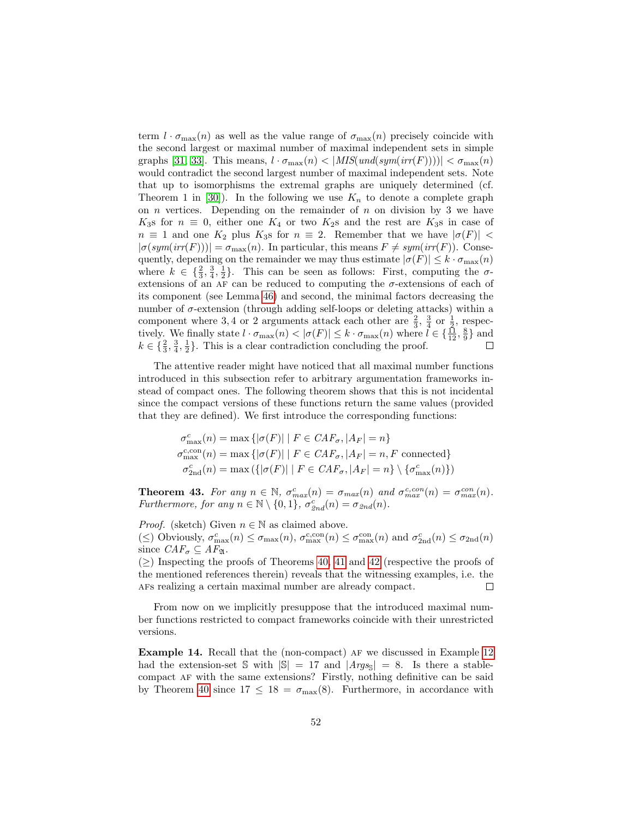term  $l \cdot \sigma_{\max}(n)$  as well as the value range of  $\sigma_{\max}(n)$  precisely coincide with the second largest or maximal number of maximal independent sets in simple graphs [\[31,](#page-60-3) [33\]](#page-61-0). This means,  $l \cdot \sigma_{\max}(n) < |MIS(und(sym(irr(F))))| < \sigma_{\max}(n)$ would contradict the second largest number of maximal independent sets. Note that up to isomorphisms the extremal graphs are uniquely determined (cf. Theorem 1 in [\[30\]](#page-60-2)). In the following we use  $K_n$  to denote a complete graph on  $n$  vertices. Depending on the remainder of  $n$  on division by 3 we have K<sub>3</sub>s for  $n \equiv 0$ , either one K<sub>4</sub> or two K<sub>2</sub>s and the rest are K<sub>3</sub>s in case of  $n \equiv 1$  and one  $K_2$  plus  $K_3$ s for  $n \equiv 2$ . Remember that we have  $|\sigma(F)|$  $|\sigma(sym(irr(F)))| = \sigma_{\max}(n)$ . In particular, this means  $F \neq sym(irr(F))$ . Consequently, depending on the remainder we may thus estimate  $|\sigma(F)| \leq k \cdot \sigma_{\max}(n)$ where  $k \in \{\frac{2}{3}, \frac{3}{4}, \frac{1}{2}\}.$  This can be seen as follows: First, computing the  $\sigma$ extensions of an AF can be reduced to computing the  $\sigma$ -extensions of each of its component (see Lemma [46\)](#page-52-0) and second, the minimal factors decreasing the number of  $\sigma$ -extension (through adding self-loops or deleting attacks) within a component where 3, 4 or 2 arguments attack each other are  $\frac{2}{3}$ ,  $\frac{3}{4}$  or  $\frac{1}{2}$ , respectively. We finally state  $l \cdot \sigma_{\max}(n) < |\sigma(F)| \leq k \cdot \sigma_{\max}(n)$  where  $l \in \{\frac{1}{12}, \frac{8}{9}\}\$  and  $k \in \{\frac{2}{3}, \frac{3}{4}, \frac{1}{2}\}.$  This is a clear contradiction concluding the proof.  $\Box$ 

The attentive reader might have noticed that all maximal number functions introduced in this subsection refer to arbitrary argumentation frameworks instead of compact ones. The following theorem shows that this is not incidental since the compact versions of these functions return the same values (provided that they are defined). We first introduce the corresponding functions:

$$
\sigma_{\max}^{c}(n) = \max \{ |\sigma(F)| \mid F \in CAF_{\sigma}, |A_F| = n \}
$$
  

$$
\sigma_{\max}^{c,con}(n) = \max \{ |\sigma(F)| \mid F \in CAF_{\sigma}, |A_F| = n, F \text{ connected} \}
$$
  

$$
\sigma_{2nd}^{c}(n) = \max \left( { |\sigma(F)| \mid F \in CAF_{\sigma}, |A_F| = n} \setminus { \sigma_{\max}^{c}(n) } \right)
$$

**Theorem 43.** For any  $n \in \mathbb{N}$ ,  $\sigma_{max}^c(n) = \sigma_{max}(n)$  and  $\sigma_{max}^{c,con}(n) = \sigma_{max}^{con}(n)$ . Furthermore, for any  $n \in \mathbb{N} \setminus \{0,1\}$ ,  $\sigma_{2nd}^c(n) = \sigma_{2nd}(n)$ .

*Proof.* (sketch) Given  $n \in \mathbb{N}$  as claimed above. ( $\leq$ ) Obviously,  $\sigma_{\max}^{c}(n) \leq \sigma_{\max}(n)$ ,  $\sigma_{\max}^{c,con}(n) \leq \sigma_{\max}^{con}(n)$  and  $\sigma_{2nd}^{c}(n) \leq \sigma_{2nd}(n)$ since  $CAF_{\sigma} \subseteq AF_{\mathfrak{A}}$ .

 $(\geq)$  Inspecting the proofs of Theorems [40,](#page-47-1) [41](#page-48-0) and [42](#page-50-0) (respective the proofs of the mentioned references therein) reveals that the witnessing examples, i.e. the afs realizing a certain maximal number are already compact.  $\Box$ 

From now on we implicitly presuppose that the introduced maximal number functions restricted to compact frameworks coincide with their unrestricted versions.

Example 14. Recall that the (non-compact) af we discussed in Example [12](#page-46-0) had the extension-set  $\Im$  with  $|\Im| = 17$  and  $|Args_{\Im}| = 8$ . Is there a stablecompact af with the same extensions? Firstly, nothing definitive can be said by Theorem [40](#page-47-1) since  $17 \le 18 = \sigma_{\text{max}}(8)$ . Furthermore, in accordance with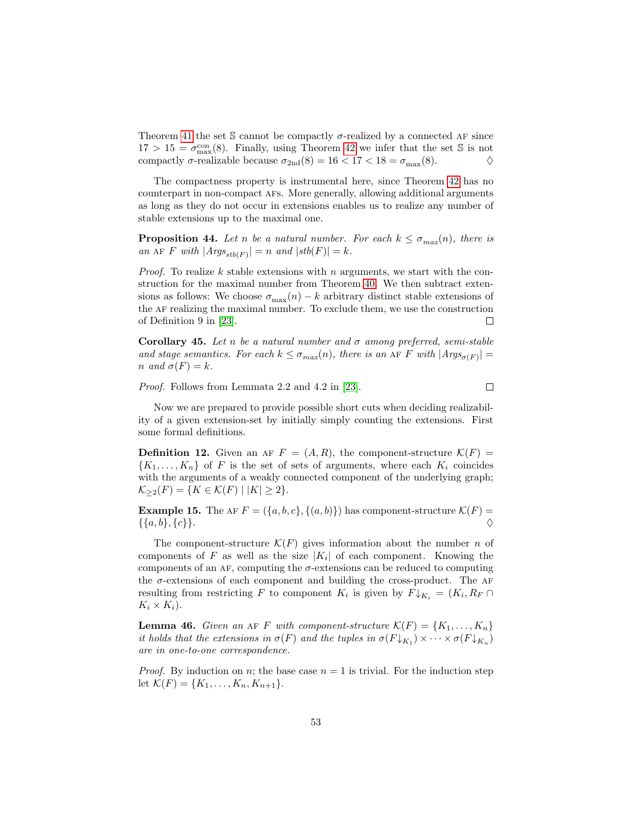Theorem [41](#page-48-0) the set S cannot be compactly  $\sigma$ -realized by a connected AF since  $17 > 15 = \sigma_{\text{max}}^{\text{con}}(8)$ . Finally, using Theorem [42](#page-50-0) we infer that the set S is not compactly  $\sigma$ -realizable because  $\sigma_{2nd}(8) = 16 < 17 < 18 = \sigma_{max}(8)$ .

The compactness property is instrumental here, since Theorem [42](#page-50-0) has no counterpart in non-compact afs. More generally, allowing additional arguments as long as they do not occur in extensions enables us to realize any number of stable extensions up to the maximal one.

**Proposition 44.** Let n be a natural number. For each  $k \leq \sigma_{max}(n)$ , there is an AF F with  $|Args_{stb(F)}| = n$  and  $|stb(F)| = k$ .

*Proof.* To realize k stable extensions with n arguments, we start with the construction for the maximal number from Theorem [40.](#page-47-1) We then subtract extensions as follows: We choose  $\sigma_{\text{max}}(n) - k$  arbitrary distinct stable extensions of the AF realizing the maximal number. To exclude them, we use the construction of Definition 9 in [\[23\]](#page-60-0).

Corollary 45. Let n be a natural number and  $\sigma$  among preferred, semi-stable and stage semantics. For each  $k \leq \sigma_{max}(n)$ , there is an AF F with  $|Args_{\sigma(F)}|$  = n and  $\sigma(F) = k$ .

Proof. Follows from Lemmata 2.2 and 4.2 in [\[23\]](#page-60-0).  $\Box$ 

Now we are prepared to provide possible short cuts when deciding realizability of a given extension-set by initially simply counting the extensions. First some formal definitions.

**Definition 12.** Given an AF  $F = (A, R)$ , the component-structure  $\mathcal{K}(F) =$  ${K_1, \ldots, K_n}$  of F is the set of sets of arguments, where each  $K_i$  coincides with the arguments of a weakly connected component of the underlying graph;  $\mathcal{K}_{\geq 2}(F) = \{K \in \mathcal{K}(F) \mid |K| \geq 2\}.$ 

**Example 15.** The AF  $F = (\{a, b, c\}, \{(a, b)\})$  has component-structure  $\mathcal{K}(F)$  =  $\{\{a, b\}, \{c\}\}.$ 

The component-structure  $\mathcal{K}(F)$  gives information about the number n of components of F as well as the size  $|K_i|$  of each component. Knowing the components of an  $AF$ , computing the  $\sigma$ -extensions can be reduced to computing the  $\sigma$ -extensions of each component and building the cross-product. The AF resulting from restricting F to component  $K_i$  is given by  $F \downarrow_{K_i} = (K_i, R_F \cap$  $K_i \times K_i$ ).

<span id="page-52-0"></span>**Lemma 46.** Given an AF F with component-structure  $\mathcal{K}(F) = \{K_1, \ldots, K_n\}$ it holds that the extensions in  $\sigma(F)$  and the tuples in  $\sigma(F\downarrow_{K_1}) \times \cdots \times \sigma(F\downarrow_{K_n})$ are in one-to-one correspondence.

*Proof.* By induction on *n*; the base case  $n = 1$  is trivial. For the induction step let  $\mathcal{K}(F) = \{K_1, \ldots, K_n, K_{n+1}\}.$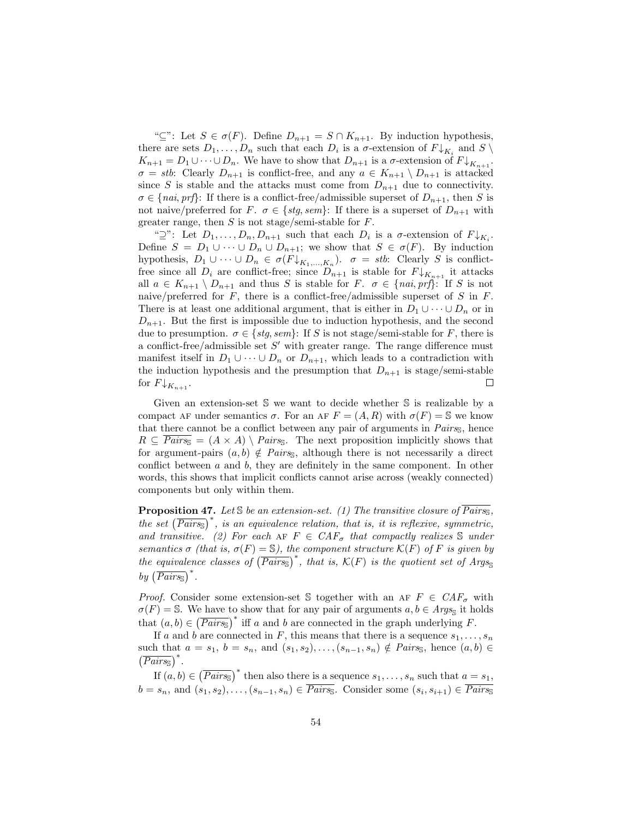" $\subseteq$ ": Let  $S \in \sigma(F)$ . Define  $D_{n+1} = S \cap K_{n+1}$ . By induction hypothesis, there are sets  $D_1, \ldots, D_n$  such that each  $D_i$  is a  $\sigma$ -extension of  $F\downarrow_{K_i}$  and  $S \setminus$  $K_{n+1} = D_1 \cup \cdots \cup D_n$ . We have to show that  $D_{n+1}$  is a  $\sigma$ -extension of  $F \downarrow_{K_{n+1}}$ .  $\sigma = stb$ : Clearly  $D_{n+1}$  is conflict-free, and any  $a \in K_{n+1} \setminus D_{n+1}$  is attacked since S is stable and the attacks must come from  $D_{n+1}$  due to connectivity.  $\sigma \in \{nai, pr\}$ : If there is a conflict-free/admissible superset of  $D_{n+1}$ , then S is not naive/preferred for F.  $\sigma \in \{stg, sem\}$ : If there is a superset of  $D_{n+1}$  with greater range, then  $S$  is not stage/semi-stable for  $F$ .

" $\supseteq$ ": Let  $D_1, \ldots, D_n, D_{n+1}$  such that each  $D_i$  is a  $\sigma$ -extension of  $F\downarrow_{K_i}$ . Define  $S = D_1 \cup \cdots \cup D_n \cup D_{n+1}$ ; we show that  $S \in \sigma(F)$ . By induction hypothesis,  $D_1 \cup \cdots \cup D_n \in \sigma(F\downarrow_{K_1,\ldots,K_n})$ .  $\sigma = stb$ : Clearly S is conflictfree since all  $D_i$  are conflict-free; since  $D_{n+1}$  is stable for  $F\downarrow_{K_{n+1}}$  it attacks all  $a \in K_{n+1} \setminus D_{n+1}$  and thus S is stable for F.  $\sigma \in \{nai, prf\}$ : If S is not naive/preferred for  $F$ , there is a conflict-free/admissible superset of  $S$  in  $F$ . There is at least one additional argument, that is either in  $D_1 \cup \cdots \cup D_n$  or in  $D_{n+1}$ . But the first is impossible due to induction hypothesis, and the second due to presumption.  $\sigma \in \{stg, sem\}$ : If S is not stage/semi-stable for F, there is a conflict-free/admissible set  $S'$  with greater range. The range difference must manifest itself in  $D_1 \cup \cdots \cup D_n$  or  $D_{n+1}$ , which leads to a contradiction with the induction hypothesis and the presumption that  $D_{n+1}$  is stage/semi-stable for  $F\downarrow_{K_{n+1}}$ .  $\mathbb{R}^n$ 

Given an extension-set S we want to decide whether S is realizable by a compact AF under semantics  $\sigma$ . For an AF  $F = (A, R)$  with  $\sigma(F) = \mathbb{S}$  we know that there cannot be a conflict between any pair of arguments in  $Pairs_{\mathbb{S}}$ , hence  $R \subseteq \overline{Pairs_{\mathbb{S}}} = (A \times A) \setminus \text{Pairs}_{\mathbb{S}}$ . The next proposition implicitly shows that for argument-pairs  $(a, b) \notin \text{Pairs}_{\mathbb{S}}$ , although there is not necessarily a direct conflict between  $a$  and  $b$ , they are definitely in the same component. In other words, this shows that implicit conflicts cannot arise across (weakly connected) components but only within them.

<span id="page-53-0"></span>**Proposition 47.** Let  $\mathcal S$  be an extension-set. (1) The transitive closure of  $\overline{Pairs}_{\mathcal S}$ , the set  $(\overline{Pairs_{\mathbb{S}}})^*$ , is an equivalence relation, that is, it is reflexive, symmetric, and transitive. (2) For each AF  $F \in CAF_{\sigma}$  that compactly realizes S under semantics  $\sigma$  (that is,  $\sigma(F) = \mathbb{S}$ ), the component structure  $\mathcal{K}(F)$  of F is given by the equivalence classes of  $(\overline{Pairs_{\mathbb{S}}})^*$ , that is,  $\mathcal{K}(F)$  is the quotient set of Arg $s_{\mathbb{S}}$ by  $(\overline{Pairs_{\mathbb{S}}})^*$ .

*Proof.* Consider some extension-set S together with an AF  $F \in CAF_{\sigma}$  with  $\sigma(F) = \mathbb{S}$ . We have to show that for any pair of arguments  $a, b \in \text{A} \text{rgs}_{\mathbb{S}}$  it holds that  $(a, b) \in (\overline{Pairs_{\mathbb{S}}})^*$  iff a and b are connected in the graph underlying F.

If a and b are connected in F, this means that there is a sequence  $s_1, \ldots, s_n$ such that  $a = s_1, b = s_n$ , and  $(s_1, s_2), \ldots, (s_{n-1}, s_n) \notin \text{Pairs}_{\mathbb{S}}$ , hence  $(a, b) \in$  $(\overline{Pairs_{\mathbb{S}}})^*$ .

If  $(a, b) \in (\overline{Pairs}_{\mathbb{S}})^*$  then also there is a sequence  $s_1, \ldots, s_n$  such that  $a = s_1$ ,  $b = s_n$ , and  $(s_1, s_2), \ldots, (s_{n-1}, s_n) \in \overline{Pairs_{\mathbb{S}}}$ . Consider some  $(s_i, s_{i+1}) \in \overline{Pairs_{\mathbb{S}}}$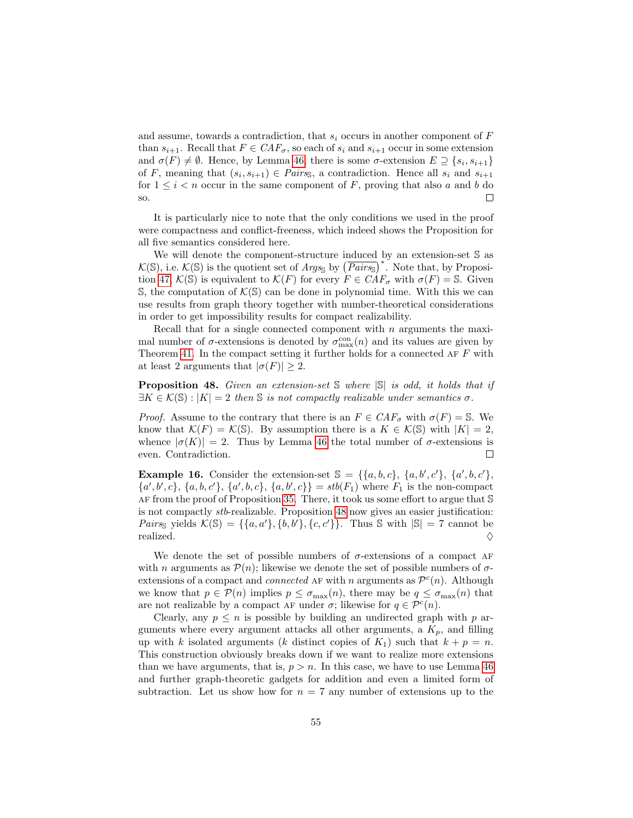and assume, towards a contradiction, that  $s_i$  occurs in another component of  $F$ than  $s_{i+1}$ . Recall that  $F \in CAF_{\sigma}$ , so each of  $s_i$  and  $s_{i+1}$  occur in some extension and  $\sigma(F) \neq \emptyset$ . Hence, by Lemma [46,](#page-52-0) there is some  $\sigma$ -extension  $E \supseteq \{s_i, s_{i+1}\}\$ of F, meaning that  $(s_i, s_{i+1}) \in \text{Pairs}_{\mathbb{S}}$ , a contradiction. Hence all  $s_i$  and  $s_{i+1}$ for  $1 \leq i < n$  occur in the same component of F, proving that also a and b do  $\Box$ so.

It is particularly nice to note that the only conditions we used in the proof were compactness and conflict-freeness, which indeed shows the Proposition for all five semantics considered here.

We will denote the component-structure induced by an extension-set S as  $K(\mathbb{S})$ , i.e.  $K(\mathbb{S})$  is the quotient set of  $\text{Arg}_{\mathbb{S}}$  by  $(\overline{\text{Pairs}})^*$ . Note that, by Proposi-tion [47,](#page-53-0)  $\mathcal{K}(\mathbb{S})$  is equivalent to  $\mathcal{K}(F)$  for every  $F \in \mathcal{C}AF_{\sigma}$  with  $\sigma(F) = \mathbb{S}$ . Given S, the computation of  $K(S)$  can be done in polynomial time. With this we can use results from graph theory together with number-theoretical considerations in order to get impossibility results for compact realizability.

Recall that for a single connected component with  $n$  arguments the maximal number of  $\sigma$ -extensions is denoted by  $\sigma_{\max}^{\text{con}}(n)$  and its values are given by Theorem [41.](#page-48-0) In the compact setting it further holds for a connected AF  $F$  with at least 2 arguments that  $|\sigma(F)| > 2$ .

<span id="page-54-0"></span>**Proposition 48.** Given an extension-set  $\mathbb{S}$  where  $|\mathbb{S}|$  is odd, it holds that if  $\exists K \in \mathcal{K}(\mathbb{S}) : |K| = 2$  then  $\mathbb S$  is not compactly realizable under semantics  $\sigma$ .

*Proof.* Assume to the contrary that there is an  $F \in CAF_{\sigma}$  with  $\sigma(F) = \mathbb{S}$ . We know that  $\mathcal{K}(F) = \mathcal{K}(\mathbb{S})$ . By assumption there is a  $K \in \mathcal{K}(\mathbb{S})$  with  $|K| = 2$ , whence  $|\sigma(K)| = 2$ . Thus by Lemma [46](#page-52-0) the total number of  $\sigma$ -extensions is even. Contradiction.  $\Box$ 

<span id="page-54-1"></span>**Example 16.** Consider the extension-set  $\mathbb{S} = \{\{a, b, c\}, \{a, b', c'\}, \{a', b, c'\},\}$  ${a', b', c}$ ,  ${a, b, c'}$ ,  ${a', b, c}$ ,  ${a, b', c}$  = stb( $F_1$ ) where  $F_1$  is the non-compact AF from the proof of Proposition [35.](#page-40-0) There, it took us some effort to argue that  $\mathbb S$ is not compactly stb-realizable. Proposition [48](#page-54-0) now gives an easier justification: Pairs<sub>S</sub> yields  $\mathcal{K}(\mathbb{S}) = \{\{a, a'\}, \{b, b'\}, \{c, c'\}\}\$ . Thus  $\mathbb{S}$  with  $|\mathbb{S}| = 7$  cannot be realized.  $\Diamond$ 

We denote the set of possible numbers of  $\sigma$ -extensions of a compact AF with n arguments as  $\mathcal{P}(n)$ ; likewise we denote the set of possible numbers of  $\sigma$ extensions of a compact and *connected* AF with n arguments as  $\mathcal{P}^c(n)$ . Although we know that  $p \in \mathcal{P}(n)$  implies  $p \leq \sigma_{\max}(n)$ , there may be  $q \leq \sigma_{\max}(n)$  that are not realizable by a compact AF under  $\sigma$ ; likewise for  $q \in \mathcal{P}^{c}(n)$ .

Clearly, any  $p \leq n$  is possible by building an undirected graph with p arguments where every argument attacks all other arguments, a  $K_p$ , and filling up with k isolated arguments (k distinct copies of  $K_1$ ) such that  $k + p = n$ . This construction obviously breaks down if we want to realize more extensions than we have arguments, that is,  $p > n$ . In this case, we have to use Lemma [46](#page-52-0) and further graph-theoretic gadgets for addition and even a limited form of subtraction. Let us show how for  $n = 7$  any number of extensions up to the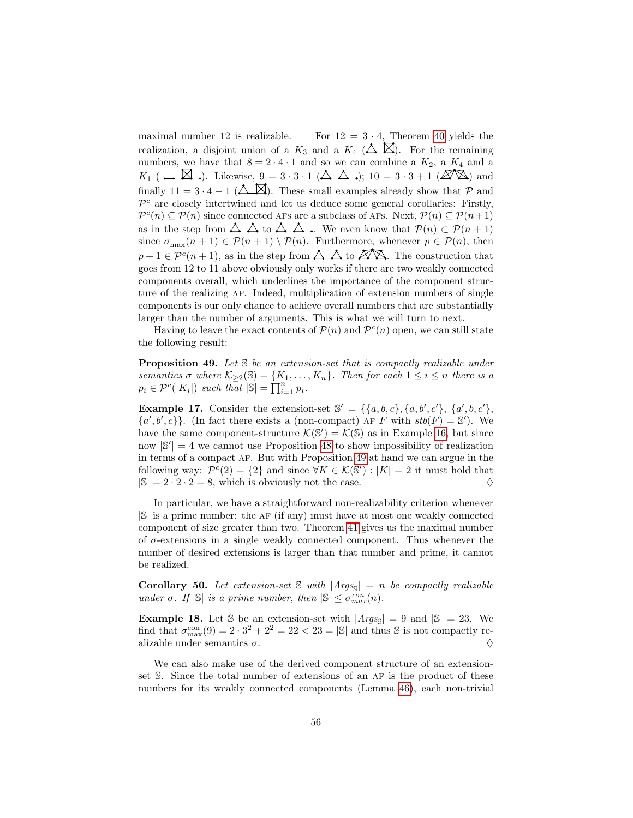maximal number 12 is realizable. For  $12 = 3 \cdot 4$ , Theorem [40](#page-47-1) yields the realization, a disjoint union of a  $K_3$  and a  $K_4$  ( $\Delta$   $\boxtimes$ ). For the remaining numbers, we have that  $8 = 2 \cdot 4 \cdot 1$  and so we can combine a  $K_2$ , a  $K_4$  and a  $K_1$  (  $\rightarrow \mathbb{Z}$  .). Likewise,  $9 = 3 \cdot 3 \cdot 1$  ( $\Delta \Delta$  .);  $10 = 3 \cdot 3 + 1$  ( $\mathbb{Z} \setminus \mathbb{Z}$ ) and finally  $11 = 3 \cdot 4 - 1$  ( $\Delta \cancel{\boxtimes}$ ). These small examples already show that P and  $\mathcal{P}^c$  are closely intertwined and let us deduce some general corollaries: Firstly,  $\mathcal{P}^{c}(n) \subseteq \mathcal{P}(n)$  since connected AFs are a subclass of AFs. Next,  $\mathcal{P}(n) \subseteq \mathcal{P}(n+1)$ as in the step from  $\Delta \Delta$  to  $\Delta \Delta$ . We even know that  $\mathcal{P}(n) \subset \mathcal{P}(n+1)$ since  $\sigma_{\max}(n+1) \in \mathcal{P}(n+1) \setminus \mathcal{P}(n)$ . Furthermore, whenever  $p \in \mathcal{P}(n)$ , then  $p+1 \in \mathcal{P}^{c}(n+1)$ , as in the step from  $\Delta \Delta$  to  $\mathbb{Z}^{\mathbb{N}}$ . The construction that goes from 12 to 11 above obviously only works if there are two weakly connected components overall, which underlines the importance of the component structure of the realizing af. Indeed, multiplication of extension numbers of single components is our only chance to achieve overall numbers that are substantially larger than the number of arguments. This is what we will turn to next.

Having to leave the exact contents of  $\mathcal{P}(n)$  and  $\mathcal{P}^{c}(n)$  open, we can still state the following result:

<span id="page-55-0"></span>**Proposition 49.** Let S be an extension-set that is compactly realizable under semantics  $\sigma$  where  $\mathcal{K}_{\geq 2}(\mathbb{S}) = \{K_1, \ldots, K_n\}$ . Then for each  $1 \leq i \leq n$  there is a  $p_i \in \mathcal{P}^c(|K_i|)$  such that  $|\mathbb{S}| = \prod_{i=1}^n p_i$ .

**Example 17.** Consider the extension-set  $\mathbb{S}' = \{\{a, b, c\}, \{a, b', c'\}, \{a', b, c'\},\}$  ${a', b', c}$ . (In fact there exists a (non-compact) AF F with  $stb(F) = \mathbb{S}'$ ). We have the same component-structure  $\mathcal{K}(\mathbb{S}') = \mathcal{K}(\mathbb{S})$  as in Example [16,](#page-54-1) but since now  $|\mathbb{S}'|=4$  we cannot use Proposition [48](#page-54-0) to show impossibility of realization in terms of a compact af. But with Proposition [49](#page-55-0) at hand we can argue in the following way:  $\mathcal{P}^{c}(2) = \{2\}$  and since  $\forall K \in \mathcal{K}(\mathbb{S}') : |K| = 2$  it must hold that  $|\mathbb{S}| = 2 \cdot 2 \cdot 2 = 8$ , which is obviously not the case.

In particular, we have a straightforward non-realizability criterion whenever  $|\mathbb{S}|$  is a prime number: the AF (if any) must have at most one weakly connected component of size greater than two. Theorem [41](#page-48-0) gives us the maximal number of  $\sigma$ -extensions in a single weakly connected component. Thus whenever the number of desired extensions is larger than that number and prime, it cannot be realized.

**Corollary 50.** Let extension-set  $\mathbb S$  with  $|Arg_s| = n$  be compactly realizable under  $\sigma$ . If  $|\mathbb{S}|$  is a prime number, then  $|\mathbb{S}| \leq \sigma_{max}^{con}(n)$ .

**Example 18.** Let S be an extension-set with  $|Args_{\rm s}| = 9$  and  $|{\rm s}| = 23$ . We find that  $\sigma_{\max}^{\text{con}}(9) = 2 \cdot 3^2 + 2^2 = 22 < 23 = |\mathbb{S}|$  and thus  $\mathbb{S}$  is not compactly realizable under semantics  $\sigma$ .

We can also make use of the derived component structure of an extensionset S. Since the total number of extensions of an AF is the product of these numbers for its weakly connected components (Lemma [46\)](#page-52-0), each non-trivial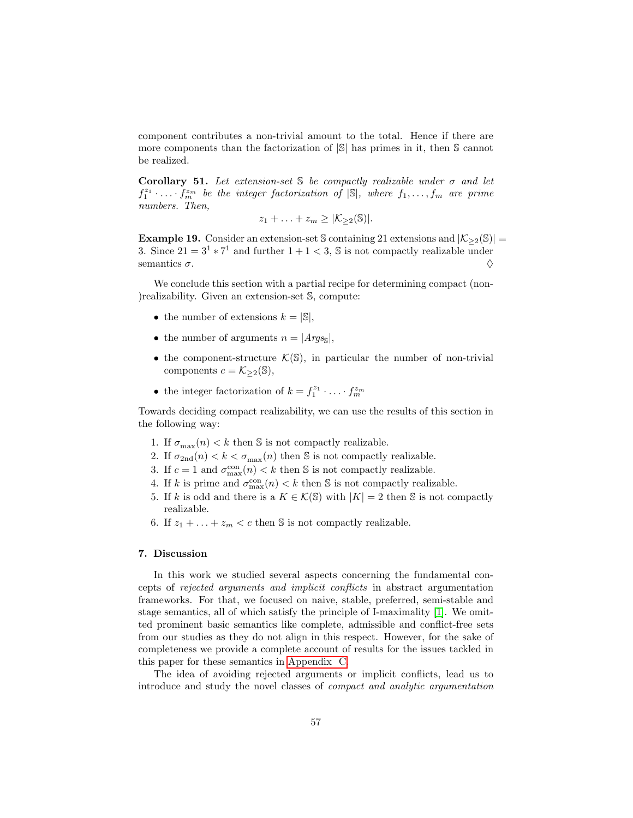component contributes a non-trivial amount to the total. Hence if there are more components than the factorization of |S| has primes in it, then S cannot be realized.

Corollary 51. Let extension-set  $S$  be compactly realizable under  $\sigma$  and let  $f_1^{z_1} \cdot \ldots \cdot f_m^{z_m}$  be the integer factorization of  $|S|$ , where  $f_1, \ldots, f_m$  are prime numbers. Then,

$$
z_1 + \ldots + z_m \geq |\mathcal{K}_{\geq 2}(\mathbb{S})|.
$$

**Example 19.** Consider an extension-set S containing 21 extensions and  $|K_{\geq 2}(S)|$  = 3. Since  $21 = 3^1 * 7^1$  and further  $1 + 1 < 3$ , S is not compactly realizable under semantics  $\sigma$ .

We conclude this section with a partial recipe for determining compact (non- )realizability. Given an extension-set S, compute:

- the number of extensions  $k = |\mathbb{S}|$ ,
- the number of arguments  $n = |Args_{\rm s}|$ ,
- the component-structure  $K(\mathbb{S})$ , in particular the number of non-trivial components  $c = \mathcal{K}_{\geq 2}(\mathbb{S}),$
- the integer factorization of  $k = f_1^{z_1} \cdot \ldots \cdot f_m^{z_m}$

Towards deciding compact realizability, we can use the results of this section in the following way:

- 1. If  $\sigma_{\max}(n) < k$  then S is not compactly realizable.
- 2. If  $\sigma_{2nd}(n) < k < \sigma_{max}(n)$  then S is not compactly realizable.
- 3. If  $c = 1$  and  $\sigma_{\max}^{\text{con}}(n) < k$  then S is not compactly realizable.
- 4. If k is prime and  $\sigma_{\max}^{\text{con}}(n) < k$  then S is not compactly realizable.
- 5. If k is odd and there is a  $K \in \mathcal{K}(\mathbb{S})$  with  $|K| = 2$  then S is not compactly realizable.
- 6. If  $z_1 + \ldots + z_m < c$  then S is not compactly realizable.

## 7. Discussion

In this work we studied several aspects concerning the fundamental concepts of rejected arguments and implicit conflicts in abstract argumentation frameworks. For that, we focused on naive, stable, preferred, semi-stable and stage semantics, all of which satisfy the principle of I-maximality [\[1\]](#page-58-1). We omitted prominent basic semantics like complete, admissible and conflict-free sets from our studies as they do not align in this respect. However, for the sake of completeness we provide a complete account of results for the issues tackled in this paper for these semantics in [Appendix C.](#page-68-0)

The idea of avoiding rejected arguments or implicit conflicts, lead us to introduce and study the novel classes of compact and analytic argumentation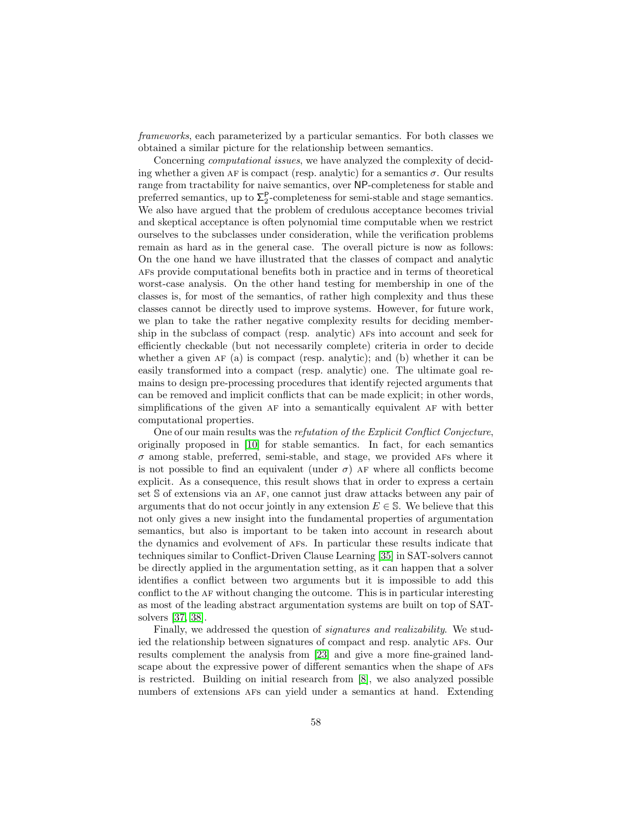frameworks, each parameterized by a particular semantics. For both classes we obtained a similar picture for the relationship between semantics.

Concerning computational issues, we have analyzed the complexity of deciding whether a given AF is compact (resp. analytic) for a semantics  $\sigma$ . Our results range from tractability for naive semantics, over NP-completeness for stable and preferred semantics, up to  $\Sigma_2^{\mathsf{P}}$ -completeness for semi-stable and stage semantics. We also have argued that the problem of credulous acceptance becomes trivial and skeptical acceptance is often polynomial time computable when we restrict ourselves to the subclasses under consideration, while the verification problems remain as hard as in the general case. The overall picture is now as follows: On the one hand we have illustrated that the classes of compact and analytic afs provide computational benefits both in practice and in terms of theoretical worst-case analysis. On the other hand testing for membership in one of the classes is, for most of the semantics, of rather high complexity and thus these classes cannot be directly used to improve systems. However, for future work, we plan to take the rather negative complexity results for deciding membership in the subclass of compact (resp. analytic) afs into account and seek for efficiently checkable (but not necessarily complete) criteria in order to decide whether a given  $AF$  (a) is compact (resp. analytic); and (b) whether it can be easily transformed into a compact (resp. analytic) one. The ultimate goal remains to design pre-processing procedures that identify rejected arguments that can be removed and implicit conflicts that can be made explicit; in other words, simplifications of the given AF into a semantically equivalent AF with better computational properties.

One of our main results was the refutation of the Explicit Conflict Conjecture, originally proposed in [\[10\]](#page-59-4) for stable semantics. In fact, for each semantics  $\sigma$  among stable, preferred, semi-stable, and stage, we provided AFs where it is not possible to find an equivalent (under  $\sigma$ ) AF where all conflicts become explicit. As a consequence, this result shows that in order to express a certain set S of extensions via an AF, one cannot just draw attacks between any pair of arguments that do not occur jointly in any extension  $E \in \mathbb{S}$ . We believe that this not only gives a new insight into the fundamental properties of argumentation semantics, but also is important to be taken into account in research about the dynamics and evolvement of afs. In particular these results indicate that techniques similar to Conflict-Driven Clause Learning [\[35\]](#page-61-1) in SAT-solvers cannot be directly applied in the argumentation setting, as it can happen that a solver identifies a conflict between two arguments but it is impossible to add this conflict to the af without changing the outcome. This is in particular interesting as most of the leading abstract argumentation systems are built on top of SATsolvers [\[37,](#page-61-2) [38\]](#page-61-3).

Finally, we addressed the question of signatures and realizability. We studied the relationship between signatures of compact and resp. analytic AFS. Our results complement the analysis from [\[23\]](#page-60-0) and give a more fine-grained landscape about the expressive power of different semantics when the shape of afs is restricted. Building on initial research from [\[8\]](#page-59-1), we also analyzed possible numbers of extensions afs can yield under a semantics at hand. Extending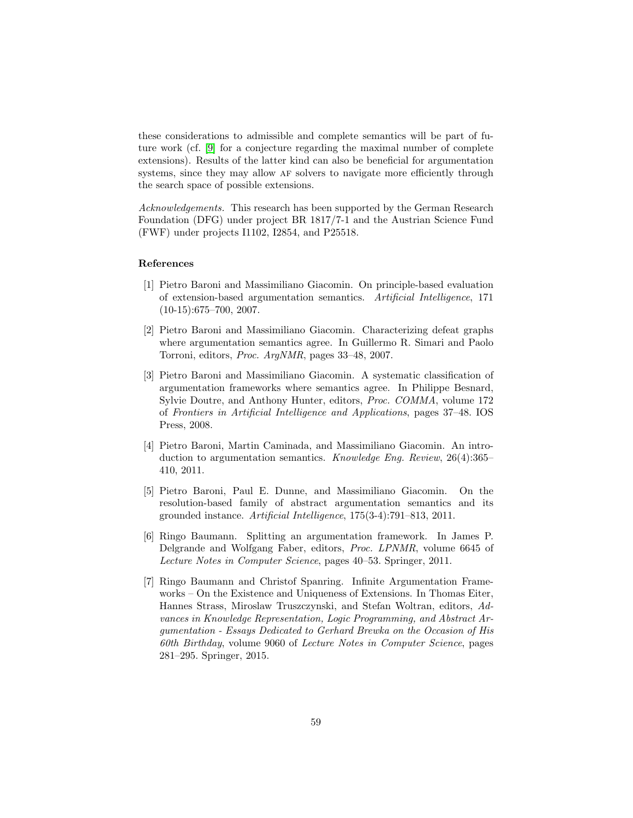these considerations to admissible and complete semantics will be part of future work (cf. [\[9\]](#page-59-2) for a conjecture regarding the maximal number of complete extensions). Results of the latter kind can also be beneficial for argumentation systems, since they may allow AF solvers to navigate more efficiently through the search space of possible extensions.

Acknowledgements. This research has been supported by the German Research Foundation (DFG) under project BR 1817/7-1 and the Austrian Science Fund (FWF) under projects I1102, I2854, and P25518.

#### References

- <span id="page-58-1"></span>[1] Pietro Baroni and Massimiliano Giacomin. On principle-based evaluation of extension-based argumentation semantics. Artificial Intelligence, 171  $(10-15):675-700, 2007.$
- <span id="page-58-0"></span>[2] Pietro Baroni and Massimiliano Giacomin. Characterizing defeat graphs where argumentation semantics agree. In Guillermo R. Simari and Paolo Torroni, editors, Proc. ArgNMR, pages 33–48, 2007.
- [3] Pietro Baroni and Massimiliano Giacomin. A systematic classification of argumentation frameworks where semantics agree. In Philippe Besnard, Sylvie Doutre, and Anthony Hunter, editors, Proc. COMMA, volume 172 of Frontiers in Artificial Intelligence and Applications, pages 37–48. IOS Press, 2008.
- [4] Pietro Baroni, Martin Caminada, and Massimiliano Giacomin. An introduction to argumentation semantics. Knowledge Eng. Review, 26(4):365– 410, 2011.
- [5] Pietro Baroni, Paul E. Dunne, and Massimiliano Giacomin. On the resolution-based family of abstract argumentation semantics and its grounded instance. Artificial Intelligence, 175(3-4):791–813, 2011.
- [6] Ringo Baumann. Splitting an argumentation framework. In James P. Delgrande and Wolfgang Faber, editors, Proc. LPNMR, volume 6645 of Lecture Notes in Computer Science, pages 40–53. Springer, 2011.
- [7] Ringo Baumann and Christof Spanring. Infinite Argumentation Frameworks – On the Existence and Uniqueness of Extensions. In Thomas Eiter, Hannes Strass, Miroslaw Truszczynski, and Stefan Woltran, editors, Advances in Knowledge Representation, Logic Programming, and Abstract Argumentation - Essays Dedicated to Gerhard Brewka on the Occasion of His 60th Birthday, volume 9060 of Lecture Notes in Computer Science, pages 281–295. Springer, 2015.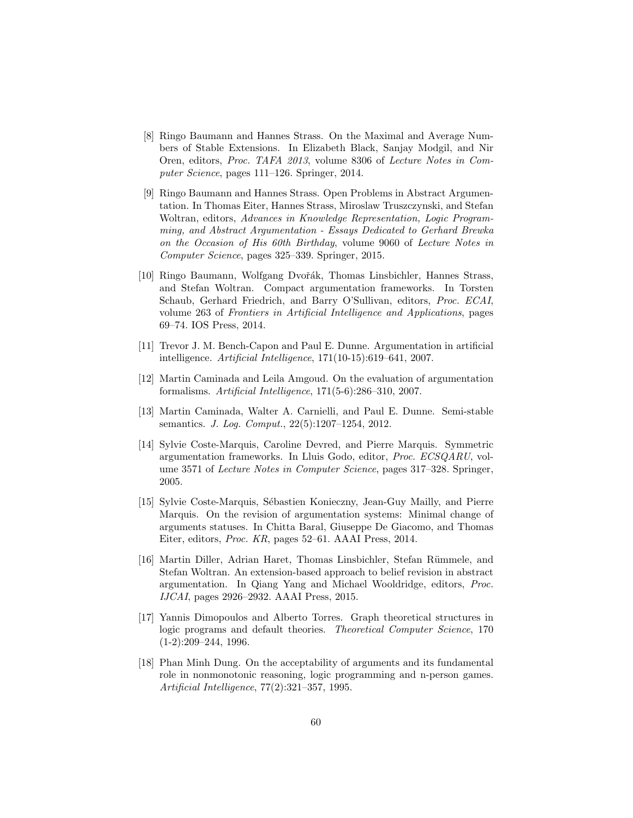- <span id="page-59-1"></span>[8] Ringo Baumann and Hannes Strass. On the Maximal and Average Numbers of Stable Extensions. In Elizabeth Black, Sanjay Modgil, and Nir Oren, editors, Proc. TAFA 2013, volume 8306 of Lecture Notes in Computer Science, pages 111–126. Springer, 2014.
- <span id="page-59-2"></span>[9] Ringo Baumann and Hannes Strass. Open Problems in Abstract Argumentation. In Thomas Eiter, Hannes Strass, Miroslaw Truszczynski, and Stefan Woltran, editors, Advances in Knowledge Representation, Logic Programming, and Abstract Argumentation - Essays Dedicated to Gerhard Brewka on the Occasion of His 60th Birthday, volume 9060 of Lecture Notes in Computer Science, pages 325–339. Springer, 2015.
- <span id="page-59-4"></span>[10] Ringo Baumann, Wolfgang Dvořák, Thomas Linsbichler, Hannes Strass, and Stefan Woltran. Compact argumentation frameworks. In Torsten Schaub, Gerhard Friedrich, and Barry O'Sullivan, editors, Proc. ECAI, volume 263 of Frontiers in Artificial Intelligence and Applications, pages 69–74. IOS Press, 2014.
- [11] Trevor J. M. Bench-Capon and Paul E. Dunne. Argumentation in artificial intelligence. Artificial Intelligence, 171(10-15):619–641, 2007.
- [12] Martin Caminada and Leila Amgoud. On the evaluation of argumentation formalisms. Artificial Intelligence, 171(5-6):286–310, 2007.
- <span id="page-59-0"></span>[13] Martin Caminada, Walter A. Carnielli, and Paul E. Dunne. Semi-stable semantics. J. Log. Comput., 22(5):1207–1254, 2012.
- <span id="page-59-3"></span>[14] Sylvie Coste-Marquis, Caroline Devred, and Pierre Marquis. Symmetric argumentation frameworks. In Lluis Godo, editor, Proc. ECSQARU, volume 3571 of Lecture Notes in Computer Science, pages 317–328. Springer, 2005.
- [15] Sylvie Coste-Marquis, S´ebastien Konieczny, Jean-Guy Mailly, and Pierre Marquis. On the revision of argumentation systems: Minimal change of arguments statuses. In Chitta Baral, Giuseppe De Giacomo, and Thomas Eiter, editors, Proc. KR, pages 52–61. AAAI Press, 2014.
- [16] Martin Diller, Adrian Haret, Thomas Linsbichler, Stefan Rümmele, and Stefan Woltran. An extension-based approach to belief revision in abstract argumentation. In Qiang Yang and Michael Wooldridge, editors, Proc. IJCAI, pages 2926–2932. AAAI Press, 2015.
- [17] Yannis Dimopoulos and Alberto Torres. Graph theoretical structures in logic programs and default theories. Theoretical Computer Science, 170  $(1-2):209-244, 1996.$
- <span id="page-59-5"></span>[18] Phan Minh Dung. On the acceptability of arguments and its fundamental role in nonmonotonic reasoning, logic programming and n-person games. Artificial Intelligence, 77(2):321–357, 1995.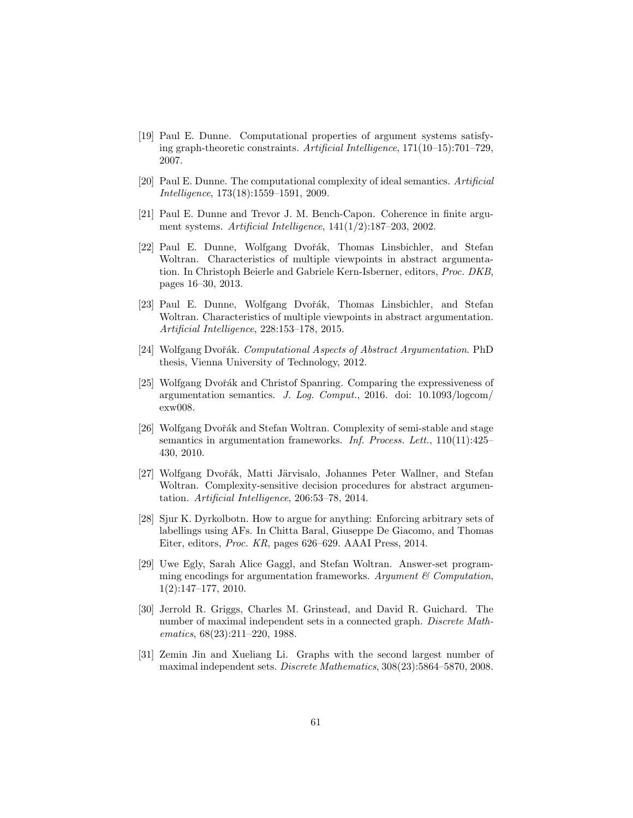- [19] Paul E. Dunne. Computational properties of argument systems satisfying graph-theoretic constraints. Artificial Intelligence, 171(10–15):701–729, 2007.
- [20] Paul E. Dunne. The computational complexity of ideal semantics. Artificial Intelligence, 173(18):1559–1591, 2009.
- [21] Paul E. Dunne and Trevor J. M. Bench-Capon. Coherence in finite argument systems. Artificial Intelligence, 141(1/2):187–203, 2002.
- [22] Paul E. Dunne, Wolfgang Dvořák, Thomas Linsbichler, and Stefan Woltran. Characteristics of multiple viewpoints in abstract argumentation. In Christoph Beierle and Gabriele Kern-Isberner, editors, Proc. DKB, pages 16–30, 2013.
- <span id="page-60-0"></span>[23] Paul E. Dunne, Wolfgang Dvořák, Thomas Linsbichler, and Stefan Woltran. Characteristics of multiple viewpoints in abstract argumentation. Artificial Intelligence, 228:153–178, 2015.
- [24] Wolfgang Dvořák. Computational Aspects of Abstract Argumentation. PhD thesis, Vienna University of Technology, 2012.
- <span id="page-60-1"></span>[25] Wolfgang Dvořák and Christof Spanring. Comparing the expressiveness of argumentation semantics. J. Log. Comput., 2016. doi:  $10.1093/\text{logcom}/$ exw008.
- [26] Wolfgang Dvořák and Stefan Woltran. Complexity of semi-stable and stage semantics in argumentation frameworks. Inf. Process. Lett., 110(11):425– 430, 2010.
- <span id="page-60-5"></span>[27] Wolfgang Dvořák, Matti Järvisalo, Johannes Peter Wallner, and Stefan Woltran. Complexity-sensitive decision procedures for abstract argumentation. Artificial Intelligence, 206:53–78, 2014.
- [28] Sjur K. Dyrkolbotn. How to argue for anything: Enforcing arbitrary sets of labellings using AFs. In Chitta Baral, Giuseppe De Giacomo, and Thomas Eiter, editors, Proc. KR, pages 626–629. AAAI Press, 2014.
- <span id="page-60-4"></span>[29] Uwe Egly, Sarah Alice Gaggl, and Stefan Woltran. Answer-set programming encodings for argumentation frameworks. Argument  $\mathcal C$  Computation, 1(2):147–177, 2010.
- <span id="page-60-2"></span>[30] Jerrold R. Griggs, Charles M. Grinstead, and David R. Guichard. The number of maximal independent sets in a connected graph. Discrete Mathematics, 68(23):211–220, 1988.
- <span id="page-60-3"></span>[31] Zemin Jin and Xueliang Li. Graphs with the second largest number of maximal independent sets. Discrete Mathematics, 308(23):5864–5870, 2008.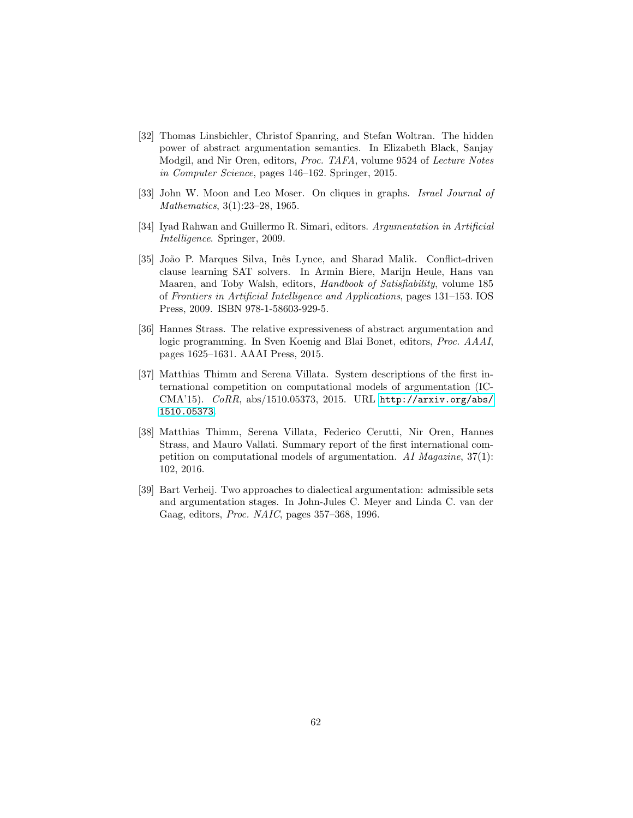- [32] Thomas Linsbichler, Christof Spanring, and Stefan Woltran. The hidden power of abstract argumentation semantics. In Elizabeth Black, Sanjay Modgil, and Nir Oren, editors, Proc. TAFA, volume 9524 of Lecture Notes in Computer Science, pages 146–162. Springer, 2015.
- <span id="page-61-0"></span>[33] John W. Moon and Leo Moser. On cliques in graphs. Israel Journal of Mathematics, 3(1):23–28, 1965.
- [34] Iyad Rahwan and Guillermo R. Simari, editors. Argumentation in Artificial Intelligence. Springer, 2009.
- <span id="page-61-1"></span>[35] João P. Marques Silva, Inês Lynce, and Sharad Malik. Conflict-driven clause learning SAT solvers. In Armin Biere, Marijn Heule, Hans van Maaren, and Toby Walsh, editors, Handbook of Satisfiability, volume 185 of Frontiers in Artificial Intelligence and Applications, pages 131–153. IOS Press, 2009. ISBN 978-1-58603-929-5.
- [36] Hannes Strass. The relative expressiveness of abstract argumentation and logic programming. In Sven Koenig and Blai Bonet, editors, Proc. AAAI, pages 1625–1631. AAAI Press, 2015.
- <span id="page-61-2"></span>[37] Matthias Thimm and Serena Villata. System descriptions of the first international competition on computational models of argumentation (IC-CMA'15). CoRR, abs/1510.05373, 2015. URL [http://arxiv.org/abs/](http://arxiv.org/abs/1510.05373) [1510.05373](http://arxiv.org/abs/1510.05373).
- <span id="page-61-3"></span>[38] Matthias Thimm, Serena Villata, Federico Cerutti, Nir Oren, Hannes Strass, and Mauro Vallati. Summary report of the first international competition on computational models of argumentation. AI Magazine, 37(1): 102, 2016.
- [39] Bart Verheij. Two approaches to dialectical argumentation: admissible sets and argumentation stages. In John-Jules C. Meyer and Linda C. van der Gaag, editors, Proc. NAIC, pages 357–368, 1996.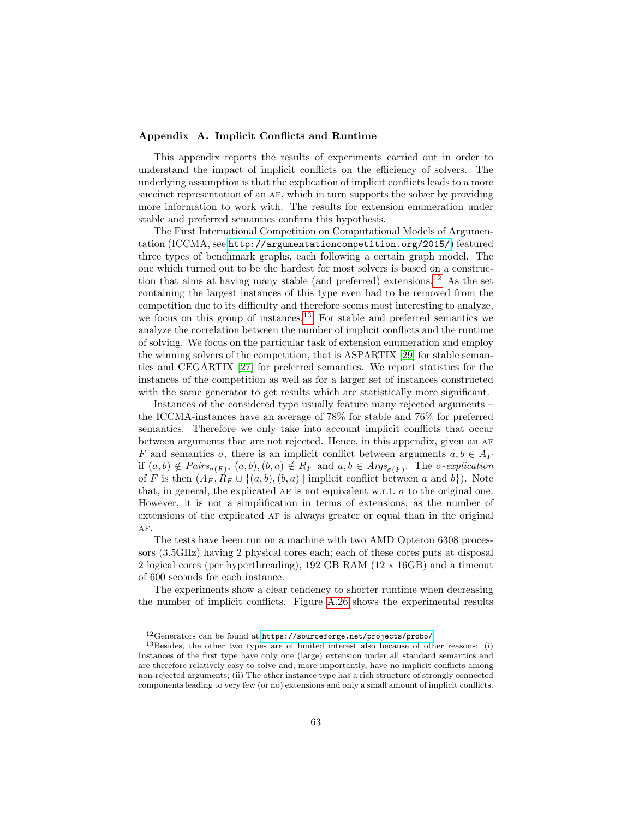## Appendix A. Implicit Conflicts and Runtime

This appendix reports the results of experiments carried out in order to understand the impact of implicit conflicts on the efficiency of solvers. The underlying assumption is that the explication of implicit conflicts leads to a more succinct representation of an AF, which in turn supports the solver by providing more information to work with. The results for extension enumeration under stable and preferred semantics confirm this hypothesis.

The First International Competition on Computational Models of Argumentation (ICCMA, see <http://argumentationcompetition.org/2015/>) featured three types of benchmark graphs, each following a certain graph model. The one which turned out to be the hardest for most solvers is based on a construc-tion that aims at having many stable (and preferred) extensions.<sup>[12](#page-62-0)</sup> As the set containing the largest instances of this type even had to be removed from the competition due to its difficulty and therefore seems most interesting to analyze, we focus on this group of instances.<sup>[13](#page-62-1)</sup> For stable and preferred semantics we analyze the correlation between the number of implicit conflicts and the runtime of solving. We focus on the particular task of extension enumeration and employ the winning solvers of the competition, that is ASPARTIX [\[29\]](#page-60-4) for stable semantics and CEGARTIX [\[27\]](#page-60-5) for preferred semantics. We report statistics for the instances of the competition as well as for a larger set of instances constructed with the same generator to get results which are statistically more significant.

Instances of the considered type usually feature many rejected arguments – the ICCMA-instances have an average of 78% for stable and 76% for preferred semantics. Therefore we only take into account implicit conflicts that occur between arguments that are not rejected. Hence, in this appendix, given an af F and semantics  $\sigma$ , there is an implicit conflict between arguments  $a, b \in A_F$ if  $(a, b) \notin Pairs_{\sigma(F)}$ ,  $(a, b), (b, a) \notin R_F$  and  $a, b \in \text{Args}_{\sigma(F)}$ . The  $\sigma$ -explication of F is then  $(A_F, R_F \cup \{(a, b), (b, a) \mid \text{implicit conflict between } a \text{ and } b\})$ . Note that, in general, the explicated AF is not equivalent w.r.t.  $\sigma$  to the original one. However, it is not a simplification in terms of extensions, as the number of extensions of the explicated AF is always greater or equal than in the original AF.

The tests have been run on a machine with two AMD Opteron 6308 processors (3.5GHz) having 2 physical cores each; each of these cores puts at disposal 2 logical cores (per hyperthreading), 192 GB RAM (12 x 16GB) and a timeout of 600 seconds for each instance.

The experiments show a clear tendency to shorter runtime when decreasing the number of implicit conflicts. Figure [A.26](#page-63-0) shows the experimental results

<span id="page-62-1"></span><span id="page-62-0"></span> $^{12}\rm{Generators}$  can be found at  $\texttt{https://sourceforge.net/projects/probe/}.$ 

<sup>&</sup>lt;sup>13</sup>Besides, the other two types are of limited interest also because of other reasons: (i) Instances of the first type have only one (large) extension under all standard semantics and are therefore relatively easy to solve and, more importantly, have no implicit conflicts among non-rejected arguments; (ii) The other instance type has a rich structure of strongly connected components leading to very few (or no) extensions and only a small amount of implicit conflicts.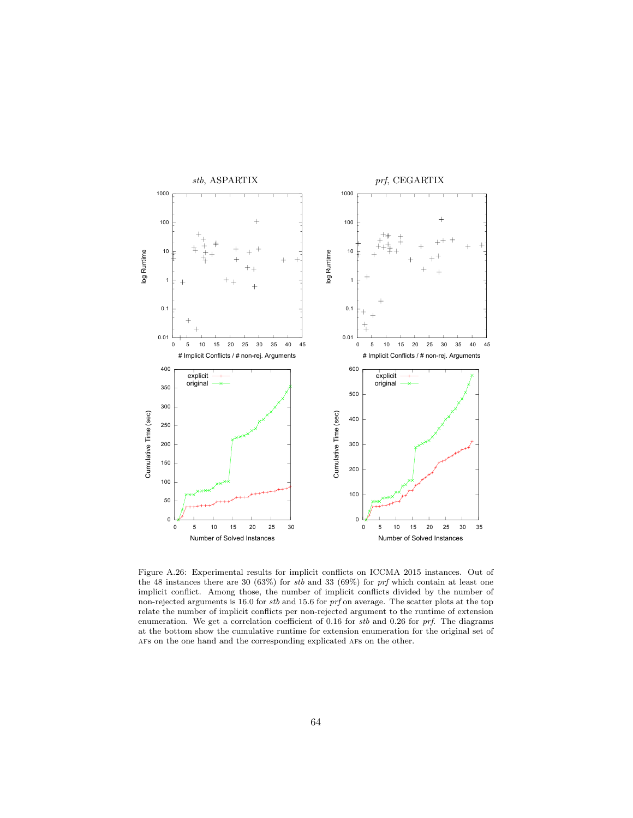<span id="page-63-0"></span>

Figure A.26: Experimental results for implicit conflicts on ICCMA 2015 instances. Out of the 48 instances there are 30 (63%) for stb and 33 (69%) for prf which contain at least one implicit conflict. Among those, the number of implicit conflicts divided by the number of non-rejected arguments is 16.0 for stb and 15.6 for prf on average. The scatter plots at the top relate the number of implicit conflicts per non-rejected argument to the runtime of extension enumeration. We get a correlation coefficient of 0.16 for stb and 0.26 for prf. The diagrams at the bottom show the cumulative runtime for extension enumeration for the original set of afs on the one hand and the corresponding explicated afs on the other.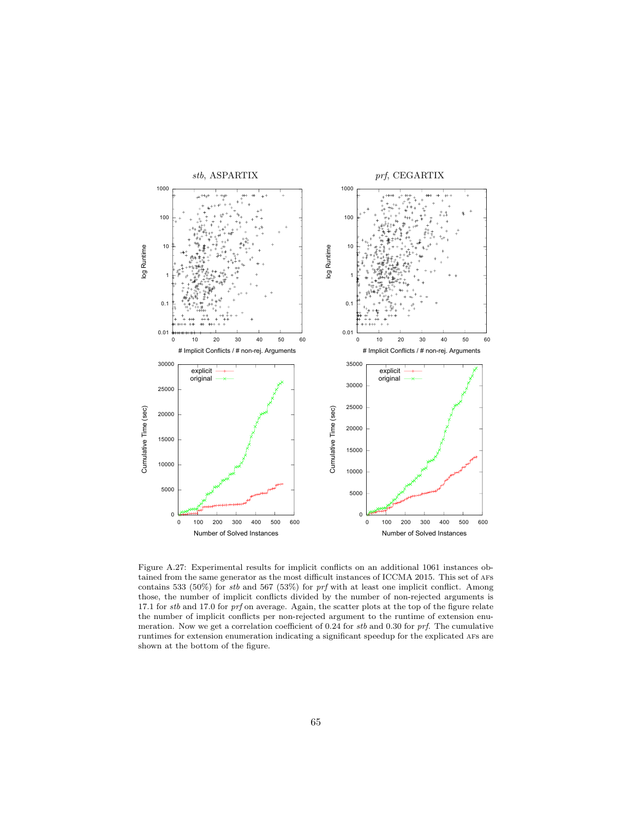<span id="page-64-0"></span>

Figure A.27: Experimental results for implicit conflicts on an additional 1061 instances obtained from the same generator as the most difficult instances of ICCMA 2015. This set of afs contains 533 (50%) for stb and 567 (53%) for prf with at least one implicit conflict. Among those, the number of implicit conflicts divided by the number of non-rejected arguments is 17.1 for stb and 17.0 for prf on average. Again, the scatter plots at the top of the figure relate the number of implicit conflicts per non-rejected argument to the runtime of extension enumeration. Now we get a correlation coefficient of 0.24 for stb and 0.30 for prf. The cumulative runtimes for extension enumeration indicating a significant speedup for the explicated afs are shown at the bottom of the figure.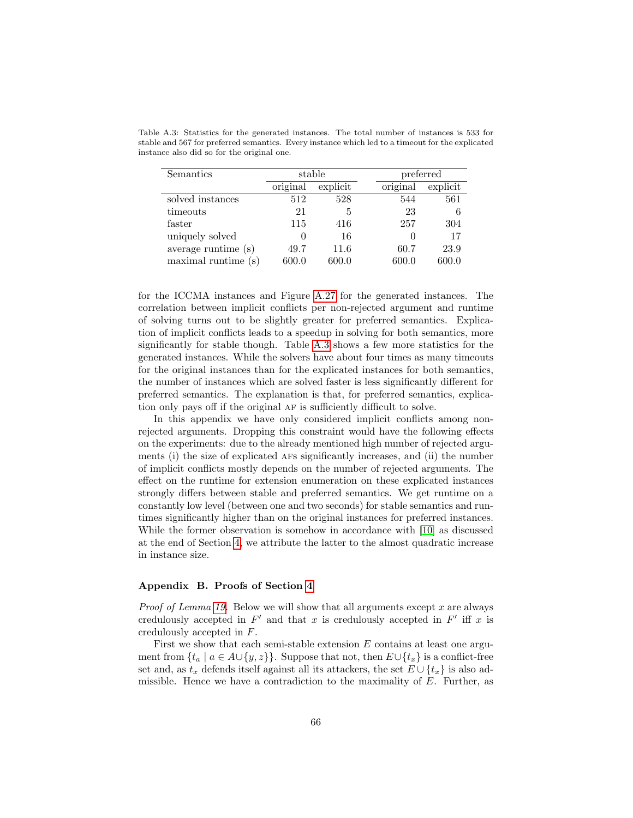| Semantics               | stable       |          |          | preferred |  |
|-------------------------|--------------|----------|----------|-----------|--|
|                         | original     | explicit | original | explicit  |  |
| solved instances        | 512          | 528      | 544      | 561       |  |
| timeouts                | 21           | 5        | 23       | 6         |  |
| faster                  | 115          | 416      | 257      | 304       |  |
| uniquely solved         | $\mathbf{0}$ | 16       |          | 17        |  |
| average runtime (s)     | 49.7         | 11.6     | 60.7     | 23.9      |  |
| $maximal$ runtime $(s)$ | 600.0        | 600.0    |          | 600.0     |  |

<span id="page-65-0"></span>Table A.3: Statistics for the generated instances. The total number of instances is 533 for stable and 567 for preferred semantics. Every instance which led to a timeout for the explicated instance also did so for the original one.

for the ICCMA instances and Figure [A.27](#page-64-0) for the generated instances. The correlation between implicit conflicts per non-rejected argument and runtime of solving turns out to be slightly greater for preferred semantics. Explication of implicit conflicts leads to a speedup in solving for both semantics, more significantly for stable though. Table [A.3](#page-65-0) shows a few more statistics for the generated instances. While the solvers have about four times as many timeouts for the original instances than for the explicated instances for both semantics, the number of instances which are solved faster is less significantly different for preferred semantics. The explanation is that, for preferred semantics, explication only pays off if the original AF is sufficiently difficult to solve.

In this appendix we have only considered implicit conflicts among nonrejected arguments. Dropping this constraint would have the following effects on the experiments: due to the already mentioned high number of rejected arguments (i) the size of explicated afs significantly increases, and (ii) the number of implicit conflicts mostly depends on the number of rejected arguments. The effect on the runtime for extension enumeration on these explicated instances strongly differs between stable and preferred semantics. We get runtime on a constantly low level (between one and two seconds) for stable semantics and runtimes significantly higher than on the original instances for preferred instances. While the former observation is somehow in accordance with [\[10\]](#page-59-4) as discussed at the end of Section [4,](#page-17-0) we attribute the latter to the almost quadratic increase in instance size.

### Appendix B. Proofs of Section [4](#page-17-0)

*Proof of Lemma [19.](#page-24-0)* Below we will show that all arguments except  $x$  are always credulously accepted in  $F'$  and that x is credulously accepted in  $F'$  iff x is credulously accepted in F.

First we show that each semi-stable extension  $E$  contains at least one argument from  $\{t_a \mid a \in A \cup \{y, z\}\}\.$  Suppose that not, then  $E \cup \{t_x\}$  is a conflict-free set and, as  $t_x$  defends itself against all its attackers, the set  $E \cup \{t_x\}$  is also admissible. Hence we have a contradiction to the maximality of  $E$ . Further, as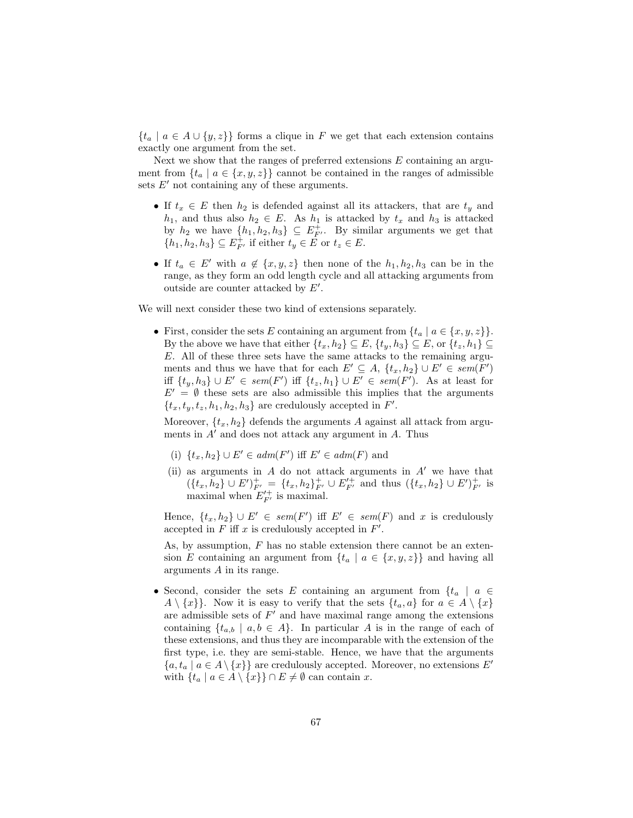${t_a \mid a \in A \cup \{y, z\}}$  forms a clique in F we get that each extension contains exactly one argument from the set.

Next we show that the ranges of preferred extensions  $E$  containing an argument from  $\{t_a \mid a \in \{x, y, z\}\}\)$  cannot be contained in the ranges of admissible sets  $E'$  not containing any of these arguments.

- If  $t_x \in E$  then  $h_2$  is defended against all its attackers, that are  $t_y$  and  $h_1$ , and thus also  $h_2 \in E$ . As  $h_1$  is attacked by  $t_x$  and  $h_3$  is attacked by  $h_2$  we have  $\{h_1, h_2, h_3\} \subseteq E_{F'}^+$ . By similar arguments we get that  $\{h_1, h_2, h_3\} \subseteq E_F^{\perp}$  if either  $t_y \in E$  or  $t_z \in E$ .
- If  $t_a \in E'$  with  $a \notin \{x, y, z\}$  then none of the  $h_1, h_2, h_3$  can be in the range, as they form an odd length cycle and all attacking arguments from outside are counter attacked by  $E'$ .

We will next consider these two kind of extensions separately.

• First, consider the sets E containing an argument from  $\{t_a \mid a \in \{x, y, z\}\}.$ By the above we have that either  $\{t_x, h_2\} \subseteq E$ ,  $\{t_y, h_3\} \subseteq E$ , or  $\{t_z, h_1\} \subseteq$ E. All of these three sets have the same attacks to the remaining arguments and thus we have that for each  $E' \subseteq A$ ,  $\{t_x, h_2\} \cup E' \in sem(F')$ iff  $\{t_y, h_3\} \cup E' \in sem(F')$  iff  $\{t_z, h_1\} \cup E' \in sem(F')$ . As at least for  $E' = \emptyset$  these sets are also admissible this implies that the arguments  $\{t_x, t_y, t_z, h_1, h_2, h_3\}$  are credulously accepted in  $F'$ .

Moreover,  $\{t_x, h_2\}$  defends the arguments A against all attack from arguments in  $A'$  and does not attack any argument in  $A$ . Thus

- (i)  $\{t_x, h_2\} \cup E' \in \text{adm}(F') \text{ iff } E' \in \text{adm}(F) \text{ and }$
- (ii) as arguments in  $A$  do not attack arguments in  $A'$  we have that  $(\{t_x, h_2\} \cup E')_{F'}^+ = \{t_x, h_2\}_{F'}^+ \cup E_{F'}'^+$  and thus  $(\{t_x, h_2\} \cup E')_{F'}^+$  is maximal when  $E'_{F'}$  is maximal.

Hence,  $\{t_x, h_2\} \cup E' \in \mathit{sem}(F')$  iff  $E' \in \mathit{sem}(F)$  and x is credulously accepted in  $F$  iff  $x$  is credulously accepted in  $F'$ .

As, by assumption,  $F$  has no stable extension there cannot be an extension E containing an argument from  $\{t_a | a \in \{x, y, z\}\}\$ and having all arguments A in its range.

• Second, consider the sets E containing an argument from  $\{t_a \mid a \in \mathbb{R}\}$  $A \setminus \{x\}$ . Now it is easy to verify that the sets  $\{t_a, a\}$  for  $a \in A \setminus \{x\}$ are admissible sets of  $F'$  and have maximal range among the extensions containing  $\{t_{a,b} \mid a,b \in A\}$ . In particular A is in the range of each of these extensions, and thus they are incomparable with the extension of the first type, i.e. they are semi-stable. Hence, we have that the arguments  ${a, t_a \mid a \in A \setminus \{x\}}$  are credulously accepted. Moreover, no extensions E' with  $\{t_a \mid a \in A \setminus \{x\}\}\cap E \neq \emptyset$  can contain x.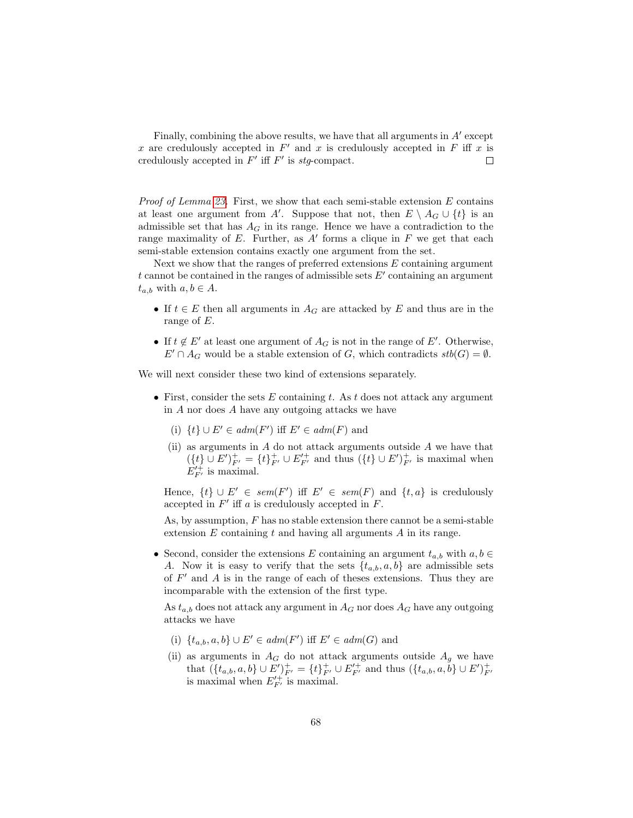Finally, combining the above results, we have that all arguments in  $A'$  except x are credulously accepted in  $F'$  and x is credulously accepted in F iff x is credulously accepted in  $F'$  iff  $F'$  is stg-compact.  $\Box$ 

*Proof of Lemma [23.](#page-27-0)* First, we show that each semi-stable extension  $E$  contains at least one argument from A'. Suppose that not, then  $E \setminus A_G \cup \{t\}$  is an admissible set that has  $A_G$  in its range. Hence we have a contradiction to the range maximality of  $E$ . Further, as  $A'$  forms a clique in  $F$  we get that each semi-stable extension contains exactly one argument from the set.

Next we show that the ranges of preferred extensions  $E$  containing argument  $t$  cannot be contained in the ranges of admissible sets  $E'$  containing an argument  $t_{a,b}$  with  $a, b \in A$ .

- If  $t \in E$  then all arguments in  $A_G$  are attacked by  $E$  and thus are in the range of E.
- If  $t \notin E'$  at least one argument of  $A_G$  is not in the range of E'. Otherwise,  $E' \cap A_G$  would be a stable extension of G, which contradicts  $stb(G) = \emptyset$ .

We will next consider these two kind of extensions separately.

- First, consider the sets  $E$  containing  $t$ . As  $t$  does not attack any argument in A nor does A have any outgoing attacks we have
	- (i)  $\{t\} \cup E' \in \text{adm}(F') \text{ iff } E' \in \text{adm}(F) \text{ and }$
	- (ii) as arguments in  $A$  do not attack arguments outside  $A$  we have that  $({t} \cup E')_{F'}^+ = {t}^+_{F'} \cup E'_{F'}^+$  and thus  $({t} \cup E')_{F'}^+$  is maximal when  $E_{F'}^{\prime +}$  is maximal.

Hence,  $\{t\} \cup E' \in \mathit{sem}(F')$  iff  $E' \in \mathit{sem}(F)$  and  $\{t,a\}$  is credulously accepted in  $F'$  iff a is credulously accepted in  $F$ .

As, by assumption, F has no stable extension there cannot be a semi-stable extension  $E$  containing  $t$  and having all arguments  $A$  in its range.

• Second, consider the extensions E containing an argument  $t_{a,b}$  with  $a, b \in \mathbb{R}$ A. Now it is easy to verify that the sets  $\{t_{a,b}, a, b\}$  are admissible sets of  $F'$  and  $A$  is in the range of each of theses extensions. Thus they are incomparable with the extension of the first type.

As  $t_{a,b}$  does not attack any argument in  $A_G$  nor does  $A_G$  have any outgoing attacks we have

- (i)  $\{t_{a,b}, a, b\} \cup E' \in adm(F')$  iff  $E' \in adm(G)$  and
- (ii) as arguments in  $A_G$  do not attack arguments outside  $A_g$  we have that  $(\{t_{a,b}, a, b\} \cup E')_{F'}^+ = \{t\}_{F'}^+ \cup E'_{F'}^+$  and thus  $(\{t_{a,b}, a, b\} \cup E')_{F'}^+$  is maximal when  $E'_{F'}$  is maximal.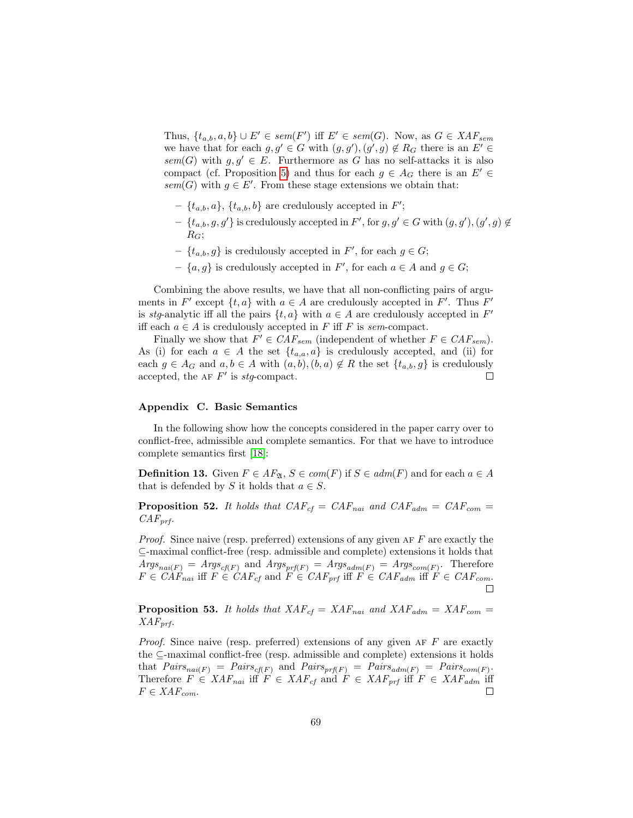Thus,  $\{t_{a,b}, a, b\} \cup E' \in sem(F')$  iff  $E' \in sem(G)$ . Now, as  $G \in XAF_{sem}$ we have that for each  $g, g' \in G$  with  $(g, g'), (g', g) \notin R_G$  there is an  $E' \in$  $sem(G)$  with  $g, g' \in E$ . Furthermore as G has no self-attacks it is also compact (cf. Proposition [5\)](#page-16-0) and thus for each  $g \in A_G$  there is an  $E' \in$  $sem(G)$  with  $g \in E'$ . From these stage extensions we obtain that:

- $\{t_{a,b}, a\}, \{t_{a,b}, b\}$  are credulously accepted in  $F'$ ;
- $\{t_{a,b}, g, g'\}$  is credulously accepted in  $F'$ , for  $g, g' \in G$  with  $(g, g')$ ,  $(g', g) \notin G$  $R_G$ ;
- $\{t_{a,b}, g\}$  is credulously accepted in F', for each  $g \in G$ ;
- $\{a, g\}$  is credulously accepted in F', for each  $a \in A$  and  $g \in G$ ;

Combining the above results, we have that all non-conflicting pairs of arguments in  $F'$  except  $\{t, a\}$  with  $a \in A$  are credulously accepted in  $F'$ . Thus  $F'$ is stg-analytic iff all the pairs  $\{t, a\}$  with  $a \in A$  are credulously accepted in  $F'$ iff each  $a \in A$  is credulously accepted in F iff F is sem-compact.

Finally we show that  $F' \in CAF_{sem}$  (independent of whether  $F \in CAF_{sem}$ ). As (i) for each  $a \in A$  the set  $\{t_{a,a}, a\}$  is credulously accepted, and (ii) for each  $g \in A_G$  and  $a, b \in A$  with  $(a, b), (b, a) \notin R$  the set  $\{t_{a,b}, g\}$  is credulously accepted, the AF  $F'$  is stg-compact.  $\Box$ 

# <span id="page-68-0"></span>Appendix C. Basic Semantics

In the following show how the concepts considered in the paper carry over to conflict-free, admissible and complete semantics. For that we have to introduce complete semantics first [\[18\]](#page-59-5):

**Definition 13.** Given  $F \in AF_{\mathfrak{A}}, S \in com(F)$  if  $S \in adm(F)$  and for each  $a \in A$ that is defended by S it holds that  $a \in S$ .

<span id="page-68-1"></span>**Proposition 52.** It holds that  $CAF_{cf} = CAF_{nai}$  and  $CAF_{adm} = CAF_{com}$  $CAF_{prf}.$ 

*Proof.* Since naive (resp. preferred) extensions of any given AF  $F$  are exactly the ⊆-maximal conflict-free (resp. admissible and complete) extensions it holds that  $Args_{nai(F)} = Args_{cf(F)}$  and  $Args_{prf(F)} = Args_{adm(F)} = Args_{com(F)}$ . Therefore  $F \in \text{CAF}_{nai}$  iff  $F \in \text{CAF}_{cf}$  and  $F \in \text{CAF}_{prf}$  iff  $F \in \text{CAF}_{adm}$  iff  $F \in \text{CAF}_{com}$ .  $\Box$ 

<span id="page-68-2"></span>**Proposition 53.** It holds that  $XAF_{cf} = XAF_{nai}$  and  $XAF_{adm} = XAF_{com}$ XAFprf.

*Proof.* Since naive (resp. preferred) extensions of any given AF  $F$  are exactly the ⊆-maximal conflict-free (resp. admissible and complete) extensions it holds that  $Pairs_{nai(F)} = \text{Pairs}_{cf(F)}$  and  $\text{Pairs}_{prf(F)} = \text{Pairs}_{adm(F)} = \text{Pairs}_{com(F)}$ . Therefore  $F \in XAF_{nai}$  iff  $F \in XAF_{cf}$  and  $F \in XAF_{prf}$  iff  $F \in XAF_{adm}$  iff  $F \in XAF_{com}.$  $\Box$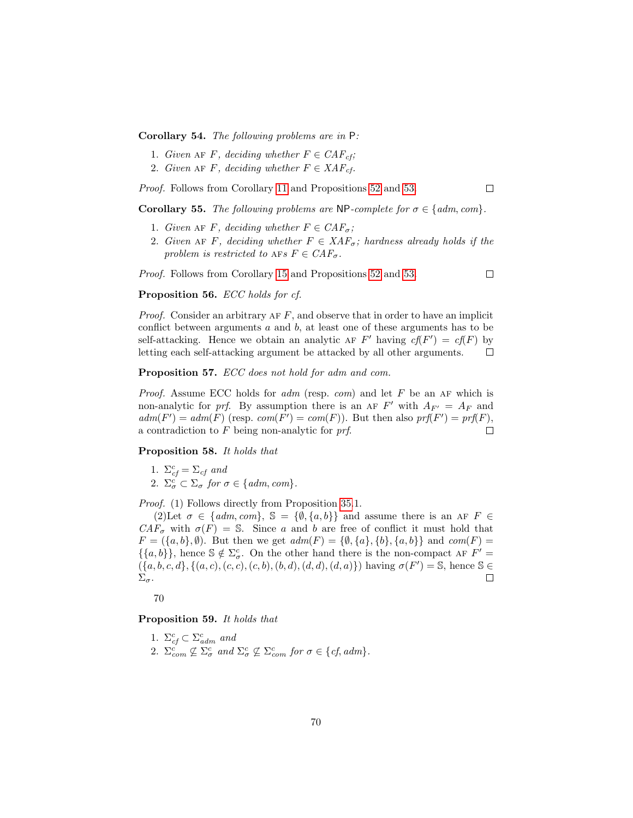Corollary 54. The following problems are in P:

- 1. Given AF F, deciding whether  $F \in \text{CAF}_{cf}$ ;
- 2. Given AF F, deciding whether  $F \in XAF_{cf}$ .

Proof. Follows from Corollary [11](#page-18-0) and Propositions [52](#page-68-1) and [53.](#page-68-2)

**Corollary 55.** The following problems are NP-complete for  $\sigma \in \{adm, com\}$ .

- 1. Given AF F, deciding whether  $F \in CAF_{\sigma}$ ;
- 2. Given AF F, deciding whether  $F \in XAF_{\sigma}$ ; hardness already holds if the problem is restricted to AFs  $F \in CAF_{\sigma}$ .

Proof. Follows from Corollary [15](#page-21-0) and Propositions [52](#page-68-1) and [53.](#page-68-2)

Proposition 56. ECC holds for cf.

*Proof.* Consider an arbitrary  $AF$ , and observe that in order to have an implicit conflict between arguments  $a$  and  $b$ , at least one of these arguments has to be self-attacking. Hence we obtain an analytic AF F' having  $cf(F') = cf(F)$  by letting each self-attacking argument be attacked by all other arguments.  $\Box$ 

Proposition 57. ECC does not hold for adm and com.

*Proof.* Assume ECC holds for  $adm$  (resp. com) and let F be an AF which is non-analytic for *prf*. By assumption there is an AF  $F'$  with  $A_{F'} = A_F$  and  $adm(F') = adm(F)$  (resp.  $com(F') = com(F)$ ). But then also  $prf(F') = prf(F)$ , a contradiction to F being non-analytic for prf.  $\Box$ 

<span id="page-69-0"></span>Proposition 58. It holds that

1.  $\Sigma_{cf}^c = \Sigma_{cf}$  and 2.  $\Sigma_{\sigma}^{c} \subset \Sigma_{\sigma}$  for  $\sigma \in \{adm, com\}.$ 

Proof. (1) Follows directly from Proposition [35.](#page-40-0)1.

(2)Let  $\sigma \in \{adm, com\}, \mathcal{S} = \{\emptyset, \{a, b\}\}\$ and assume there is an AF  $F \in$  $CAF_{\sigma}$  with  $\sigma(F) = S$ . Since a and b are free of conflict it must hold that  $F = (\{a, b\}, \emptyset)$ . But then we get  $adm(F) = \{\emptyset, \{a\}, \{b\}, \{a, b\}\}\$ and  $com(F) =$  $\{\{a,b\}\}\,$ , hence  $\mathcal{S} \notin \Sigma^c_\sigma$ . On the other hand there is the non-compact AF  $F' =$  $(\{a, b, c, d\}, \{(a, c), (c, c), (c, b), (b, d), (d, d), (d, a)\})$  having  $\sigma(F') = \mathbb{S}$ , hence  $\mathbb{S} \in$  $\Sigma_{\sigma}$ .  $\Box$ 

70

<span id="page-69-1"></span>Proposition 59. It holds that

- 1.  $\Sigma_{cf}^c \subset \Sigma_{adm}^c$  and
- 2.  $\Sigma_{com}^c \not\subseteq \Sigma_{\sigma}^c$  and  $\Sigma_{\sigma}^c \not\subseteq \Sigma_{com}^c$  for  $\sigma \in \{cf, adm\}.$

 $\Box$ 

 $\Box$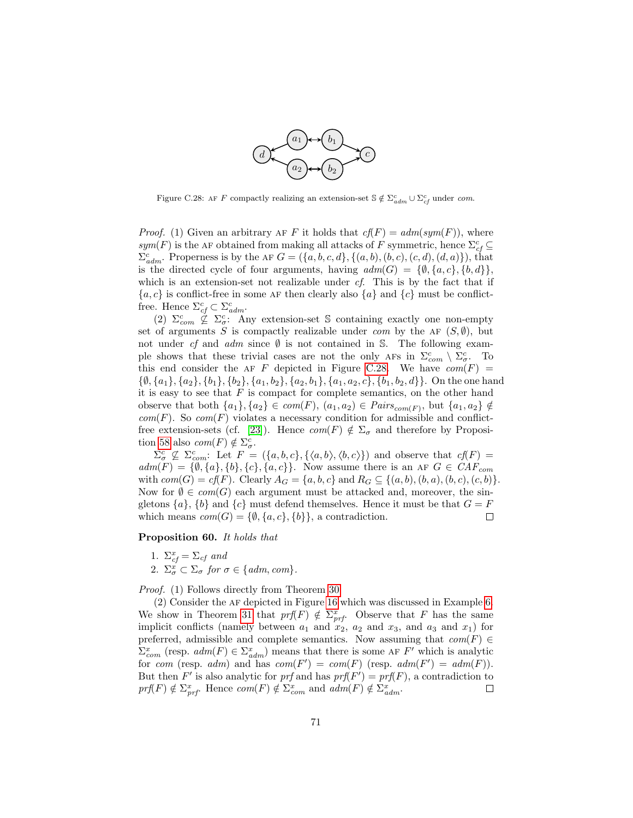

<span id="page-70-0"></span>Figure C.28: AF F compactly realizing an extension-set  $\mathcal{S} \notin \Sigma^c_{adm} \cup \Sigma^c_{cf}$  under com.

*Proof.* (1) Given an arbitrary AF F it holds that  $cf(F) = \text{adm}(sym(F))$ , where  $sym(F)$  is the AF obtained from making all attacks of F symmetric, hence  $\Sigma_{cf}^c \subseteq$  $\Sigma_{adm}^c$ . Properness is by the AF  $G = (\{a, b, c, d\}, \{(a, b), (b, c), (c, d), (d, a)\})$ , that is the directed cycle of four arguments, having  $adm(G) = \{\emptyset, \{a, c\}, \{b, d\}\},\$ which is an extension-set not realizable under *cf*. This is by the fact that if  ${a, c}$  is conflict-free in some AF then clearly also  ${a}$  and  ${c}$  must be conflictfree. Hence  $\Sigma_{cf}^c \subset \Sigma_{adm}^c$ .

(2)  $\Sigma_{com}^c \nsubseteq \Sigma_{\sigma}^c$ . Any extension-set S containing exactly one non-empty set of arguments S is compactly realizable under *com* by the AF  $(S, \emptyset)$ , but not under cf and  $adm$  since  $\emptyset$  is not contained in S. The following example shows that these trivial cases are not the only AFS in  $\Sigma_{com}^c \setminus \Sigma_{\sigma}^c$ . To this end consider the AF F depicted in Figure [C.28.](#page-70-0) We have  $com(F)$  =  $\{\emptyset, \{a_1\}, \{a_2\}, \{b_1\}, \{b_2\}, \{a_1, b_2\}, \{a_2, b_1\}, \{a_1, a_2, c\}, \{b_1, b_2, d\}\}.$  On the one hand it is easy to see that  $F$  is compact for complete semantics, on the other hand observe that both  $\{a_1\}, \{a_2\} \in com(F), (a_1, a_2) \in Pairs_{com(F)},$  but  $\{a_1, a_2\} \notin$  $com(F)$ . So  $com(F)$  violates a necessary condition for admissible and conflict-free extension-sets (cf. [\[23\]](#page-60-0)). Hence  $com(F) \notin \Sigma_{\sigma}$  and therefore by Proposi-tion [58](#page-69-0) also  $com(F) \notin \Sigma_{\sigma}^c$ .

 $\Sigma_{\sigma}^c \nsubseteq \Sigma_{com}^c$ : Let  $F = (\{a, b, c\}, \{\langle a, b \rangle, \langle b, c \rangle\})$  and observe that  $cf(F) =$  $adm(F) = \{\emptyset, \{a\}, \{b\}, \{c\}, \{a, c\}\}.$  Now assume there is an AF  $G \in \mathcal{CAF}_{com}$ with  $com(G) = cf(F)$ . Clearly  $A_G = \{a, b, c\}$  and  $R_G \subseteq \{(a, b), (b, a), (b, c), (c, b)\}.$ Now for  $\emptyset \in com(G)$  each argument must be attacked and, moreover, the singletons  $\{a\}$ ,  $\{b\}$  and  $\{c\}$  must defend themselves. Hence it must be that  $G = F$ which means  $com(G) = \{\emptyset, \{a, c\}, \{b\}\}\$ , a contradiction.  $\Box$ 

### Proposition 60. It holds that

- 1.  $\Sigma_{cf}^x = \Sigma_{cf}$  and
- 2.  $\Sigma_{\sigma}^{x} \subset \Sigma_{\sigma}$  for  $\sigma \in \{adm, com\}.$

Proof. (1) Follows directly from Theorem [30.](#page-36-0)

(2) Consider the af depicted in Figure [16](#page-31-0) which was discussed in Example [6.](#page-31-1) We show in Theorem [31](#page-36-1) that  $prf(F) \notin \Sigma^x_{prf}$ . Observe that F has the same implicit conflicts (namely between  $a_1$  and  $x_2$ ,  $a_2$  and  $x_3$ , and  $a_3$  and  $x_1$ ) for preferred, admissible and complete semantics. Now assuming that  $com(F) \in$  $\Sigma_{com}^x$  (resp.  $adm(F) \in \Sigma_{adm}^x$ ) means that there is some AF  $F'$  which is analytic for com (resp. adm) and has  $com(F') = com(F)$  (resp.  $adm(F') = adm(F)$ ). But then F' is also analytic for prf and has  $prf(F') = prf(F)$ , a contradiction to  $prf(F) \notin \Sigma^x_{prf}$ . Hence  $com(F) \notin \Sigma^x_{com}$  and  $adm(F) \notin \Sigma^x_{adm}$ .  $\Box$